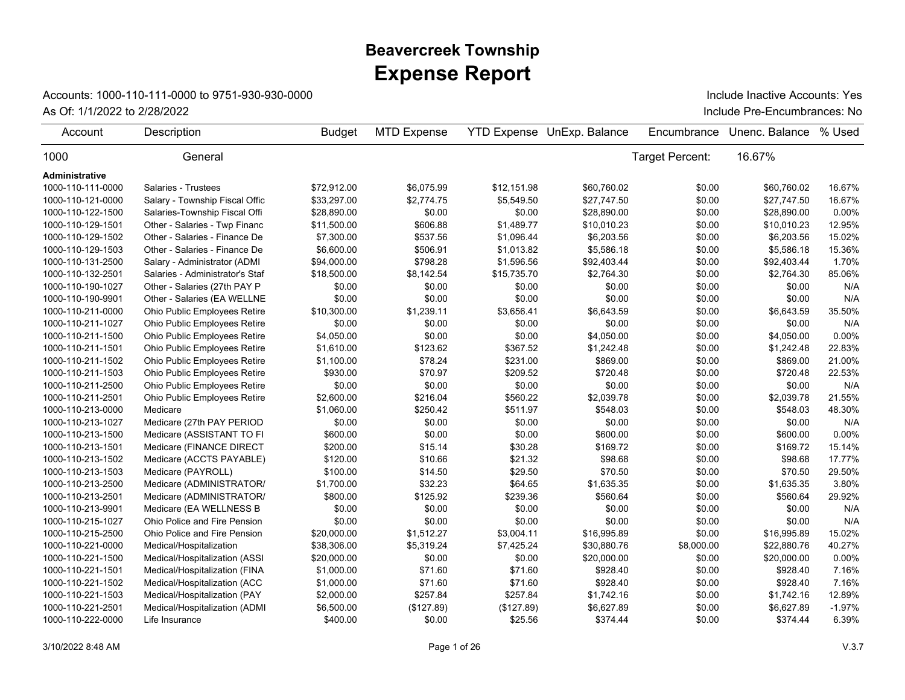## **Expense Report Beavercreek Township**

## Accounts: 1000-110-111-0000 to 9751-930-930-0000

As Of: 1/1/2022 to 2/28/2022 Include Pre-Encumbrances: No Include Inactive Accounts: Yes

| Account           | Description                     | <b>Budget</b> | <b>MTD Expense</b> |             | <b>YTD Expense UnExp. Balance</b> | Encumbrance     | Unenc. Balance | % Used   |
|-------------------|---------------------------------|---------------|--------------------|-------------|-----------------------------------|-----------------|----------------|----------|
| 1000              | General                         |               |                    |             |                                   | Target Percent: | 16.67%         |          |
| Administrative    |                                 |               |                    |             |                                   |                 |                |          |
| 1000-110-111-0000 | Salaries - Trustees             | \$72.912.00   | \$6,075.99         | \$12,151.98 | \$60,760.02                       | \$0.00          | \$60,760.02    | 16.67%   |
| 1000-110-121-0000 | Salary - Township Fiscal Offic  | \$33,297.00   | \$2,774.75         | \$5,549.50  | \$27,747.50                       | \$0.00          | \$27,747.50    | 16.67%   |
| 1000-110-122-1500 | Salaries-Township Fiscal Offi   | \$28,890.00   | \$0.00             | \$0.00      | \$28,890.00                       | \$0.00          | \$28,890.00    | 0.00%    |
| 1000-110-129-1501 | Other - Salaries - Twp Financ   | \$11,500.00   | \$606.88           | \$1,489.77  | \$10,010.23                       | \$0.00          | \$10,010.23    | 12.95%   |
| 1000-110-129-1502 | Other - Salaries - Finance De   | \$7,300.00    | \$537.56           | \$1,096.44  | \$6,203.56                        | \$0.00          | \$6,203.56     | 15.02%   |
| 1000-110-129-1503 | Other - Salaries - Finance De   | \$6,600.00    | \$506.91           | \$1,013.82  | \$5,586.18                        | \$0.00          | \$5,586.18     | 15.36%   |
| 1000-110-131-2500 | Salary - Administrator (ADMI    | \$94,000.00   | \$798.28           | \$1,596.56  | \$92,403.44                       | \$0.00          | \$92,403.44    | 1.70%    |
| 1000-110-132-2501 | Salaries - Administrator's Staf | \$18,500.00   | \$8,142.54         | \$15,735.70 | \$2,764.30                        | \$0.00          | \$2,764.30     | 85.06%   |
| 1000-110-190-1027 | Other - Salaries (27th PAY P    | \$0.00        | \$0.00             | \$0.00      | \$0.00                            | \$0.00          | \$0.00         | N/A      |
| 1000-110-190-9901 | Other - Salaries (EA WELLNE     | \$0.00        | \$0.00             | \$0.00      | \$0.00                            | \$0.00          | \$0.00         | N/A      |
| 1000-110-211-0000 | Ohio Public Employees Retire    | \$10,300.00   | \$1,239.11         | \$3,656.41  | \$6,643.59                        | \$0.00          | \$6,643.59     | 35.50%   |
| 1000-110-211-1027 | Ohio Public Employees Retire    | \$0.00        | \$0.00             | \$0.00      | \$0.00                            | \$0.00          | \$0.00         | N/A      |
| 1000-110-211-1500 | Ohio Public Employees Retire    | \$4,050.00    | \$0.00             | \$0.00      | \$4,050.00                        | \$0.00          | \$4,050.00     | 0.00%    |
| 1000-110-211-1501 | Ohio Public Employees Retire    | \$1,610.00    | \$123.62           | \$367.52    | \$1,242.48                        | \$0.00          | \$1,242.48     | 22.83%   |
| 1000-110-211-1502 | Ohio Public Employees Retire    | \$1,100.00    | \$78.24            | \$231.00    | \$869.00                          | \$0.00          | \$869.00       | 21.00%   |
| 1000-110-211-1503 | Ohio Public Employees Retire    | \$930.00      | \$70.97            | \$209.52    | \$720.48                          | \$0.00          | \$720.48       | 22.53%   |
| 1000-110-211-2500 | Ohio Public Employees Retire    | \$0.00        | \$0.00             | \$0.00      | \$0.00                            | \$0.00          | \$0.00         | N/A      |
| 1000-110-211-2501 | Ohio Public Employees Retire    | \$2,600.00    | \$216.04           | \$560.22    | \$2,039.78                        | \$0.00          | \$2,039.78     | 21.55%   |
| 1000-110-213-0000 | Medicare                        | \$1,060.00    | \$250.42           | \$511.97    | \$548.03                          | \$0.00          | \$548.03       | 48.30%   |
| 1000-110-213-1027 | Medicare (27th PAY PERIOD       | \$0.00        | \$0.00             | \$0.00      | \$0.00                            | \$0.00          | \$0.00         | N/A      |
| 1000-110-213-1500 | Medicare (ASSISTANT TO FI       | \$600.00      | \$0.00             | \$0.00      | \$600.00                          | \$0.00          | \$600.00       | 0.00%    |
| 1000-110-213-1501 | Medicare (FINANCE DIRECT        | \$200.00      | \$15.14            | \$30.28     | \$169.72                          | \$0.00          | \$169.72       | 15.14%   |
| 1000-110-213-1502 | Medicare (ACCTS PAYABLE)        | \$120.00      | \$10.66            | \$21.32     | \$98.68                           | \$0.00          | \$98.68        | 17.77%   |
| 1000-110-213-1503 | Medicare (PAYROLL)              | \$100.00      | \$14.50            | \$29.50     | \$70.50                           | \$0.00          | \$70.50        | 29.50%   |
| 1000-110-213-2500 | Medicare (ADMINISTRATOR/        | \$1,700.00    | \$32.23            | \$64.65     | \$1,635.35                        | \$0.00          | \$1,635.35     | 3.80%    |
| 1000-110-213-2501 | Medicare (ADMINISTRATOR/        | \$800.00      | \$125.92           | \$239.36    | \$560.64                          | \$0.00          | \$560.64       | 29.92%   |
| 1000-110-213-9901 | Medicare (EA WELLNESS B         | \$0.00        | \$0.00             | \$0.00      | \$0.00                            | \$0.00          | \$0.00         | N/A      |
| 1000-110-215-1027 | Ohio Police and Fire Pension    | \$0.00        | \$0.00             | \$0.00      | \$0.00                            | \$0.00          | \$0.00         | N/A      |
| 1000-110-215-2500 | Ohio Police and Fire Pension    | \$20,000.00   | \$1,512.27         | \$3,004.11  | \$16,995.89                       | \$0.00          | \$16,995.89    | 15.02%   |
| 1000-110-221-0000 | Medical/Hospitalization         | \$38,306.00   | \$5,319.24         | \$7,425.24  | \$30,880.76                       | \$8,000.00      | \$22,880.76    | 40.27%   |
| 1000-110-221-1500 | Medical/Hospitalization (ASSI   | \$20,000.00   | \$0.00             | \$0.00      | \$20,000.00                       | \$0.00          | \$20,000.00    | 0.00%    |
| 1000-110-221-1501 | Medical/Hospitalization (FINA   | \$1,000.00    | \$71.60            | \$71.60     | \$928.40                          | \$0.00          | \$928.40       | 7.16%    |
| 1000-110-221-1502 | Medical/Hospitalization (ACC    | \$1,000.00    | \$71.60            | \$71.60     | \$928.40                          | \$0.00          | \$928.40       | 7.16%    |
| 1000-110-221-1503 | Medical/Hospitalization (PAY    | \$2,000.00    | \$257.84           | \$257.84    | \$1,742.16                        | \$0.00          | \$1,742.16     | 12.89%   |
| 1000-110-221-2501 | Medical/Hospitalization (ADMI   | \$6,500.00    | (\$127.89)         | (\$127.89)  | \$6,627.89                        | \$0.00          | \$6,627.89     | $-1.97%$ |
| 1000-110-222-0000 | Life Insurance                  | \$400.00      | \$0.00             | \$25.56     | \$374.44                          | \$0.00          | \$374.44       | 6.39%    |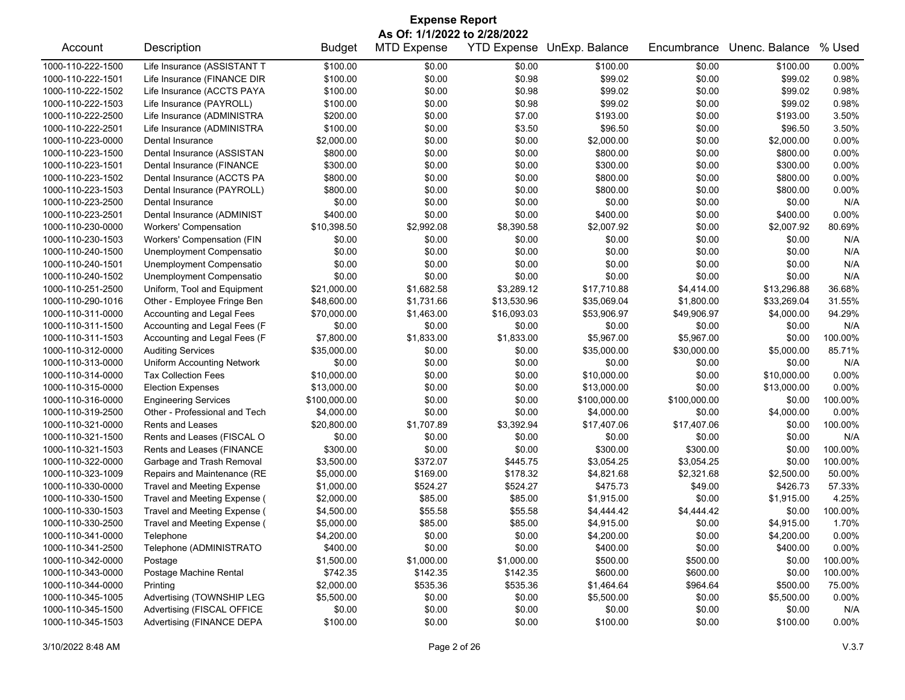| <b>Expense Report</b>                                                                                                                                 |                                   |               |            |             |              |              |             |          |  |
|-------------------------------------------------------------------------------------------------------------------------------------------------------|-----------------------------------|---------------|------------|-------------|--------------|--------------|-------------|----------|--|
| As Of: 1/1/2022 to 2/28/2022<br><b>MTD Expense</b><br>YTD Expense UnExp. Balance<br>Unenc. Balance<br>% Used<br>Account<br>Description<br>Encumbrance |                                   |               |            |             |              |              |             |          |  |
|                                                                                                                                                       |                                   | <b>Budget</b> |            |             |              |              |             |          |  |
| 1000-110-222-1500                                                                                                                                     | Life Insurance (ASSISTANT T       | \$100.00      | \$0.00     | \$0.00      | \$100.00     | \$0.00       | \$100.00    | 0.00%    |  |
| 1000-110-222-1501                                                                                                                                     | Life Insurance (FINANCE DIR       | \$100.00      | \$0.00     | \$0.98      | \$99.02      | \$0.00       | \$99.02     | 0.98%    |  |
| 1000-110-222-1502                                                                                                                                     | Life Insurance (ACCTS PAYA        | \$100.00      | \$0.00     | \$0.98      | \$99.02      | \$0.00       | \$99.02     | 0.98%    |  |
| 1000-110-222-1503                                                                                                                                     | Life Insurance (PAYROLL)          | \$100.00      | \$0.00     | \$0.98      | \$99.02      | \$0.00       | \$99.02     | 0.98%    |  |
| 1000-110-222-2500                                                                                                                                     | Life Insurance (ADMINISTRA        | \$200.00      | \$0.00     | \$7.00      | \$193.00     | \$0.00       | \$193.00    | 3.50%    |  |
| 1000-110-222-2501                                                                                                                                     | Life Insurance (ADMINISTRA        | \$100.00      | \$0.00     | \$3.50      | \$96.50      | \$0.00       | \$96.50     | 3.50%    |  |
| 1000-110-223-0000                                                                                                                                     | Dental Insurance                  | \$2,000.00    | \$0.00     | \$0.00      | \$2,000.00   | \$0.00       | \$2,000.00  | 0.00%    |  |
| 1000-110-223-1500                                                                                                                                     | Dental Insurance (ASSISTAN        | \$800.00      | \$0.00     | \$0.00      | \$800.00     | \$0.00       | \$800.00    | 0.00%    |  |
| 1000-110-223-1501                                                                                                                                     | Dental Insurance (FINANCE         | \$300.00      | \$0.00     | \$0.00      | \$300.00     | \$0.00       | \$300.00    | 0.00%    |  |
| 1000-110-223-1502                                                                                                                                     | Dental Insurance (ACCTS PA        | \$800.00      | \$0.00     | \$0.00      | \$800.00     | \$0.00       | \$800.00    | 0.00%    |  |
| 1000-110-223-1503                                                                                                                                     | Dental Insurance (PAYROLL)        | \$800.00      | \$0.00     | \$0.00      | \$800.00     | \$0.00       | \$800.00    | 0.00%    |  |
| 1000-110-223-2500                                                                                                                                     | Dental Insurance                  | \$0.00        | \$0.00     | \$0.00      | \$0.00       | \$0.00       | \$0.00      | N/A      |  |
| 1000-110-223-2501                                                                                                                                     | Dental Insurance (ADMINIST        | \$400.00      | \$0.00     | \$0.00      | \$400.00     | \$0.00       | \$400.00    | 0.00%    |  |
| 1000-110-230-0000                                                                                                                                     | <b>Workers' Compensation</b>      | \$10,398.50   | \$2,992.08 | \$8,390.58  | \$2,007.92   | \$0.00       | \$2,007.92  | 80.69%   |  |
| 1000-110-230-1503                                                                                                                                     | Workers' Compensation (FIN        | \$0.00        | \$0.00     | \$0.00      | \$0.00       | \$0.00       | \$0.00      | N/A      |  |
| 1000-110-240-1500                                                                                                                                     | Unemployment Compensatio          | \$0.00        | \$0.00     | \$0.00      | \$0.00       | \$0.00       | \$0.00      | N/A      |  |
| 1000-110-240-1501                                                                                                                                     | Unemployment Compensatio          | \$0.00        | \$0.00     | \$0.00      | \$0.00       | \$0.00       | \$0.00      | N/A      |  |
| 1000-110-240-1502                                                                                                                                     | Unemployment Compensatio          | \$0.00        | \$0.00     | \$0.00      | \$0.00       | \$0.00       | \$0.00      | N/A      |  |
| 1000-110-251-2500                                                                                                                                     | Uniform, Tool and Equipment       | \$21,000.00   | \$1,682.58 | \$3,289.12  | \$17,710.88  | \$4,414.00   | \$13,296.88 | 36.68%   |  |
| 1000-110-290-1016                                                                                                                                     | Other - Employee Fringe Ben       | \$48,600.00   | \$1,731.66 | \$13,530.96 | \$35,069.04  | \$1,800.00   | \$33,269.04 | 31.55%   |  |
| 1000-110-311-0000                                                                                                                                     | Accounting and Legal Fees         | \$70,000.00   | \$1,463.00 | \$16,093.03 | \$53,906.97  | \$49,906.97  | \$4,000.00  | 94.29%   |  |
| 1000-110-311-1500                                                                                                                                     | Accounting and Legal Fees (F      | \$0.00        | \$0.00     | \$0.00      | \$0.00       | \$0.00       | \$0.00      | N/A      |  |
| 1000-110-311-1503                                                                                                                                     | Accounting and Legal Fees (F      | \$7,800.00    | \$1,833.00 | \$1,833.00  | \$5,967.00   | \$5,967.00   | \$0.00      | 100.00%  |  |
| 1000-110-312-0000                                                                                                                                     | <b>Auditing Services</b>          | \$35,000.00   | \$0.00     | \$0.00      | \$35,000.00  | \$30,000.00  | \$5,000.00  | 85.71%   |  |
| 1000-110-313-0000                                                                                                                                     | <b>Uniform Accounting Network</b> | \$0.00        | \$0.00     | \$0.00      | \$0.00       | \$0.00       | \$0.00      | N/A      |  |
| 1000-110-314-0000                                                                                                                                     | <b>Tax Collection Fees</b>        | \$10,000.00   | \$0.00     | \$0.00      | \$10,000.00  | \$0.00       | \$10,000.00 | 0.00%    |  |
| 1000-110-315-0000                                                                                                                                     | <b>Election Expenses</b>          | \$13,000.00   | \$0.00     | \$0.00      | \$13,000.00  | \$0.00       | \$13,000.00 | 0.00%    |  |
| 1000-110-316-0000                                                                                                                                     | <b>Engineering Services</b>       | \$100,000.00  | \$0.00     | \$0.00      | \$100,000.00 | \$100,000.00 | \$0.00      | 100.00%  |  |
| 1000-110-319-2500                                                                                                                                     | Other - Professional and Tech     | \$4,000.00    | \$0.00     | \$0.00      | \$4,000.00   | \$0.00       | \$4,000.00  | 0.00%    |  |
| 1000-110-321-0000                                                                                                                                     | <b>Rents and Leases</b>           | \$20,800.00   | \$1,707.89 | \$3,392.94  | \$17,407.06  | \$17,407.06  | \$0.00      | 100.00%  |  |
| 1000-110-321-1500                                                                                                                                     | Rents and Leases (FISCAL O        | \$0.00        | \$0.00     | \$0.00      | \$0.00       | \$0.00       | \$0.00      | N/A      |  |
| 1000-110-321-1503                                                                                                                                     | Rents and Leases (FINANCE         | \$300.00      | \$0.00     | \$0.00      | \$300.00     | \$300.00     | \$0.00      | 100.00%  |  |
| 1000-110-322-0000                                                                                                                                     | Garbage and Trash Removal         | \$3,500.00    | \$372.07   | \$445.75    | \$3,054.25   | \$3,054.25   | \$0.00      | 100.00%  |  |
| 1000-110-323-1009                                                                                                                                     | Repairs and Maintenance (RE       | \$5,000.00    | \$169.00   | \$178.32    | \$4,821.68   | \$2,321.68   | \$2,500.00  | 50.00%   |  |
| 1000-110-330-0000                                                                                                                                     | <b>Travel and Meeting Expense</b> | \$1,000.00    | \$524.27   | \$524.27    | \$475.73     | \$49.00      | \$426.73    | 57.33%   |  |
| 1000-110-330-1500                                                                                                                                     | Travel and Meeting Expense (      | \$2,000.00    | \$85.00    | \$85.00     | \$1,915.00   | \$0.00       | \$1,915.00  | 4.25%    |  |
| 1000-110-330-1503                                                                                                                                     | Travel and Meeting Expense (      | \$4,500.00    | \$55.58    | \$55.58     | \$4,444.42   | \$4,444.42   | \$0.00      | 100.00%  |  |
| 1000-110-330-2500                                                                                                                                     | Travel and Meeting Expense (      | \$5,000.00    | \$85.00    | \$85.00     | \$4,915.00   | \$0.00       | \$4,915.00  | 1.70%    |  |
| 1000-110-341-0000                                                                                                                                     | Telephone                         | \$4,200.00    | \$0.00     | \$0.00      | \$4,200.00   | \$0.00       | \$4,200.00  | 0.00%    |  |
| 1000-110-341-2500                                                                                                                                     | Telephone (ADMINISTRATO           | \$400.00      | \$0.00     | \$0.00      | \$400.00     | \$0.00       | \$400.00    | 0.00%    |  |
| 1000-110-342-0000                                                                                                                                     | Postage                           | \$1,500.00    | \$1,000.00 | \$1,000.00  | \$500.00     | \$500.00     | \$0.00      | 100.00%  |  |
| 1000-110-343-0000                                                                                                                                     | Postage Machine Rental            | \$742.35      | \$142.35   | \$142.35    | \$600.00     | \$600.00     | \$0.00      | 100.00%  |  |
| 1000-110-344-0000                                                                                                                                     | Printing                          | \$2,000.00    | \$535.36   | \$535.36    | \$1,464.64   | \$964.64     | \$500.00    | 75.00%   |  |
| 1000-110-345-1005                                                                                                                                     | Advertising (TOWNSHIP LEG         | \$5,500.00    | \$0.00     | \$0.00      | \$5,500.00   | \$0.00       | \$5,500.00  | 0.00%    |  |
| 1000-110-345-1500                                                                                                                                     | Advertising (FISCAL OFFICE        | \$0.00        | \$0.00     | \$0.00      | \$0.00       | \$0.00       | \$0.00      | N/A      |  |
| 1000-110-345-1503                                                                                                                                     | Advertising (FINANCE DEPA         | \$100.00      | \$0.00     | \$0.00      | \$100.00     | \$0.00       | \$100.00    | $0.00\%$ |  |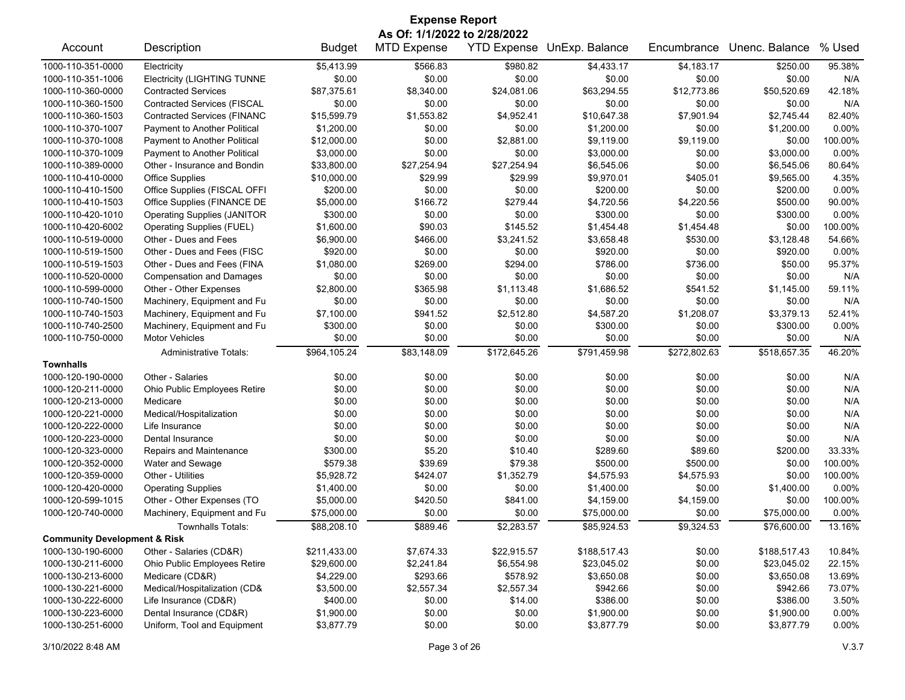| <b>Expense Report</b>                   |                                    |               |                              |                    |                |              |                |          |  |
|-----------------------------------------|------------------------------------|---------------|------------------------------|--------------------|----------------|--------------|----------------|----------|--|
|                                         |                                    |               | As Of: 1/1/2022 to 2/28/2022 |                    |                |              |                |          |  |
| Account                                 | Description                        | <b>Budget</b> | <b>MTD Expense</b>           | <b>YTD Expense</b> | UnExp. Balance | Encumbrance  | Unenc. Balance | % Used   |  |
| 1000-110-351-0000                       | Electricity                        | \$5,413.99    | \$566.83                     | \$980.82           | \$4,433.17     | \$4,183.17   | \$250.00       | 95.38%   |  |
| 1000-110-351-1006                       | <b>Electricity (LIGHTING TUNNE</b> | \$0.00        | \$0.00                       | \$0.00             | \$0.00         | \$0.00       | \$0.00         | N/A      |  |
| 1000-110-360-0000                       | <b>Contracted Services</b>         | \$87,375.61   | \$8,340.00                   | \$24,081.06        | \$63,294.55    | \$12,773.86  | \$50,520.69    | 42.18%   |  |
| 1000-110-360-1500                       | <b>Contracted Services (FISCAL</b> | \$0.00        | \$0.00                       | \$0.00             | \$0.00         | \$0.00       | \$0.00         | N/A      |  |
| 1000-110-360-1503                       | <b>Contracted Services (FINANC</b> | \$15,599.79   | \$1,553.82                   | \$4,952.41         | \$10,647.38    | \$7,901.94   | \$2,745.44     | 82.40%   |  |
| 1000-110-370-1007                       | Payment to Another Political       | \$1,200.00    | \$0.00                       | \$0.00             | \$1,200.00     | \$0.00       | \$1,200.00     | 0.00%    |  |
| 1000-110-370-1008                       | Payment to Another Political       | \$12,000.00   | \$0.00                       | \$2,881.00         | \$9,119.00     | \$9,119.00   | \$0.00         | 100.00%  |  |
| 1000-110-370-1009                       | Payment to Another Political       | \$3,000.00    | \$0.00                       | \$0.00             | \$3,000.00     | \$0.00       | \$3,000.00     | 0.00%    |  |
| 1000-110-389-0000                       | Other - Insurance and Bondin       | \$33,800.00   | \$27,254.94                  | \$27,254.94        | \$6,545.06     | \$0.00       | \$6,545.06     | 80.64%   |  |
| 1000-110-410-0000                       | <b>Office Supplies</b>             | \$10,000.00   | \$29.99                      | \$29.99            | \$9,970.01     | \$405.01     | \$9,565.00     | 4.35%    |  |
| 1000-110-410-1500                       | Office Supplies (FISCAL OFFI       | \$200.00      | \$0.00                       | \$0.00             | \$200.00       | \$0.00       | \$200.00       | $0.00\%$ |  |
| 1000-110-410-1503                       | Office Supplies (FINANCE DE        | \$5,000.00    | \$166.72                     | \$279.44           | \$4,720.56     | \$4,220.56   | \$500.00       | 90.00%   |  |
| 1000-110-420-1010                       | <b>Operating Supplies (JANITOR</b> | \$300.00      | \$0.00                       | \$0.00             | \$300.00       | \$0.00       | \$300.00       | 0.00%    |  |
| 1000-110-420-6002                       | Operating Supplies (FUEL)          | \$1,600.00    | \$90.03                      | \$145.52           | \$1,454.48     | \$1,454.48   | \$0.00         | 100.00%  |  |
| 1000-110-519-0000                       | Other - Dues and Fees              | \$6,900.00    | \$466.00                     | \$3,241.52         | \$3,658.48     | \$530.00     | \$3,128.48     | 54.66%   |  |
| 1000-110-519-1500                       | Other - Dues and Fees (FISC        | \$920.00      | \$0.00                       | \$0.00             | \$920.00       | \$0.00       | \$920.00       | $0.00\%$ |  |
| 1000-110-519-1503                       | Other - Dues and Fees (FINA        | \$1,080.00    | \$269.00                     | \$294.00           | \$786.00       | \$736.00     | \$50.00        | 95.37%   |  |
| 1000-110-520-0000                       | <b>Compensation and Damages</b>    | \$0.00        | \$0.00                       | \$0.00             | \$0.00         | \$0.00       | \$0.00         | N/A      |  |
| 1000-110-599-0000                       | Other - Other Expenses             | \$2,800.00    | \$365.98                     | \$1,113.48         | \$1,686.52     | \$541.52     | \$1,145.00     | 59.11%   |  |
| 1000-110-740-1500                       | Machinery, Equipment and Fu        | \$0.00        | \$0.00                       | \$0.00             | \$0.00         | \$0.00       | \$0.00         | N/A      |  |
| 1000-110-740-1503                       | Machinery, Equipment and Fu        | \$7,100.00    | \$941.52                     | \$2,512.80         | \$4,587.20     | \$1,208.07   | \$3,379.13     | 52.41%   |  |
| 1000-110-740-2500                       | Machinery, Equipment and Fu        | \$300.00      | \$0.00                       | \$0.00             | \$300.00       | \$0.00       | \$300.00       | 0.00%    |  |
| 1000-110-750-0000                       | <b>Motor Vehicles</b>              | \$0.00        | \$0.00                       | \$0.00             | \$0.00         | \$0.00       | \$0.00         | N/A      |  |
|                                         | <b>Administrative Totals:</b>      | \$964,105.24  | \$83,148.09                  | \$172,645.26       | \$791,459.98   | \$272,802.63 | \$518,657.35   | 46.20%   |  |
| <b>Townhalls</b>                        |                                    |               |                              |                    |                |              |                |          |  |
| 1000-120-190-0000                       | Other - Salaries                   | \$0.00        | \$0.00                       | \$0.00             | \$0.00         | \$0.00       | \$0.00         | N/A      |  |
| 1000-120-211-0000                       | Ohio Public Employees Retire       | \$0.00        | \$0.00                       | \$0.00             | \$0.00         | \$0.00       | \$0.00         | N/A      |  |
| 1000-120-213-0000                       | Medicare                           | \$0.00        | \$0.00                       | \$0.00             | \$0.00         | \$0.00       | \$0.00         | N/A      |  |
| 1000-120-221-0000                       | Medical/Hospitalization            | \$0.00        | \$0.00                       | \$0.00             | \$0.00         | \$0.00       | \$0.00         | N/A      |  |
| 1000-120-222-0000                       | Life Insurance                     | \$0.00        | \$0.00                       | \$0.00             | \$0.00         | \$0.00       | \$0.00         | N/A      |  |
| 1000-120-223-0000                       | Dental Insurance                   | \$0.00        | \$0.00                       | \$0.00             | \$0.00         | \$0.00       | \$0.00         | N/A      |  |
| 1000-120-323-0000                       | Repairs and Maintenance            | \$300.00      | \$5.20                       | \$10.40            | \$289.60       | \$89.60      | \$200.00       | 33.33%   |  |
| 1000-120-352-0000                       | Water and Sewage                   | \$579.38      | \$39.69                      | \$79.38            | \$500.00       | \$500.00     | \$0.00         | 100.00%  |  |
| 1000-120-359-0000                       | Other - Utilities                  | \$5,928.72    | \$424.07                     | \$1,352.79         | \$4,575.93     | \$4,575.93   | \$0.00         | 100.00%  |  |
| 1000-120-420-0000                       | <b>Operating Supplies</b>          | \$1,400.00    | \$0.00                       | \$0.00             | \$1,400.00     | \$0.00       | \$1,400.00     | $0.00\%$ |  |
| 1000-120-599-1015                       | Other - Other Expenses (TO         | \$5,000.00    | \$420.50                     | \$841.00           | \$4,159.00     | \$4,159.00   | \$0.00         | 100.00%  |  |
| 1000-120-740-0000                       | Machinery, Equipment and Fu        | \$75,000.00   | \$0.00                       | \$0.00             | \$75,000.00    | \$0.00       | \$75,000.00    | 0.00%    |  |
|                                         | Townhalls Totals:                  | \$88,208.10   | \$889.46                     | \$2,283.57         | \$85,924.53    | \$9,324.53   | \$76,600.00    | 13.16%   |  |
| <b>Community Development &amp; Risk</b> |                                    |               |                              |                    |                |              |                |          |  |
| 1000-130-190-6000                       | Other - Salaries (CD&R)            | \$211,433.00  | \$7,674.33                   | \$22,915.57        | \$188,517.43   | \$0.00       | \$188,517.43   | 10.84%   |  |
| 1000-130-211-6000                       | Ohio Public Employees Retire       | \$29,600.00   | \$2,241.84                   | \$6,554.98         | \$23,045.02    | \$0.00       | \$23,045.02    | 22.15%   |  |
| 1000-130-213-6000                       | Medicare (CD&R)                    | \$4,229.00    | \$293.66                     | \$578.92           | \$3,650.08     | \$0.00       | \$3,650.08     | 13.69%   |  |
| 1000-130-221-6000                       | Medical/Hospitalization (CD&       | \$3,500.00    | \$2,557.34                   | \$2,557.34         | \$942.66       | \$0.00       | \$942.66       | 73.07%   |  |
| 1000-130-222-6000                       | Life Insurance (CD&R)              | \$400.00      | \$0.00                       | \$14.00            | \$386.00       | \$0.00       | \$386.00       | 3.50%    |  |
| 1000-130-223-6000                       | Dental Insurance (CD&R)            | \$1,900.00    | \$0.00                       | \$0.00             | \$1,900.00     | \$0.00       | \$1,900.00     | 0.00%    |  |
| 1000-130-251-6000                       | Uniform, Tool and Equipment        | \$3,877.79    | \$0.00                       | \$0.00             | \$3,877.79     | \$0.00       | \$3,877.79     | $0.00\%$ |  |
|                                         |                                    |               |                              |                    |                |              |                |          |  |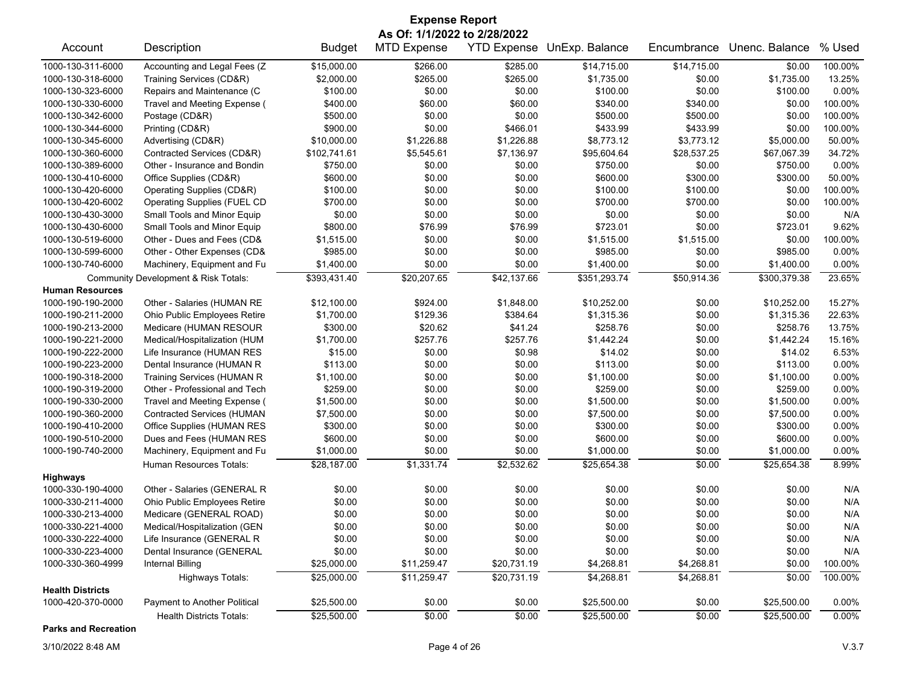| <b>Expense Report</b>   |                                      |               |                              |                    |                |             |                |          |  |
|-------------------------|--------------------------------------|---------------|------------------------------|--------------------|----------------|-------------|----------------|----------|--|
|                         |                                      |               | As Of: 1/1/2022 to 2/28/2022 |                    |                |             |                |          |  |
| Account                 | Description                          | <b>Budget</b> | <b>MTD Expense</b>           | <b>YTD Expense</b> | UnExp. Balance | Encumbrance | Unenc. Balance | % Used   |  |
| 1000-130-311-6000       | Accounting and Legal Fees (Z         | \$15,000.00   | \$266.00                     | \$285.00           | \$14,715.00    | \$14,715.00 | \$0.00         | 100.00%  |  |
| 1000-130-318-6000       | Training Services (CD&R)             | \$2,000.00    | \$265.00                     | \$265.00           | \$1,735.00     | \$0.00      | \$1,735.00     | 13.25%   |  |
| 1000-130-323-6000       | Repairs and Maintenance (C           | \$100.00      | \$0.00                       | \$0.00             | \$100.00       | \$0.00      | \$100.00       | 0.00%    |  |
| 1000-130-330-6000       | Travel and Meeting Expense (         | \$400.00      | \$60.00                      | \$60.00            | \$340.00       | \$340.00    | \$0.00         | 100.00%  |  |
| 1000-130-342-6000       | Postage (CD&R)                       | \$500.00      | \$0.00                       | \$0.00             | \$500.00       | \$500.00    | \$0.00         | 100.00%  |  |
| 1000-130-344-6000       | Printing (CD&R)                      | \$900.00      | \$0.00                       | \$466.01           | \$433.99       | \$433.99    | \$0.00         | 100.00%  |  |
| 1000-130-345-6000       | Advertising (CD&R)                   | \$10,000.00   | \$1,226.88                   | \$1,226.88         | \$8,773.12     | \$3,773.12  | \$5,000.00     | 50.00%   |  |
| 1000-130-360-6000       | Contracted Services (CD&R)           | \$102,741.61  | \$5,545.61                   | \$7,136.97         | \$95,604.64    | \$28,537.25 | \$67,067.39    | 34.72%   |  |
| 1000-130-389-6000       | Other - Insurance and Bondin         | \$750.00      | \$0.00                       | \$0.00             | \$750.00       | \$0.00      | \$750.00       | 0.00%    |  |
| 1000-130-410-6000       | Office Supplies (CD&R)               | \$600.00      | \$0.00                       | \$0.00             | \$600.00       | \$300.00    | \$300.00       | 50.00%   |  |
| 1000-130-420-6000       | Operating Supplies (CD&R)            | \$100.00      | \$0.00                       | \$0.00             | \$100.00       | \$100.00    | \$0.00         | 100.00%  |  |
| 1000-130-420-6002       | Operating Supplies (FUEL CD          | \$700.00      | \$0.00                       | \$0.00             | \$700.00       | \$700.00    | \$0.00         | 100.00%  |  |
| 1000-130-430-3000       | Small Tools and Minor Equip          | \$0.00        | \$0.00                       | \$0.00             | \$0.00         | \$0.00      | \$0.00         | N/A      |  |
| 1000-130-430-6000       | Small Tools and Minor Equip          | \$800.00      | \$76.99                      | \$76.99            | \$723.01       | \$0.00      | \$723.01       | 9.62%    |  |
| 1000-130-519-6000       | Other - Dues and Fees (CD&           | \$1,515.00    | \$0.00                       | \$0.00             | \$1,515.00     | \$1,515.00  | \$0.00         | 100.00%  |  |
| 1000-130-599-6000       | Other - Other Expenses (CD&          | \$985.00      | \$0.00                       | \$0.00             | \$985.00       | \$0.00      | \$985.00       | 0.00%    |  |
| 1000-130-740-6000       | Machinery, Equipment and Fu          | \$1,400.00    | \$0.00                       | \$0.00             | \$1,400.00     | \$0.00      | \$1,400.00     | 0.00%    |  |
|                         | Community Development & Risk Totals: | \$393,431.40  | \$20,207.65                  | \$42,137.66        | \$351,293.74   | \$50,914.36 | \$300,379.38   | 23.65%   |  |
| <b>Human Resources</b>  |                                      |               |                              |                    |                |             |                |          |  |
| 1000-190-190-2000       | Other - Salaries (HUMAN RE           | \$12,100.00   | \$924.00                     | \$1,848.00         | \$10,252.00    | \$0.00      | \$10,252.00    | 15.27%   |  |
| 1000-190-211-2000       | Ohio Public Employees Retire         | \$1,700.00    | \$129.36                     | \$384.64           | \$1,315.36     | \$0.00      | \$1,315.36     | 22.63%   |  |
| 1000-190-213-2000       | Medicare (HUMAN RESOUR               | \$300.00      | \$20.62                      | \$41.24            | \$258.76       | \$0.00      | \$258.76       | 13.75%   |  |
| 1000-190-221-2000       | Medical/Hospitalization (HUM         | \$1,700.00    | \$257.76                     | \$257.76           | \$1,442.24     | \$0.00      | \$1,442.24     | 15.16%   |  |
| 1000-190-222-2000       | Life Insurance (HUMAN RES            | \$15.00       | \$0.00                       | \$0.98             | \$14.02        | \$0.00      | \$14.02        | 6.53%    |  |
| 1000-190-223-2000       | Dental Insurance (HUMAN R            | \$113.00      | \$0.00                       | \$0.00             | \$113.00       | \$0.00      | \$113.00       | 0.00%    |  |
| 1000-190-318-2000       | <b>Training Services (HUMAN R</b>    | \$1,100.00    | \$0.00                       | \$0.00             | \$1,100.00     | \$0.00      | \$1,100.00     | 0.00%    |  |
| 1000-190-319-2000       | Other - Professional and Tech        | \$259.00      | \$0.00                       | \$0.00             | \$259.00       | \$0.00      | \$259.00       | 0.00%    |  |
| 1000-190-330-2000       | Travel and Meeting Expense (         | \$1,500.00    | \$0.00                       | \$0.00             | \$1,500.00     | \$0.00      | \$1,500.00     | 0.00%    |  |
| 1000-190-360-2000       | <b>Contracted Services (HUMAN</b>    | \$7,500.00    | \$0.00                       | \$0.00             | \$7,500.00     | \$0.00      | \$7,500.00     | 0.00%    |  |
| 1000-190-410-2000       | Office Supplies (HUMAN RES           | \$300.00      | \$0.00                       | \$0.00             | \$300.00       | \$0.00      | \$300.00       | 0.00%    |  |
| 1000-190-510-2000       | Dues and Fees (HUMAN RES             | \$600.00      | \$0.00                       | \$0.00             | \$600.00       | \$0.00      | \$600.00       | 0.00%    |  |
| 1000-190-740-2000       | Machinery, Equipment and Fu          | \$1,000.00    | \$0.00                       | \$0.00             | \$1,000.00     | \$0.00      | \$1,000.00     | 0.00%    |  |
|                         | Human Resources Totals:              | \$28,187.00   | \$1,331.74                   | \$2,532.62         | \$25,654.38    | \$0.00      | \$25,654.38    | 8.99%    |  |
| <b>Highways</b>         |                                      |               |                              |                    |                |             |                |          |  |
| 1000-330-190-4000       | Other - Salaries (GENERAL R          | \$0.00        | \$0.00                       | \$0.00             | \$0.00         | \$0.00      | \$0.00         | N/A      |  |
| 1000-330-211-4000       | Ohio Public Employees Retire         | \$0.00        | \$0.00                       | \$0.00             | \$0.00         | \$0.00      | \$0.00         | N/A      |  |
| 1000-330-213-4000       | Medicare (GENERAL ROAD)              | \$0.00        | \$0.00                       | \$0.00             | \$0.00         | \$0.00      | \$0.00         | N/A      |  |
| 1000-330-221-4000       | Medical/Hospitalization (GEN         | \$0.00        | \$0.00                       | \$0.00             | \$0.00         | \$0.00      | \$0.00         | N/A      |  |
| 1000-330-222-4000       | Life Insurance (GENERAL R            | \$0.00        | \$0.00                       | \$0.00             | \$0.00         | \$0.00      | \$0.00         | N/A      |  |
| 1000-330-223-4000       | Dental Insurance (GENERAL            | \$0.00        | \$0.00                       | \$0.00             | \$0.00         | \$0.00      | \$0.00         | N/A      |  |
| 1000-330-360-4999       | Internal Billing                     | \$25,000.00   | \$11,259.47                  | \$20,731.19        | \$4,268.81     | \$4,268.81  | \$0.00         | 100.00%  |  |
|                         | <b>Highways Totals:</b>              | \$25,000.00   | \$11,259.47                  | \$20,731.19        | \$4,268.81     | \$4,268.81  | \$0.00         | 100.00%  |  |
| <b>Health Districts</b> |                                      |               |                              |                    |                |             |                |          |  |
| 1000-420-370-0000       | Payment to Another Political         | \$25,500.00   | \$0.00                       | \$0.00             | \$25,500.00    | \$0.00      | \$25,500.00    | 0.00%    |  |
|                         | <b>Health Districts Totals:</b>      | \$25,500.00   | \$0.00                       | \$0.00             | \$25,500.00    | \$0.00      | \$25,500.00    | $0.00\%$ |  |
|                         |                                      |               |                              |                    |                |             |                |          |  |

**Parks and Recreation**

3/10/2022 8:48 AM Page 4 of 26 V.3.7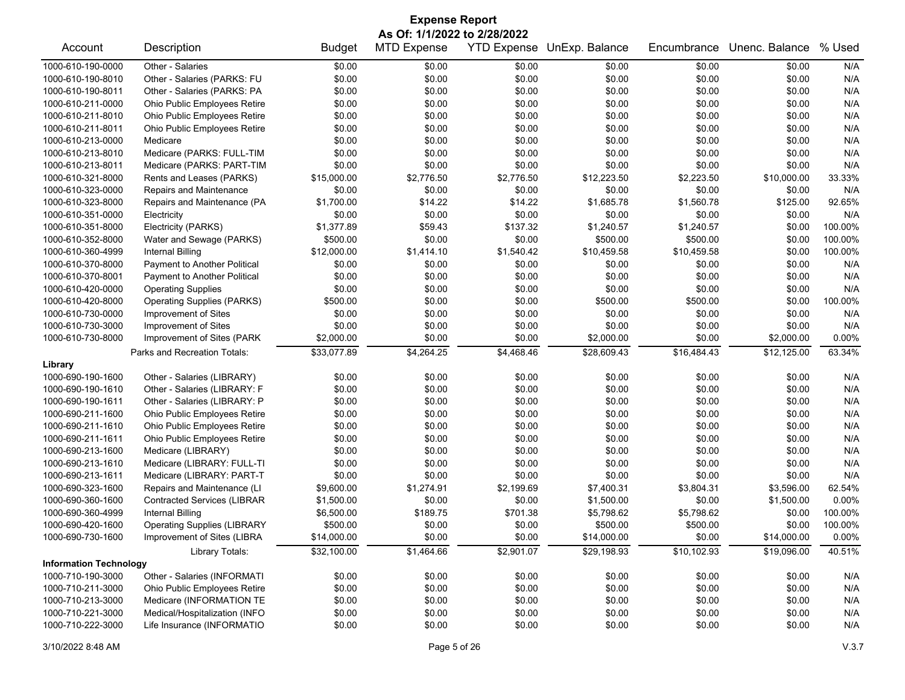| <b>Expense Report</b>         |                                     |               |                              |            |                            |             |                |         |  |
|-------------------------------|-------------------------------------|---------------|------------------------------|------------|----------------------------|-------------|----------------|---------|--|
|                               |                                     |               | As Of: 1/1/2022 to 2/28/2022 |            |                            |             |                |         |  |
| Account                       | Description                         | <b>Budget</b> | <b>MTD Expense</b>           |            | YTD Expense UnExp. Balance | Encumbrance | Unenc. Balance | % Used  |  |
| 1000-610-190-0000             | Other - Salaries                    | \$0.00        | \$0.00                       | \$0.00     | \$0.00                     | \$0.00      | \$0.00         | N/A     |  |
| 1000-610-190-8010             | Other - Salaries (PARKS: FU         | \$0.00        | \$0.00                       | \$0.00     | \$0.00                     | \$0.00      | \$0.00         | N/A     |  |
| 1000-610-190-8011             | Other - Salaries (PARKS: PA         | \$0.00        | \$0.00                       | \$0.00     | \$0.00                     | \$0.00      | \$0.00         | N/A     |  |
| 1000-610-211-0000             | Ohio Public Employees Retire        | \$0.00        | \$0.00                       | \$0.00     | \$0.00                     | \$0.00      | \$0.00         | N/A     |  |
| 1000-610-211-8010             | Ohio Public Employees Retire        | \$0.00        | \$0.00                       | \$0.00     | \$0.00                     | \$0.00      | \$0.00         | N/A     |  |
| 1000-610-211-8011             | Ohio Public Employees Retire        | \$0.00        | \$0.00                       | \$0.00     | \$0.00                     | \$0.00      | \$0.00         | N/A     |  |
| 1000-610-213-0000             | Medicare                            | \$0.00        | \$0.00                       | \$0.00     | \$0.00                     | \$0.00      | \$0.00         | N/A     |  |
| 1000-610-213-8010             | Medicare (PARKS: FULL-TIM           | \$0.00        | \$0.00                       | \$0.00     | \$0.00                     | \$0.00      | \$0.00         | N/A     |  |
| 1000-610-213-8011             | Medicare (PARKS: PART-TIM           | \$0.00        | \$0.00                       | \$0.00     | \$0.00                     | \$0.00      | \$0.00         | N/A     |  |
| 1000-610-321-8000             | Rents and Leases (PARKS)            | \$15,000.00   | \$2,776.50                   | \$2,776.50 | \$12,223.50                | \$2,223.50  | \$10,000.00    | 33.33%  |  |
| 1000-610-323-0000             | Repairs and Maintenance             | \$0.00        | \$0.00                       | \$0.00     | \$0.00                     | \$0.00      | \$0.00         | N/A     |  |
| 1000-610-323-8000             | Repairs and Maintenance (PA         | \$1,700.00    | \$14.22                      | \$14.22    | \$1,685.78                 | \$1,560.78  | \$125.00       | 92.65%  |  |
| 1000-610-351-0000             | Electricity                         | \$0.00        | \$0.00                       | \$0.00     | \$0.00                     | \$0.00      | \$0.00         | N/A     |  |
| 1000-610-351-8000             | Electricity (PARKS)                 | \$1,377.89    | \$59.43                      | \$137.32   | \$1,240.57                 | \$1,240.57  | \$0.00         | 100.00% |  |
| 1000-610-352-8000             | Water and Sewage (PARKS)            | \$500.00      | \$0.00                       | \$0.00     | \$500.00                   | \$500.00    | \$0.00         | 100.00% |  |
| 1000-610-360-4999             | <b>Internal Billing</b>             | \$12,000.00   | \$1,414.10                   | \$1,540.42 | \$10,459.58                | \$10,459.58 | \$0.00         | 100.00% |  |
| 1000-610-370-8000             | Payment to Another Political        | \$0.00        | \$0.00                       | \$0.00     | \$0.00                     | \$0.00      | \$0.00         | N/A     |  |
| 1000-610-370-8001             | <b>Payment to Another Political</b> | \$0.00        | \$0.00                       | \$0.00     | \$0.00                     | \$0.00      | \$0.00         | N/A     |  |
| 1000-610-420-0000             | <b>Operating Supplies</b>           | \$0.00        | \$0.00                       | \$0.00     | \$0.00                     | \$0.00      | \$0.00         | N/A     |  |
| 1000-610-420-8000             | <b>Operating Supplies (PARKS)</b>   | \$500.00      | \$0.00                       | \$0.00     | \$500.00                   | \$500.00    | \$0.00         | 100.00% |  |
| 1000-610-730-0000             | Improvement of Sites                | \$0.00        | \$0.00                       | \$0.00     | \$0.00                     | \$0.00      | \$0.00         | N/A     |  |
| 1000-610-730-3000             | Improvement of Sites                | \$0.00        | \$0.00                       | \$0.00     | \$0.00                     | \$0.00      | \$0.00         | N/A     |  |
| 1000-610-730-8000             | Improvement of Sites (PARK          | \$2,000.00    | \$0.00                       | \$0.00     | \$2,000.00                 | \$0.00      | \$2,000.00     | 0.00%   |  |
|                               | Parks and Recreation Totals:        | \$33,077.89   | \$4,264.25                   | \$4,468.46 | \$28,609.43                | \$16,484.43 | \$12,125.00    | 63.34%  |  |
| Library                       |                                     |               |                              |            |                            |             |                |         |  |
| 1000-690-190-1600             | Other - Salaries (LIBRARY)          | \$0.00        | \$0.00                       | \$0.00     | \$0.00                     | \$0.00      | \$0.00         | N/A     |  |
| 1000-690-190-1610             | Other - Salaries (LIBRARY: F        | \$0.00        | \$0.00                       | \$0.00     | \$0.00                     | \$0.00      | \$0.00         | N/A     |  |
| 1000-690-190-1611             | Other - Salaries (LIBRARY: P        | \$0.00        | \$0.00                       | \$0.00     | \$0.00                     | \$0.00      | \$0.00         | N/A     |  |
| 1000-690-211-1600             | Ohio Public Employees Retire        | \$0.00        | \$0.00                       | \$0.00     | \$0.00                     | \$0.00      | \$0.00         | N/A     |  |
| 1000-690-211-1610             | Ohio Public Employees Retire        | \$0.00        | \$0.00                       | \$0.00     | \$0.00                     | \$0.00      | \$0.00         | N/A     |  |
| 1000-690-211-1611             | Ohio Public Employees Retire        | \$0.00        | \$0.00                       | \$0.00     | \$0.00                     | \$0.00      | \$0.00         | N/A     |  |
| 1000-690-213-1600             | Medicare (LIBRARY)                  | \$0.00        | \$0.00                       | \$0.00     | \$0.00                     | \$0.00      | \$0.00         | N/A     |  |
| 1000-690-213-1610             | Medicare (LIBRARY: FULL-TI          | \$0.00        | \$0.00                       | \$0.00     | \$0.00                     | \$0.00      | \$0.00         | N/A     |  |
| 1000-690-213-1611             | Medicare (LIBRARY: PART-T           | \$0.00        | \$0.00                       | \$0.00     | \$0.00                     | \$0.00      | \$0.00         | N/A     |  |
| 1000-690-323-1600             | Repairs and Maintenance (LI         | \$9,600.00    | \$1,274.91                   | \$2,199.69 | \$7,400.31                 | \$3,804.31  | \$3,596.00     | 62.54%  |  |
| 1000-690-360-1600             | <b>Contracted Services (LIBRAR</b>  | \$1,500.00    | \$0.00                       | \$0.00     | \$1,500.00                 | \$0.00      | \$1,500.00     | 0.00%   |  |
| 1000-690-360-4999             | <b>Internal Billing</b>             | \$6,500.00    | \$189.75                     | \$701.38   | \$5,798.62                 | \$5,798.62  | \$0.00         | 100.00% |  |
| 1000-690-420-1600             | <b>Operating Supplies (LIBRARY</b>  | \$500.00      | \$0.00                       | \$0.00     | \$500.00                   | \$500.00    | \$0.00         | 100.00% |  |
| 1000-690-730-1600             | Improvement of Sites (LIBRA         | \$14,000.00   | \$0.00                       | \$0.00     | \$14,000.00                | \$0.00      | \$14,000.00    | 0.00%   |  |
|                               | Library Totals:                     | \$32,100.00   | \$1,464.66                   | \$2,901.07 | \$29,198.93                | \$10,102.93 | \$19,096.00    | 40.51%  |  |
| <b>Information Technology</b> |                                     |               |                              |            |                            |             |                |         |  |
| 1000-710-190-3000             | Other - Salaries (INFORMATI         | \$0.00        | \$0.00                       | \$0.00     | \$0.00                     | \$0.00      | \$0.00         | N/A     |  |
| 1000-710-211-3000             | Ohio Public Employees Retire        | \$0.00        | \$0.00                       | \$0.00     | \$0.00                     | \$0.00      | \$0.00         | N/A     |  |
| 1000-710-213-3000             | Medicare (INFORMATION TE            | \$0.00        | \$0.00                       | \$0.00     | \$0.00                     | \$0.00      | \$0.00         | N/A     |  |
| 1000-710-221-3000             | Medical/Hospitalization (INFO       | \$0.00        | \$0.00                       | \$0.00     | \$0.00                     | \$0.00      | \$0.00         | N/A     |  |
| 1000-710-222-3000             | Life Insurance (INFORMATIO          | \$0.00        | \$0.00                       | \$0.00     | \$0.00                     | \$0.00      | \$0.00         | N/A     |  |
|                               |                                     |               |                              |            |                            |             |                |         |  |

## 3/10/2022 8:48 AM Page 5 of 26 V.3.7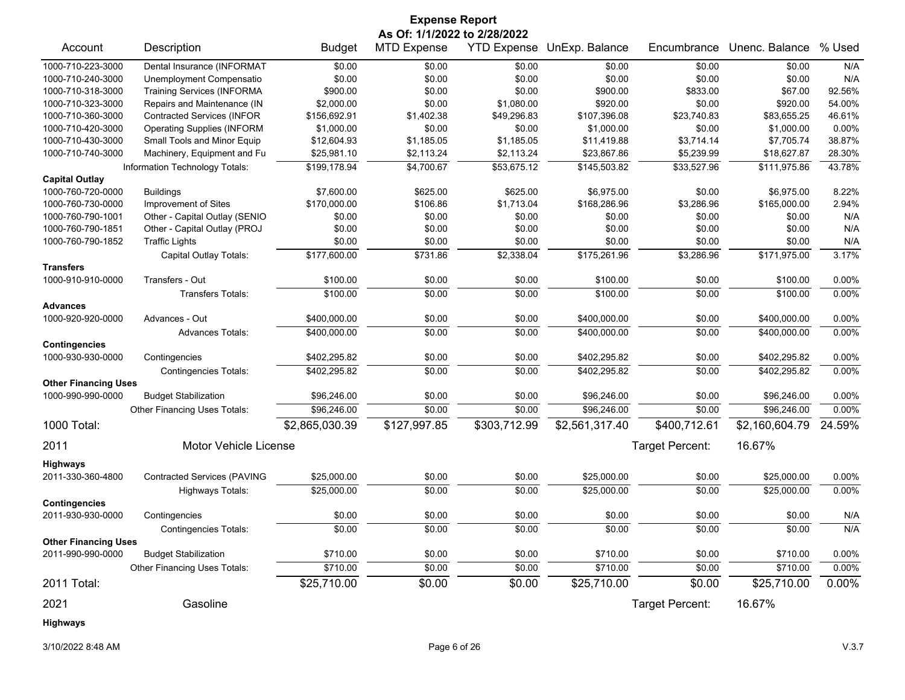| <b>Expense Report</b>       |                                    |                |                              |                    |                |                 |                |          |  |
|-----------------------------|------------------------------------|----------------|------------------------------|--------------------|----------------|-----------------|----------------|----------|--|
|                             |                                    |                | As Of: 1/1/2022 to 2/28/2022 |                    |                |                 |                |          |  |
| Account                     | Description                        | <b>Budget</b>  | <b>MTD Expense</b>           | <b>YTD Expense</b> | UnExp. Balance | Encumbrance     | Unenc. Balance | % Used   |  |
| 1000-710-223-3000           | Dental Insurance (INFORMAT         | \$0.00         | \$0.00                       | \$0.00             | \$0.00         | \$0.00          | \$0.00         | N/A      |  |
| 1000-710-240-3000           | Unemployment Compensatio           | \$0.00         | \$0.00                       | \$0.00             | \$0.00         | \$0.00          | \$0.00         | N/A      |  |
| 1000-710-318-3000           | <b>Training Services (INFORMA</b>  | \$900.00       | \$0.00                       | \$0.00             | \$900.00       | \$833.00        | \$67.00        | 92.56%   |  |
| 1000-710-323-3000           | Repairs and Maintenance (IN        | \$2,000.00     | \$0.00                       | \$1,080.00         | \$920.00       | \$0.00          | \$920.00       | 54.00%   |  |
| 1000-710-360-3000           | <b>Contracted Services (INFOR</b>  | \$156,692.91   | \$1,402.38                   | \$49,296.83        | \$107,396.08   | \$23,740.83     | \$83,655.25    | 46.61%   |  |
| 1000-710-420-3000           | <b>Operating Supplies (INFORM</b>  | \$1,000.00     | \$0.00                       | \$0.00             | \$1,000.00     | \$0.00          | \$1,000.00     | 0.00%    |  |
| 1000-710-430-3000           | Small Tools and Minor Equip        | \$12,604.93    | \$1,185.05                   | \$1,185.05         | \$11,419.88    | \$3,714.14      | \$7,705.74     | 38.87%   |  |
| 1000-710-740-3000           | Machinery, Equipment and Fu        | \$25,981.10    | \$2,113.24                   | \$2,113.24         | \$23,867.86    | \$5,239.99      | \$18,627.87    | 28.30%   |  |
|                             | Information Technology Totals:     | \$199,178.94   | \$4,700.67                   | \$53,675.12        | \$145,503.82   | \$33,527.96     | \$111,975.86   | 43.78%   |  |
| <b>Capital Outlay</b>       |                                    |                |                              |                    |                |                 |                |          |  |
| 1000-760-720-0000           | <b>Buildings</b>                   | \$7,600.00     | \$625.00                     | \$625.00           | \$6,975.00     | \$0.00          | \$6,975.00     | 8.22%    |  |
| 1000-760-730-0000           | Improvement of Sites               | \$170,000.00   | \$106.86                     | \$1,713.04         | \$168,286.96   | \$3,286.96      | \$165,000.00   | 2.94%    |  |
| 1000-760-790-1001           | Other - Capital Outlay (SENIO      | \$0.00         | \$0.00                       | \$0.00             | \$0.00         | \$0.00          | \$0.00         | N/A      |  |
| 1000-760-790-1851           | Other - Capital Outlay (PROJ       | \$0.00         | \$0.00                       | \$0.00             | \$0.00         | \$0.00          | \$0.00         | N/A      |  |
| 1000-760-790-1852           | <b>Traffic Lights</b>              | \$0.00         | \$0.00                       | \$0.00             | \$0.00         | \$0.00          | \$0.00         | N/A      |  |
|                             | Capital Outlay Totals:             | \$177,600.00   | \$731.86                     | \$2,338.04         | \$175,261.96   | \$3,286.96      | \$171,975.00   | 3.17%    |  |
| <b>Transfers</b>            |                                    |                |                              |                    |                |                 |                |          |  |
| 1000-910-910-0000           | Transfers - Out                    | \$100.00       | \$0.00                       | \$0.00             | \$100.00       | \$0.00          | \$100.00       | 0.00%    |  |
|                             | <b>Transfers Totals:</b>           | \$100.00       | \$0.00                       | \$0.00             | \$100.00       | \$0.00          | \$100.00       | 0.00%    |  |
| <b>Advances</b>             |                                    |                |                              |                    |                |                 |                |          |  |
| 1000-920-920-0000           | Advances - Out                     | \$400,000.00   | \$0.00                       | \$0.00             | \$400,000.00   | \$0.00          | \$400,000.00   | 0.00%    |  |
|                             | <b>Advances Totals:</b>            | \$400,000.00   | \$0.00                       | \$0.00             | \$400,000.00   | \$0.00          | \$400,000.00   | 0.00%    |  |
| <b>Contingencies</b>        |                                    |                |                              |                    |                |                 |                |          |  |
| 1000-930-930-0000           | Contingencies                      | \$402,295.82   | \$0.00                       | \$0.00             | \$402,295.82   | \$0.00          | \$402,295.82   | 0.00%    |  |
|                             | <b>Contingencies Totals:</b>       | \$402,295.82   | \$0.00                       | \$0.00             | \$402,295.82   | \$0.00          | \$402,295.82   | 0.00%    |  |
| <b>Other Financing Uses</b> |                                    |                |                              |                    |                |                 |                |          |  |
| 1000-990-990-0000           | <b>Budget Stabilization</b>        | \$96,246.00    | \$0.00                       | \$0.00             | \$96,246.00    | \$0.00          | \$96,246.00    | $0.00\%$ |  |
|                             | Other Financing Uses Totals:       | \$96,246.00    | \$0.00                       | \$0.00             | \$96,246.00    | \$0.00          | \$96,246.00    | $0.00\%$ |  |
| 1000 Total:                 |                                    | \$2,865,030.39 | \$127,997.85                 | \$303,712.99       | \$2,561,317.40 | \$400,712.61    | \$2,160,604.79 | 24.59%   |  |
| 2011                        | Motor Vehicle License              |                |                              |                    |                | Target Percent: | 16.67%         |          |  |
| <b>Highways</b>             |                                    |                |                              |                    |                |                 |                |          |  |
| 2011-330-360-4800           | <b>Contracted Services (PAVING</b> | \$25,000.00    | \$0.00                       | \$0.00             | \$25,000.00    | \$0.00          | \$25,000.00    | $0.00\%$ |  |
|                             | Highways Totals:                   | \$25,000.00    | \$0.00                       | \$0.00             | \$25,000.00    | \$0.00          | \$25,000.00    | 0.00%    |  |
| <b>Contingencies</b>        |                                    |                |                              |                    |                |                 |                |          |  |
| 2011-930-930-0000           | Contingencies                      | \$0.00         | \$0.00                       | \$0.00             | \$0.00         | \$0.00          | \$0.00         | N/A      |  |
|                             | <b>Contingencies Totals:</b>       | \$0.00         | \$0.00                       | \$0.00             | \$0.00         | \$0.00          | \$0.00         | N/A      |  |
| <b>Other Financing Uses</b> |                                    |                |                              |                    |                |                 |                |          |  |
| 2011-990-990-0000           | <b>Budget Stabilization</b>        | \$710.00       | \$0.00                       | \$0.00             | \$710.00       | \$0.00          | \$710.00       | 0.00%    |  |
|                             | Other Financing Uses Totals:       | \$710.00       | \$0.00                       | \$0.00             | \$710.00       | \$0.00          | \$710.00       | 0.00%    |  |
| 2011 Total:                 |                                    | \$25,710.00    | \$0.00                       | \$0.00             | \$25,710.00    | \$0.00          | \$25,710.00    | 0.00%    |  |
| 2021                        | Gasoline                           |                |                              |                    |                | Target Percent: | 16.67%         |          |  |
| Highways                    |                                    |                |                              |                    |                |                 |                |          |  |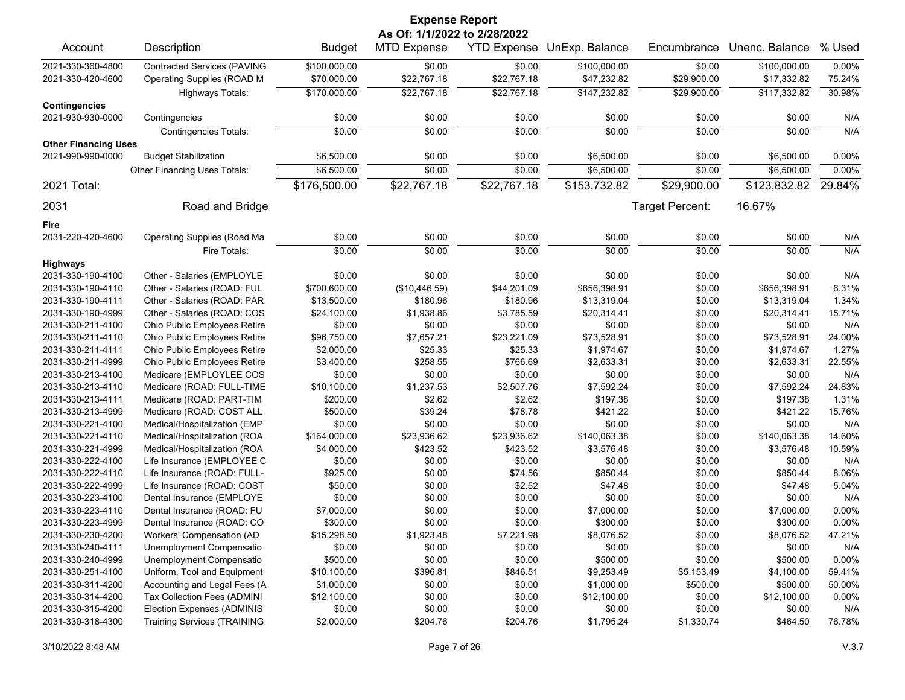|                             | <b>Expense Report</b>              |               |                              |                    |                |                 |                |          |  |  |
|-----------------------------|------------------------------------|---------------|------------------------------|--------------------|----------------|-----------------|----------------|----------|--|--|
|                             |                                    |               | As Of: 1/1/2022 to 2/28/2022 |                    |                |                 |                |          |  |  |
| Account                     | Description                        | <b>Budget</b> | <b>MTD Expense</b>           | <b>YTD Expense</b> | UnExp. Balance | Encumbrance     | Unenc. Balance | % Used   |  |  |
| 2021-330-360-4800           | <b>Contracted Services (PAVING</b> | \$100,000.00  | \$0.00                       | \$0.00             | \$100,000.00   | \$0.00          | \$100,000.00   | 0.00%    |  |  |
| 2021-330-420-4600           | Operating Supplies (ROAD M         | \$70,000.00   | \$22,767.18                  | \$22,767.18        | \$47,232.82    | \$29,900.00     | \$17,332.82    | 75.24%   |  |  |
|                             | Highways Totals:                   | \$170,000.00  | \$22,767.18                  | \$22,767.18        | \$147,232.82   | \$29,900.00     | \$117,332.82   | 30.98%   |  |  |
| <b>Contingencies</b>        |                                    |               |                              |                    |                |                 |                |          |  |  |
| 2021-930-930-0000           | Contingencies                      | \$0.00        | \$0.00                       | \$0.00             | \$0.00         | \$0.00          | \$0.00         | N/A      |  |  |
|                             | <b>Contingencies Totals:</b>       | \$0.00        | \$0.00                       | \$0.00             | \$0.00         | \$0.00          | \$0.00         | N/A      |  |  |
| <b>Other Financing Uses</b> |                                    |               |                              |                    |                |                 |                |          |  |  |
| 2021-990-990-0000           | <b>Budget Stabilization</b>        | \$6,500.00    | \$0.00                       | \$0.00             | \$6,500.00     | \$0.00          | \$6,500.00     | 0.00%    |  |  |
|                             | Other Financing Uses Totals:       | \$6,500.00    | \$0.00                       | \$0.00             | \$6,500.00     | \$0.00          | \$6,500.00     | 0.00%    |  |  |
| 2021 Total:                 |                                    | \$176,500.00  | \$22,767.18                  | \$22,767.18        | \$153,732.82   | \$29,900.00     | \$123,832.82   | 29.84%   |  |  |
|                             |                                    |               |                              |                    |                |                 |                |          |  |  |
| 2031                        | Road and Bridge                    |               |                              |                    |                | Target Percent: | 16.67%         |          |  |  |
| Fire                        |                                    |               |                              |                    |                |                 |                |          |  |  |
| 2031-220-420-4600           | <b>Operating Supplies (Road Ma</b> | \$0.00        | \$0.00                       | \$0.00             | \$0.00         | \$0.00          | \$0.00         | N/A      |  |  |
|                             | Fire Totals:                       | \$0.00        | \$0.00                       | \$0.00             | \$0.00         | \$0.00          | \$0.00         | N/A      |  |  |
| <b>Highways</b>             |                                    |               |                              |                    |                |                 |                |          |  |  |
| 2031-330-190-4100           | Other - Salaries (EMPLOYLE         | \$0.00        | \$0.00                       | \$0.00             | \$0.00         | \$0.00          | \$0.00         | N/A      |  |  |
| 2031-330-190-4110           | Other - Salaries (ROAD: FUL        | \$700,600.00  | (\$10,446.59)                | \$44,201.09        | \$656,398.91   | \$0.00          | \$656,398.91   | 6.31%    |  |  |
| 2031-330-190-4111           | Other - Salaries (ROAD: PAR        | \$13,500.00   | \$180.96                     | \$180.96           | \$13,319.04    | \$0.00          | \$13,319.04    | 1.34%    |  |  |
| 2031-330-190-4999           | Other - Salaries (ROAD: COS        | \$24,100.00   | \$1,938.86                   | \$3,785.59         | \$20,314.41    | \$0.00          | \$20,314.41    | 15.71%   |  |  |
| 2031-330-211-4100           | Ohio Public Employees Retire       | \$0.00        | \$0.00                       | \$0.00             | \$0.00         | \$0.00          | \$0.00         | N/A      |  |  |
| 2031-330-211-4110           | Ohio Public Employees Retire       | \$96,750.00   | \$7,657.21                   | \$23,221.09        | \$73,528.91    | \$0.00          | \$73,528.91    | 24.00%   |  |  |
| 2031-330-211-4111           | Ohio Public Employees Retire       | \$2,000.00    | \$25.33                      | \$25.33            | \$1,974.67     | \$0.00          | \$1,974.67     | 1.27%    |  |  |
| 2031-330-211-4999           | Ohio Public Employees Retire       | \$3,400.00    | \$258.55                     | \$766.69           | \$2,633.31     | \$0.00          | \$2,633.31     | 22.55%   |  |  |
| 2031-330-213-4100           | Medicare (EMPLOYLEE COS            | \$0.00        | \$0.00                       | \$0.00             | \$0.00         | \$0.00          | \$0.00         | N/A      |  |  |
| 2031-330-213-4110           | Medicare (ROAD: FULL-TIME          | \$10,100.00   | \$1,237.53                   | \$2,507.76         | \$7,592.24     | \$0.00          | \$7,592.24     | 24.83%   |  |  |
| 2031-330-213-4111           | Medicare (ROAD: PART-TIM           | \$200.00      | \$2.62                       | \$2.62             | \$197.38       | \$0.00          | \$197.38       | 1.31%    |  |  |
| 2031-330-213-4999           | Medicare (ROAD: COST ALL           | \$500.00      | \$39.24                      | \$78.78            | \$421.22       | \$0.00          | \$421.22       | 15.76%   |  |  |
| 2031-330-221-4100           | Medical/Hospitalization (EMP       | \$0.00        | \$0.00                       | \$0.00             | \$0.00         | \$0.00          | \$0.00         | N/A      |  |  |
| 2031-330-221-4110           | Medical/Hospitalization (ROA       | \$164,000.00  | \$23,936.62                  | \$23,936.62        | \$140,063.38   | \$0.00          | \$140,063.38   | 14.60%   |  |  |
| 2031-330-221-4999           | Medical/Hospitalization (ROA       | \$4,000.00    | \$423.52                     | \$423.52           | \$3,576.48     | \$0.00          | \$3,576.48     | 10.59%   |  |  |
| 2031-330-222-4100           | Life Insurance (EMPLOYEE C         | \$0.00        | \$0.00                       | \$0.00             | \$0.00         | \$0.00          | \$0.00         | N/A      |  |  |
| 2031-330-222-4110           | Life Insurance (ROAD: FULL-        | \$925.00      | \$0.00                       | \$74.56            | \$850.44       | \$0.00          | \$850.44       | 8.06%    |  |  |
| 2031-330-222-4999           | Life Insurance (ROAD: COST         | \$50.00       | \$0.00                       | \$2.52             | \$47.48        | \$0.00          | \$47.48        | 5.04%    |  |  |
| 2031-330-223-4100           | Dental Insurance (EMPLOYE          | \$0.00        | \$0.00                       | \$0.00             | \$0.00         | \$0.00          | \$0.00         | N/A      |  |  |
| 2031-330-223-4110           | Dental Insurance (ROAD: FU         | \$7,000.00    | \$0.00                       | \$0.00             | \$7,000.00     | \$0.00          | \$7,000.00     | 0.00%    |  |  |
| 2031-330-223-4999           | Dental Insurance (ROAD: CO         | \$300.00      | \$0.00                       | \$0.00             | \$300.00       | \$0.00          | \$300.00       | $0.00\%$ |  |  |
| 2031-330-230-4200           | Workers' Compensation (AD          | \$15,298.50   | \$1,923.48                   | \$7,221.98         | \$8,076.52     | \$0.00          | \$8,076.52     | 47.21%   |  |  |
| 2031-330-240-4111           | Unemployment Compensatio           | \$0.00        | \$0.00                       | \$0.00             | \$0.00         | \$0.00          | \$0.00         | N/A      |  |  |
| 2031-330-240-4999           | Unemployment Compensatio           | \$500.00      | \$0.00                       | \$0.00             | \$500.00       | \$0.00          | \$500.00       | 0.00%    |  |  |
| 2031-330-251-4100           | Uniform, Tool and Equipment        | \$10,100.00   | \$396.81                     | \$846.51           | \$9,253.49     | \$5,153.49      | \$4,100.00     | 59.41%   |  |  |
| 2031-330-311-4200           | Accounting and Legal Fees (A       | \$1,000.00    | \$0.00                       | \$0.00             | \$1,000.00     | \$500.00        | \$500.00       | 50.00%   |  |  |
| 2031-330-314-4200           | Tax Collection Fees (ADMINI        | \$12,100.00   | \$0.00                       | \$0.00             | \$12,100.00    | \$0.00          | \$12,100.00    | 0.00%    |  |  |
| 2031-330-315-4200           | Election Expenses (ADMINIS         | \$0.00        | \$0.00                       | \$0.00             | \$0.00         | \$0.00          | \$0.00         | N/A      |  |  |
| 2031-330-318-4300           | <b>Training Services (TRAINING</b> | \$2,000.00    | \$204.76                     | \$204.76           | \$1,795.24     | \$1,330.74      | \$464.50       | 76.78%   |  |  |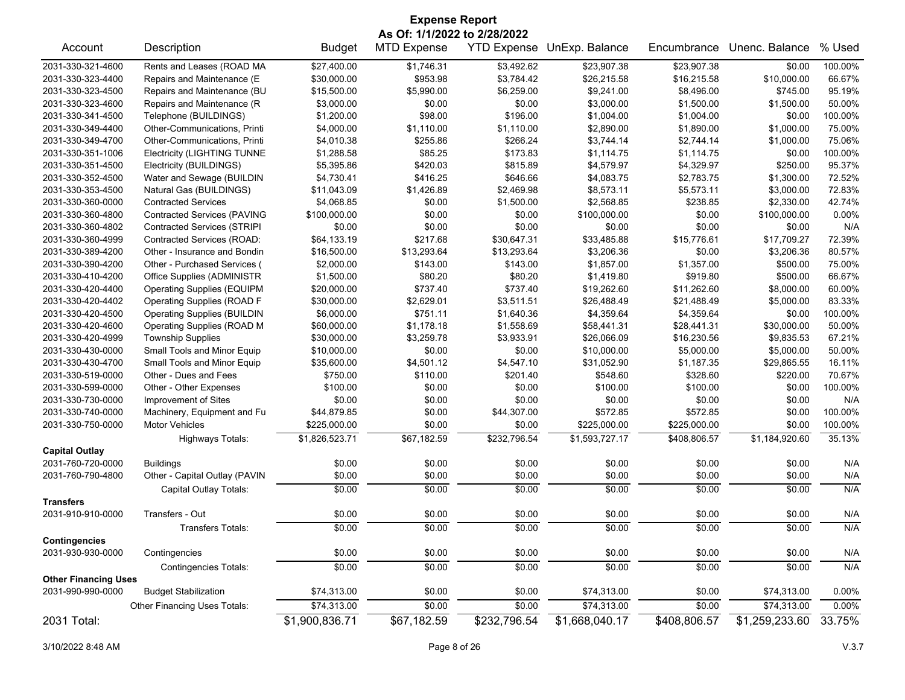| <b>Expense Report</b>                                             |                                    |                |                    |              |                |              |                |         |
|-------------------------------------------------------------------|------------------------------------|----------------|--------------------|--------------|----------------|--------------|----------------|---------|
| As Of: 1/1/2022 to 2/28/2022<br><b>YTD Expense UnExp. Balance</b> |                                    |                |                    |              |                |              |                |         |
| Account                                                           | Description                        | <b>Budget</b>  | <b>MTD Expense</b> |              |                | Encumbrance  | Unenc. Balance | % Used  |
| 2031-330-321-4600                                                 | Rents and Leases (ROAD MA          | \$27,400.00    | \$1,746.31         | \$3,492.62   | \$23,907.38    | \$23,907.38  | \$0.00         | 100.00% |
| 2031-330-323-4400                                                 | Repairs and Maintenance (E         | \$30,000.00    | \$953.98           | \$3,784.42   | \$26,215.58    | \$16,215.58  | \$10,000.00    | 66.67%  |
| 2031-330-323-4500                                                 | Repairs and Maintenance (BU        | \$15,500.00    | \$5,990.00         | \$6,259.00   | \$9,241.00     | \$8,496.00   | \$745.00       | 95.19%  |
| 2031-330-323-4600                                                 | Repairs and Maintenance (R         | \$3,000.00     | \$0.00             | \$0.00       | \$3,000.00     | \$1,500.00   | \$1,500.00     | 50.00%  |
| 2031-330-341-4500                                                 | Telephone (BUILDINGS)              | \$1,200.00     | \$98.00            | \$196.00     | \$1,004.00     | \$1,004.00   | \$0.00         | 100.00% |
| 2031-330-349-4400                                                 | Other-Communications, Printi       | \$4,000.00     | \$1,110.00         | \$1,110.00   | \$2,890.00     | \$1,890.00   | \$1.000.00     | 75.00%  |
| 2031-330-349-4700                                                 | Other-Communications, Printi       | \$4,010.38     | \$255.86           | \$266.24     | \$3,744.14     | \$2,744.14   | \$1,000.00     | 75.06%  |
| 2031-330-351-1006                                                 | <b>Electricity (LIGHTING TUNNE</b> | \$1,288.58     | \$85.25            | \$173.83     | \$1,114.75     | \$1,114.75   | \$0.00         | 100.00% |
| 2031-330-351-4500                                                 | Electricity (BUILDINGS)            | \$5,395.86     | \$420.03           | \$815.89     | \$4,579.97     | \$4,329.97   | \$250.00       | 95.37%  |
| 2031-330-352-4500                                                 | Water and Sewage (BUILDIN          | \$4,730.41     | \$416.25           | \$646.66     | \$4,083.75     | \$2,783.75   | \$1,300.00     | 72.52%  |
| 2031-330-353-4500                                                 | Natural Gas (BUILDINGS)            | \$11,043.09    | \$1,426.89         | \$2,469.98   | \$8,573.11     | \$5,573.11   | \$3,000.00     | 72.83%  |
| 2031-330-360-0000                                                 | <b>Contracted Services</b>         | \$4,068.85     | \$0.00             | \$1,500.00   | \$2,568.85     | \$238.85     | \$2,330.00     | 42.74%  |
| 2031-330-360-4800                                                 | <b>Contracted Services (PAVING</b> | \$100,000.00   | \$0.00             | \$0.00       | \$100,000.00   | \$0.00       | \$100,000.00   | 0.00%   |
| 2031-330-360-4802                                                 | <b>Contracted Services (STRIPI</b> | \$0.00         | \$0.00             | \$0.00       | \$0.00         | \$0.00       | \$0.00         | N/A     |
| 2031-330-360-4999                                                 | Contracted Services (ROAD:         | \$64.133.19    | \$217.68           | \$30,647.31  | \$33,485.88    | \$15,776.61  | \$17,709.27    | 72.39%  |
| 2031-330-389-4200                                                 | Other - Insurance and Bondin       | \$16,500.00    | \$13,293.64        | \$13,293.64  | \$3,206.36     | \$0.00       | \$3,206.36     | 80.57%  |
| 2031-330-390-4200                                                 | Other - Purchased Services (       | \$2,000.00     | \$143.00           | \$143.00     | \$1,857.00     | \$1,357.00   | \$500.00       | 75.00%  |
| 2031-330-410-4200                                                 | Office Supplies (ADMINISTR         | \$1,500.00     | \$80.20            | \$80.20      | \$1,419.80     | \$919.80     | \$500.00       | 66.67%  |
| 2031-330-420-4400                                                 | <b>Operating Supplies (EQUIPM</b>  | \$20,000.00    | \$737.40           | \$737.40     | \$19,262.60    | \$11,262.60  | \$8,000.00     | 60.00%  |
| 2031-330-420-4402                                                 | <b>Operating Supplies (ROAD F</b>  | \$30,000.00    | \$2,629.01         | \$3,511.51   | \$26,488.49    | \$21,488.49  | \$5,000.00     | 83.33%  |
| 2031-330-420-4500                                                 | <b>Operating Supplies (BUILDIN</b> | \$6,000.00     | \$751.11           | \$1,640.36   | \$4,359.64     | \$4,359.64   | \$0.00         | 100.00% |
| 2031-330-420-4600                                                 | Operating Supplies (ROAD M         | \$60,000.00    | \$1,178.18         | \$1,558.69   | \$58,441.31    | \$28,441.31  | \$30,000.00    | 50.00%  |
| 2031-330-420-4999                                                 | <b>Township Supplies</b>           | \$30,000.00    | \$3,259.78         | \$3,933.91   | \$26,066.09    | \$16,230.56  | \$9,835.53     | 67.21%  |
| 2031-330-430-0000                                                 | Small Tools and Minor Equip        | \$10,000.00    | \$0.00             | \$0.00       | \$10,000.00    | \$5,000.00   | \$5,000.00     | 50.00%  |
| 2031-330-430-4700                                                 | Small Tools and Minor Equip        | \$35,600.00    | \$4,501.12         | \$4,547.10   | \$31,052.90    | \$1,187.35   | \$29,865.55    | 16.11%  |
| 2031-330-519-0000                                                 | Other - Dues and Fees              | \$750.00       | \$110.00           | \$201.40     | \$548.60       | \$328.60     | \$220.00       | 70.67%  |
| 2031-330-599-0000                                                 | Other - Other Expenses             | \$100.00       | \$0.00             | \$0.00       | \$100.00       | \$100.00     | \$0.00         | 100.00% |
| 2031-330-730-0000                                                 | Improvement of Sites               | \$0.00         | \$0.00             | \$0.00       | \$0.00         | \$0.00       | \$0.00         | N/A     |
| 2031-330-740-0000                                                 | Machinery, Equipment and Fu        | \$44,879.85    | \$0.00             | \$44,307.00  | \$572.85       | \$572.85     | \$0.00         | 100.00% |
| 2031-330-750-0000                                                 | Motor Vehicles                     | \$225,000.00   | \$0.00             | \$0.00       | \$225,000.00   | \$225,000.00 | \$0.00         | 100.00% |
|                                                                   |                                    |                |                    |              |                |              |                |         |
| <b>Capital Outlay</b>                                             | <b>Highways Totals:</b>            | \$1,826,523.71 | \$67,182.59        | \$232,796.54 | \$1,593,727.17 | \$408,806.57 | \$1,184,920.60 | 35.13%  |
| 2031-760-720-0000                                                 | <b>Buildings</b>                   | \$0.00         | \$0.00             | \$0.00       | \$0.00         | \$0.00       | \$0.00         | N/A     |
|                                                                   | Other - Capital Outlay (PAVIN      | \$0.00         | \$0.00             | \$0.00       |                | \$0.00       |                |         |
| 2031-760-790-4800                                                 |                                    |                |                    |              | \$0.00         |              | \$0.00         | N/A     |
|                                                                   | Capital Outlay Totals:             | \$0.00         | \$0.00             | \$0.00       | \$0.00         | \$0.00       | \$0.00         | N/A     |
| <b>Transfers</b><br>2031-910-910-0000                             | Transfers - Out                    | \$0.00         | \$0.00             | \$0.00       | \$0.00         | \$0.00       | \$0.00         | N/A     |
|                                                                   | Transfers Totals:                  | \$0.00         | \$0.00             | \$0.00       | \$0.00         | \$0.00       | \$0.00         | N/A     |
| <b>Contingencies</b>                                              |                                    |                |                    |              |                |              |                |         |
| 2031-930-930-0000                                                 | Contingencies                      | \$0.00         | \$0.00             | \$0.00       | \$0.00         | \$0.00       | \$0.00         | N/A     |
|                                                                   | <b>Contingencies Totals:</b>       | \$0.00         | \$0.00             | \$0.00       | \$0.00         | \$0.00       | \$0.00         | N/A     |
| <b>Other Financing Uses</b>                                       |                                    |                |                    |              |                |              |                |         |
| 2031-990-990-0000                                                 | <b>Budget Stabilization</b>        | \$74,313.00    | \$0.00             | \$0.00       | \$74,313.00    | \$0.00       | \$74,313.00    | 0.00%   |
|                                                                   | Other Financing Uses Totals:       | \$74,313.00    | \$0.00             | \$0.00       | \$74,313.00    | \$0.00       | \$74,313.00    | 0.00%   |
| 2031 Total:                                                       |                                    | \$1,900,836.71 | \$67,182.59        | \$232,796.54 | \$1,668,040.17 | \$408,806.57 | \$1,259,233.60 | 33.75%  |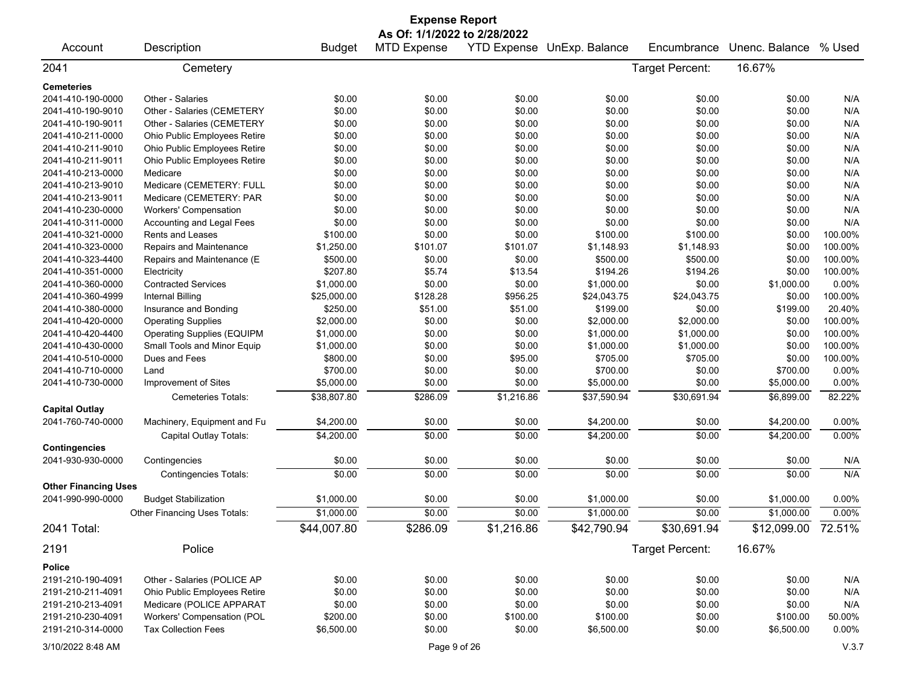|                             |                                   |               | <b>Expense Report</b>        |            |                            |                 |                                |         |
|-----------------------------|-----------------------------------|---------------|------------------------------|------------|----------------------------|-----------------|--------------------------------|---------|
|                             |                                   |               | As Of: 1/1/2022 to 2/28/2022 |            |                            |                 |                                |         |
| Account                     | Description                       | <b>Budget</b> | <b>MTD Expense</b>           |            | YTD Expense UnExp. Balance | Encumbrance     | Unenc. Balance                 | % Used  |
| 2041                        | Cemetery                          |               |                              |            |                            | Target Percent: | 16.67%                         |         |
| <b>Cemeteries</b>           |                                   |               |                              |            |                            |                 |                                |         |
| 2041-410-190-0000           | Other - Salaries                  | \$0.00        | \$0.00                       | \$0.00     | \$0.00                     | \$0.00          | \$0.00                         | N/A     |
| 2041-410-190-9010           | Other - Salaries (CEMETERY        | \$0.00        | \$0.00                       | \$0.00     | \$0.00                     | \$0.00          | \$0.00                         | N/A     |
| 2041-410-190-9011           | Other - Salaries (CEMETERY        | \$0.00        | \$0.00                       | \$0.00     | \$0.00                     | \$0.00          | \$0.00                         | N/A     |
| 2041-410-211-0000           | Ohio Public Employees Retire      | \$0.00        | \$0.00                       | \$0.00     | \$0.00                     | \$0.00          | \$0.00                         | N/A     |
| 2041-410-211-9010           | Ohio Public Employees Retire      | \$0.00        | \$0.00                       | \$0.00     | \$0.00                     | \$0.00          | \$0.00                         | N/A     |
| 2041-410-211-9011           | Ohio Public Employees Retire      | \$0.00        | \$0.00                       | \$0.00     | \$0.00                     | \$0.00          | \$0.00                         | N/A     |
| 2041-410-213-0000           | Medicare                          | \$0.00        | \$0.00                       | \$0.00     | \$0.00                     | \$0.00          | \$0.00                         | N/A     |
| 2041-410-213-9010           | Medicare (CEMETERY: FULL          | \$0.00        | \$0.00                       | \$0.00     | \$0.00                     | \$0.00          | \$0.00                         | N/A     |
| 2041-410-213-9011           | Medicare (CEMETERY: PAR           | \$0.00        | \$0.00                       | \$0.00     | \$0.00                     | \$0.00          | \$0.00                         | N/A     |
| 2041-410-230-0000           | <b>Workers' Compensation</b>      | \$0.00        | \$0.00                       | \$0.00     | \$0.00                     | \$0.00          | \$0.00                         | N/A     |
| 2041-410-311-0000           | Accounting and Legal Fees         | \$0.00        | \$0.00                       | \$0.00     | \$0.00                     | \$0.00          | \$0.00                         | N/A     |
| 2041-410-321-0000           | Rents and Leases                  | \$100.00      | \$0.00                       | \$0.00     | \$100.00                   | \$100.00        | \$0.00                         | 100.00% |
| 2041-410-323-0000           | Repairs and Maintenance           | \$1,250.00    | \$101.07                     | \$101.07   | \$1,148.93                 | \$1,148.93      | \$0.00                         | 100.00% |
| 2041-410-323-4400           | Repairs and Maintenance (E        | \$500.00      | \$0.00                       | \$0.00     | \$500.00                   | \$500.00        | \$0.00                         | 100.00% |
| 2041-410-351-0000           | Electricity                       | \$207.80      | \$5.74                       | \$13.54    | \$194.26                   | \$194.26        | \$0.00                         | 100.00% |
| 2041-410-360-0000           | <b>Contracted Services</b>        | \$1,000.00    | \$0.00                       | \$0.00     | \$1,000.00                 | \$0.00          | \$1,000.00                     | 0.00%   |
| 2041-410-360-4999           | <b>Internal Billing</b>           | \$25,000.00   | \$128.28                     | \$956.25   | \$24,043.75                | \$24,043.75     | \$0.00                         | 100.00% |
| 2041-410-380-0000           | Insurance and Bonding             | \$250.00      | \$51.00                      | \$51.00    | \$199.00                   | \$0.00          | \$199.00                       | 20.40%  |
| 2041-410-420-0000           | <b>Operating Supplies</b>         | \$2,000.00    | \$0.00                       | \$0.00     | \$2,000.00                 | \$2,000.00      | \$0.00                         | 100.00% |
| 2041-410-420-4400           | <b>Operating Supplies (EQUIPM</b> | \$1,000.00    | \$0.00                       | \$0.00     | \$1,000.00                 | \$1,000.00      | \$0.00                         | 100.00% |
| 2041-410-430-0000           | Small Tools and Minor Equip       | \$1,000.00    | \$0.00                       | \$0.00     | \$1,000.00                 | \$1,000.00      | \$0.00                         | 100.00% |
| 2041-410-510-0000           | Dues and Fees                     | \$800.00      | \$0.00                       | \$95.00    | \$705.00                   | \$705.00        | \$0.00                         | 100.00% |
| 2041-410-710-0000           | Land                              | \$700.00      | \$0.00                       | \$0.00     | \$700.00                   | \$0.00          | \$700.00                       | 0.00%   |
| 2041-410-730-0000           | Improvement of Sites              | \$5,000.00    | \$0.00                       | \$0.00     | \$5,000.00                 | \$0.00          | \$5,000.00                     | 0.00%   |
|                             | Cemeteries Totals:                | \$38,807.80   | \$286.09                     | \$1,216.86 | \$37,590.94                | \$30,691.94     | \$6,899.00                     | 82.22%  |
| <b>Capital Outlay</b>       |                                   |               |                              |            |                            |                 |                                |         |
| 2041-760-740-0000           | Machinery, Equipment and Fu       | \$4,200.00    | \$0.00                       | \$0.00     | \$4,200.00                 | \$0.00          | \$4,200.00                     | 0.00%   |
|                             | Capital Outlay Totals:            | \$4,200.00    | \$0.00                       | \$0.00     | \$4,200.00                 | \$0.00          | \$4,200.00                     | 0.00%   |
| <b>Contingencies</b>        |                                   |               |                              |            |                            |                 |                                |         |
| 2041-930-930-0000           | Contingencies                     | \$0.00        | \$0.00                       | \$0.00     | \$0.00                     | \$0.00          | \$0.00                         | N/A     |
|                             | <b>Contingencies Totals:</b>      | \$0.00        | \$0.00                       | \$0.00     | \$0.00                     | \$0.00          | \$0.00                         | N/A     |
| <b>Other Financing Uses</b> |                                   |               |                              |            |                            |                 |                                |         |
| 2041-990-990-0000           | <b>Budget Stabilization</b>       | \$1,000.00    | \$0.00                       | \$0.00     | \$1,000.00                 | \$0.00          | \$1,000.00                     | 0.00%   |
|                             | Other Financing Uses Totals:      | \$1,000.00    | \$0.00                       | \$0.00     | \$1,000.00                 | \$0.00          | \$1,000.00                     | 0.00%   |
| 2041 Total:                 |                                   | \$44,007.80   | \$286.09                     | \$1,216.86 | \$42,790.94                | \$30,691.94     | $\overline{$12,099.00}$ 72.51% |         |
| 2191                        | Police                            |               |                              |            |                            | Target Percent: | 16.67%                         |         |
| <b>Police</b>               |                                   |               |                              |            |                            |                 |                                |         |
| 2191-210-190-4091           | Other - Salaries (POLICE AP       | \$0.00        | \$0.00                       | \$0.00     | \$0.00                     | \$0.00          | \$0.00                         | N/A     |
| 2191-210-211-4091           | Ohio Public Employees Retire      | \$0.00        | \$0.00                       | \$0.00     | \$0.00                     | \$0.00          | \$0.00                         | N/A     |
| 2191-210-213-4091           | Medicare (POLICE APPARAT          | \$0.00        | \$0.00                       | \$0.00     | \$0.00                     | \$0.00          | \$0.00                         | N/A     |
| 2191-210-230-4091           | Workers' Compensation (POL        | \$200.00      | \$0.00                       | \$100.00   | \$100.00                   | \$0.00          | \$100.00                       | 50.00%  |
| 2191-210-314-0000           | <b>Tax Collection Fees</b>        | \$6,500.00    | \$0.00                       | \$0.00     | \$6,500.00                 | \$0.00          | \$6,500.00                     | 0.00%   |
|                             |                                   |               |                              |            |                            |                 |                                |         |
| 3/10/2022 8:48 AM           |                                   |               | Page 9 of 26                 |            |                            |                 |                                | V.3.7   |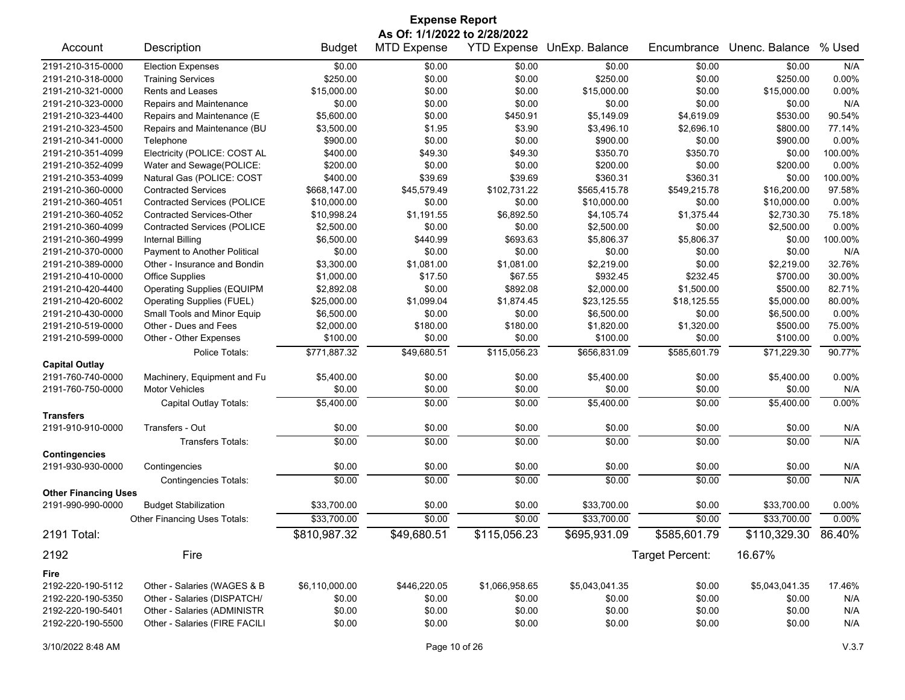| <b>Expense Report</b>                     |                                     |                |                                                    |                |                            |                 |                |         |
|-------------------------------------------|-------------------------------------|----------------|----------------------------------------------------|----------------|----------------------------|-----------------|----------------|---------|
| Account                                   | Description                         | <b>Budget</b>  | As Of: 1/1/2022 to 2/28/2022<br><b>MTD Expense</b> |                | YTD Expense UnExp. Balance | Encumbrance     | Unenc. Balance | % Used  |
|                                           |                                     |                |                                                    |                |                            |                 |                |         |
| 2191-210-315-0000                         | <b>Election Expenses</b>            | \$0.00         | \$0.00                                             | \$0.00         | \$0.00                     | \$0.00          | \$0.00         | N/A     |
| 2191-210-318-0000                         | <b>Training Services</b>            | \$250.00       | \$0.00                                             | \$0.00         | \$250.00                   | \$0.00          | \$250.00       | 0.00%   |
| 2191-210-321-0000                         | <b>Rents and Leases</b>             | \$15,000.00    | \$0.00                                             | \$0.00         | \$15,000.00                | \$0.00          | \$15,000.00    | 0.00%   |
| 2191-210-323-0000                         | Repairs and Maintenance             | \$0.00         | \$0.00                                             | \$0.00         | \$0.00                     | \$0.00          | \$0.00         | N/A     |
| 2191-210-323-4400                         | Repairs and Maintenance (E          | \$5,600.00     | \$0.00                                             | \$450.91       | \$5,149.09                 | \$4,619.09      | \$530.00       | 90.54%  |
| 2191-210-323-4500                         | Repairs and Maintenance (BU         | \$3,500.00     | \$1.95                                             | \$3.90         | \$3,496.10                 | \$2,696.10      | \$800.00       | 77.14%  |
| 2191-210-341-0000                         | Telephone                           | \$900.00       | \$0.00                                             | \$0.00         | \$900.00                   | \$0.00          | \$900.00       | 0.00%   |
| 2191-210-351-4099                         | Electricity (POLICE: COST AL        | \$400.00       | \$49.30                                            | \$49.30        | \$350.70                   | \$350.70        | \$0.00         | 100.00% |
| 2191-210-352-4099                         | Water and Sewage(POLICE:            | \$200.00       | \$0.00                                             | \$0.00         | \$200.00                   | \$0.00          | \$200.00       | 0.00%   |
| 2191-210-353-4099                         | Natural Gas (POLICE: COST           | \$400.00       | \$39.69                                            | \$39.69        | \$360.31                   | \$360.31        | \$0.00         | 100.00% |
| 2191-210-360-0000                         | <b>Contracted Services</b>          | \$668,147.00   | \$45,579.49                                        | \$102,731.22   | \$565,415.78               | \$549,215.78    | \$16,200.00    | 97.58%  |
| 2191-210-360-4051                         | <b>Contracted Services (POLICE</b>  | \$10,000.00    | \$0.00                                             | \$0.00         | \$10,000.00                | \$0.00          | \$10,000.00    | 0.00%   |
| 2191-210-360-4052                         | <b>Contracted Services-Other</b>    | \$10,998.24    | \$1,191.55                                         | \$6,892.50     | \$4,105.74                 | \$1,375.44      | \$2,730.30     | 75.18%  |
| 2191-210-360-4099                         | <b>Contracted Services (POLICE</b>  | \$2,500.00     | \$0.00                                             | \$0.00         | \$2,500.00                 | \$0.00          | \$2,500.00     | 0.00%   |
| 2191-210-360-4999                         | <b>Internal Billing</b>             | \$6,500.00     | \$440.99                                           | \$693.63       | \$5,806.37                 | \$5,806.37      | \$0.00         | 100.00% |
| 2191-210-370-0000                         | Payment to Another Political        | \$0.00         | \$0.00                                             | \$0.00         | \$0.00                     | \$0.00          | \$0.00         | N/A     |
| 2191-210-389-0000                         | Other - Insurance and Bondin        | \$3,300.00     | \$1,081.00                                         | \$1,081.00     | \$2,219.00                 | \$0.00          | \$2,219.00     | 32.76%  |
| 2191-210-410-0000                         | <b>Office Supplies</b>              | \$1,000.00     | \$17.50                                            | \$67.55        | \$932.45                   | \$232.45        | \$700.00       | 30.00%  |
| 2191-210-420-4400                         | <b>Operating Supplies (EQUIPM</b>   | \$2,892.08     | \$0.00                                             | \$892.08       | \$2,000.00                 | \$1,500.00      | \$500.00       | 82.71%  |
| 2191-210-420-6002                         | <b>Operating Supplies (FUEL)</b>    | \$25,000.00    | \$1,099.04                                         | \$1,874.45     | \$23,125.55                | \$18,125.55     | \$5,000.00     | 80.00%  |
| 2191-210-430-0000                         | Small Tools and Minor Equip         | \$6,500.00     | \$0.00                                             | \$0.00         | \$6,500.00                 | \$0.00          | \$6,500.00     | 0.00%   |
| 2191-210-519-0000                         | Other - Dues and Fees               | \$2,000.00     | \$180.00                                           | \$180.00       | \$1,820.00                 | \$1,320.00      | \$500.00       | 75.00%  |
| 2191-210-599-0000                         | Other - Other Expenses              | \$100.00       | \$0.00                                             | \$0.00         | \$100.00                   | \$0.00          | \$100.00       | 0.00%   |
|                                           | Police Totals:                      | \$771,887.32   | \$49,680.51                                        | \$115,056.23   | \$656,831.09               | \$585,601.79    | \$71,229.30    | 90.77%  |
| <b>Capital Outlay</b>                     |                                     |                |                                                    |                |                            |                 |                |         |
| 2191-760-740-0000                         | Machinery, Equipment and Fu         | \$5,400.00     | \$0.00                                             | \$0.00         | \$5,400.00                 | \$0.00          | \$5,400.00     | 0.00%   |
| 2191-760-750-0000                         | <b>Motor Vehicles</b>               | \$0.00         | \$0.00                                             | \$0.00         | \$0.00                     | \$0.00          | \$0.00         | N/A     |
|                                           | Capital Outlay Totals:              | \$5,400.00     | \$0.00                                             | \$0.00         | \$5,400.00                 | \$0.00          | \$5,400.00     | 0.00%   |
| <b>Transfers</b>                          |                                     |                |                                                    |                |                            |                 |                |         |
| 2191-910-910-0000                         | Transfers - Out                     | \$0.00         | \$0.00                                             | \$0.00         | \$0.00                     | \$0.00          | \$0.00         | N/A     |
|                                           | <b>Transfers Totals:</b>            | \$0.00         | \$0.00                                             | \$0.00         | \$0.00                     | \$0.00          | \$0.00         | N/A     |
| <b>Contingencies</b><br>2191-930-930-0000 | Contingencies                       | \$0.00         | \$0.00                                             | \$0.00         | \$0.00                     | \$0.00          | \$0.00         | N/A     |
|                                           | <b>Contingencies Totals:</b>        | \$0.00         | \$0.00                                             | \$0.00         | \$0.00                     | \$0.00          | \$0.00         | N/A     |
| <b>Other Financing Uses</b>               |                                     |                |                                                    |                |                            |                 |                |         |
| 2191-990-990-0000                         | <b>Budget Stabilization</b>         | \$33,700.00    | \$0.00                                             | \$0.00         | \$33,700.00                | \$0.00          | \$33,700.00    | 0.00%   |
|                                           | <b>Other Financing Uses Totals:</b> | \$33,700.00    | \$0.00                                             | \$0.00         | \$33,700.00                | \$0.00          | \$33,700.00    | 0.00%   |
| 2191 Total:                               |                                     | \$810,987.32   | \$49,680.51                                        | \$115,056.23   | \$695,931.09               | \$585,601.79    | \$110,329.30   | 86.40%  |
| 2192                                      | Fire                                |                |                                                    |                |                            | Target Percent: | 16.67%         |         |
|                                           |                                     |                |                                                    |                |                            |                 |                |         |
| Fire<br>2192-220-190-5112                 | Other - Salaries (WAGES & B         | \$6,110,000.00 | \$446,220.05                                       | \$1,066,958.65 | \$5,043,041.35             | \$0.00          | \$5,043,041.35 | 17.46%  |
| 2192-220-190-5350                         |                                     |                | \$0.00                                             |                |                            |                 | \$0.00         |         |
| 2192-220-190-5401                         | Other - Salaries (DISPATCH/         | \$0.00         |                                                    | \$0.00         | \$0.00                     | \$0.00          |                | N/A     |
|                                           | Other - Salaries (ADMINISTR         | \$0.00         | \$0.00                                             | \$0.00         | \$0.00                     | \$0.00          | \$0.00         | N/A     |
| 2192-220-190-5500                         | Other - Salaries (FIRE FACILI       | \$0.00         | \$0.00                                             | \$0.00         | \$0.00                     | \$0.00          | \$0.00         | N/A     |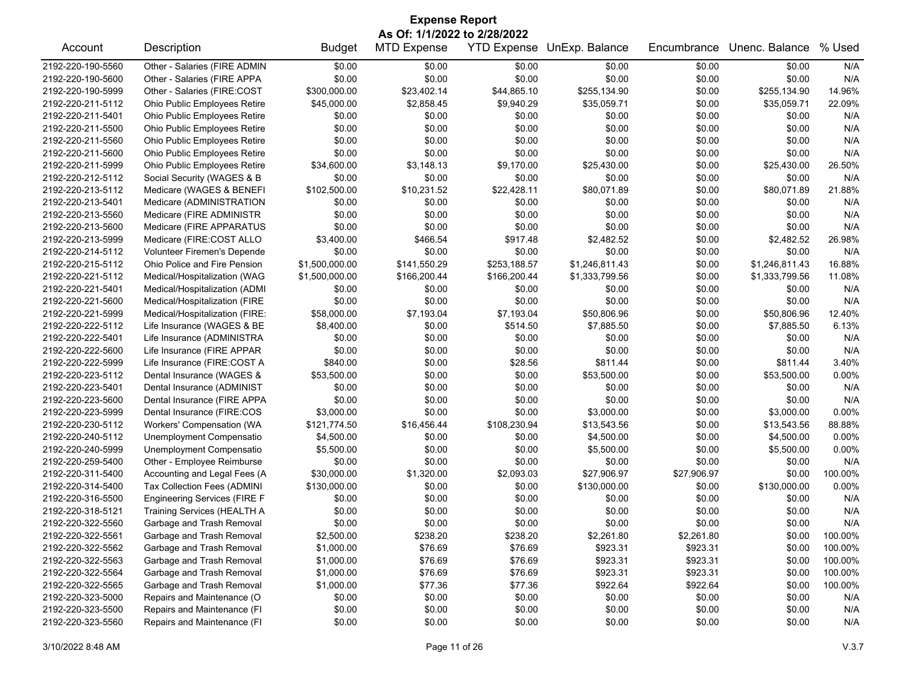| <b>Expense Report</b> |                                     |                |                              |                    |                |             |                |          |  |
|-----------------------|-------------------------------------|----------------|------------------------------|--------------------|----------------|-------------|----------------|----------|--|
|                       |                                     |                | As Of: 1/1/2022 to 2/28/2022 |                    |                |             |                |          |  |
| Account               | Description                         | <b>Budget</b>  | <b>MTD Expense</b>           | <b>YTD Expense</b> | UnExp. Balance | Encumbrance | Unenc. Balance | % Used   |  |
| 2192-220-190-5560     | Other - Salaries (FIRE ADMIN        | \$0.00         | \$0.00                       | \$0.00             | \$0.00         | \$0.00      | \$0.00         | N/A      |  |
| 2192-220-190-5600     | Other - Salaries (FIRE APPA         | \$0.00         | \$0.00                       | \$0.00             | \$0.00         | \$0.00      | \$0.00         | N/A      |  |
| 2192-220-190-5999     | Other - Salaries (FIRE:COST         | \$300,000.00   | \$23,402.14                  | \$44,865.10        | \$255,134.90   | \$0.00      | \$255,134.90   | 14.96%   |  |
| 2192-220-211-5112     | Ohio Public Employees Retire        | \$45,000.00    | \$2,858.45                   | \$9,940.29         | \$35,059.71    | \$0.00      | \$35,059.71    | 22.09%   |  |
| 2192-220-211-5401     | Ohio Public Employees Retire        | \$0.00         | \$0.00                       | \$0.00             | \$0.00         | \$0.00      | \$0.00         | N/A      |  |
| 2192-220-211-5500     | Ohio Public Employees Retire        | \$0.00         | \$0.00                       | \$0.00             | \$0.00         | \$0.00      | \$0.00         | N/A      |  |
| 2192-220-211-5560     | Ohio Public Employees Retire        | \$0.00         | \$0.00                       | \$0.00             | \$0.00         | \$0.00      | \$0.00         | N/A      |  |
| 2192-220-211-5600     | Ohio Public Employees Retire        | \$0.00         | \$0.00                       | \$0.00             | \$0.00         | \$0.00      | \$0.00         | N/A      |  |
| 2192-220-211-5999     | Ohio Public Employees Retire        | \$34,600.00    | \$3,148.13                   | \$9,170.00         | \$25,430.00    | \$0.00      | \$25,430.00    | 26.50%   |  |
| 2192-220-212-5112     | Social Security (WAGES & B          | \$0.00         | \$0.00                       | \$0.00             | \$0.00         | \$0.00      | \$0.00         | N/A      |  |
| 2192-220-213-5112     | Medicare (WAGES & BENEFI            | \$102,500.00   | \$10,231.52                  | \$22,428.11        | \$80,071.89    | \$0.00      | \$80,071.89    | 21.88%   |  |
| 2192-220-213-5401     | Medicare (ADMINISTRATION            | \$0.00         | \$0.00                       | \$0.00             | \$0.00         | \$0.00      | \$0.00         | N/A      |  |
| 2192-220-213-5560     | Medicare (FIRE ADMINISTR            | \$0.00         | \$0.00                       | \$0.00             | \$0.00         | \$0.00      | \$0.00         | N/A      |  |
| 2192-220-213-5600     | Medicare (FIRE APPARATUS            | \$0.00         | \$0.00                       | \$0.00             | \$0.00         | \$0.00      | \$0.00         | N/A      |  |
| 2192-220-213-5999     | Medicare (FIRE:COST ALLO            | \$3,400.00     | \$466.54                     | \$917.48           | \$2,482.52     | \$0.00      | \$2,482.52     | 26.98%   |  |
| 2192-220-214-5112     | Volunteer Firemen's Depende         | \$0.00         | \$0.00                       | \$0.00             | \$0.00         | \$0.00      | \$0.00         | N/A      |  |
| 2192-220-215-5112     | Ohio Police and Fire Pension        | \$1,500,000.00 | \$141,550.29                 | \$253,188.57       | \$1,246,811.43 | \$0.00      | \$1,246,811.43 | 16.88%   |  |
| 2192-220-221-5112     | Medical/Hospitalization (WAG        | \$1,500,000.00 | \$166,200.44                 | \$166,200.44       | \$1,333,799.56 | \$0.00      | \$1,333,799.56 | 11.08%   |  |
| 2192-220-221-5401     | Medical/Hospitalization (ADMI       | \$0.00         | \$0.00                       | \$0.00             | \$0.00         | \$0.00      | \$0.00         | N/A      |  |
| 2192-220-221-5600     | Medical/Hospitalization (FIRE       | \$0.00         | \$0.00                       | \$0.00             | \$0.00         | \$0.00      | \$0.00         | N/A      |  |
| 2192-220-221-5999     | Medical/Hospitalization (FIRE:      | \$58,000.00    | \$7,193.04                   | \$7,193.04         | \$50,806.96    | \$0.00      | \$50,806.96    | 12.40%   |  |
| 2192-220-222-5112     | Life Insurance (WAGES & BE          | \$8,400.00     | \$0.00                       | \$514.50           | \$7,885.50     | \$0.00      | \$7,885.50     | 6.13%    |  |
| 2192-220-222-5401     | Life Insurance (ADMINISTRA          | \$0.00         | \$0.00                       | \$0.00             | \$0.00         | \$0.00      | \$0.00         | N/A      |  |
| 2192-220-222-5600     | Life Insurance (FIRE APPAR          | \$0.00         | \$0.00                       | \$0.00             | \$0.00         | \$0.00      | \$0.00         | N/A      |  |
| 2192-220-222-5999     | Life Insurance (FIRE:COST A         | \$840.00       | \$0.00                       | \$28.56            | \$811.44       | \$0.00      | \$811.44       | 3.40%    |  |
| 2192-220-223-5112     | Dental Insurance (WAGES &           | \$53,500.00    | \$0.00                       | \$0.00             | \$53,500.00    | \$0.00      | \$53,500.00    | 0.00%    |  |
| 2192-220-223-5401     |                                     | \$0.00         | \$0.00                       | \$0.00             | \$0.00         | \$0.00      | \$0.00         | N/A      |  |
|                       | Dental Insurance (ADMINIST          |                |                              |                    |                |             |                |          |  |
| 2192-220-223-5600     | Dental Insurance (FIRE APPA         | \$0.00         | \$0.00                       | \$0.00             | \$0.00         | \$0.00      | \$0.00         | N/A      |  |
| 2192-220-223-5999     | Dental Insurance (FIRE:COS          | \$3,000.00     | \$0.00                       | \$0.00             | \$3,000.00     | \$0.00      | \$3,000.00     | 0.00%    |  |
| 2192-220-230-5112     | Workers' Compensation (WA           | \$121,774.50   | \$16,456.44                  | \$108,230.94       | \$13,543.56    | \$0.00      | \$13,543.56    | 88.88%   |  |
| 2192-220-240-5112     | Unemployment Compensatio            | \$4,500.00     | \$0.00                       | \$0.00             | \$4,500.00     | \$0.00      | \$4,500.00     | $0.00\%$ |  |
| 2192-220-240-5999     | Unemployment Compensatio            | \$5,500.00     | \$0.00                       | \$0.00             | \$5,500.00     | \$0.00      | \$5,500.00     | 0.00%    |  |
| 2192-220-259-5400     | Other - Employee Reimburse          | \$0.00         | \$0.00                       | \$0.00             | \$0.00         | \$0.00      | \$0.00         | N/A      |  |
| 2192-220-311-5400     | Accounting and Legal Fees (A        | \$30,000.00    | \$1,320.00                   | \$2,093.03         | \$27,906.97    | \$27,906.97 | \$0.00         | 100.00%  |  |
| 2192-220-314-5400     | Tax Collection Fees (ADMINI         | \$130,000.00   | \$0.00                       | \$0.00             | \$130,000.00   | \$0.00      | \$130,000.00   | 0.00%    |  |
| 2192-220-316-5500     | <b>Engineering Services (FIRE F</b> | \$0.00         | \$0.00                       | \$0.00             | \$0.00         | \$0.00      | \$0.00         | N/A      |  |
| 2192-220-318-5121     | <b>Training Services (HEALTH A</b>  | \$0.00         | \$0.00                       | \$0.00             | \$0.00         | \$0.00      | \$0.00         | N/A      |  |
| 2192-220-322-5560     | Garbage and Trash Removal           | \$0.00         | \$0.00                       | \$0.00             | \$0.00         | \$0.00      | \$0.00         | N/A      |  |
| 2192-220-322-5561     | Garbage and Trash Removal           | \$2,500.00     | \$238.20                     | \$238.20           | \$2,261.80     | \$2,261.80  | \$0.00         | 100.00%  |  |
| 2192-220-322-5562     | Garbage and Trash Removal           | \$1,000.00     | \$76.69                      | \$76.69            | \$923.31       | \$923.31    | \$0.00         | 100.00%  |  |
| 2192-220-322-5563     | Garbage and Trash Removal           | \$1,000.00     | \$76.69                      | \$76.69            | \$923.31       | \$923.31    | \$0.00         | 100.00%  |  |
| 2192-220-322-5564     | Garbage and Trash Removal           | \$1,000.00     | \$76.69                      | \$76.69            | \$923.31       | \$923.31    | \$0.00         | 100.00%  |  |
| 2192-220-322-5565     | Garbage and Trash Removal           | \$1,000.00     | \$77.36                      | \$77.36            | \$922.64       | \$922.64    | \$0.00         | 100.00%  |  |
| 2192-220-323-5000     | Repairs and Maintenance (O          | \$0.00         | \$0.00                       | \$0.00             | \$0.00         | \$0.00      | \$0.00         | N/A      |  |
| 2192-220-323-5500     | Repairs and Maintenance (FI         | \$0.00         | \$0.00                       | \$0.00             | \$0.00         | \$0.00      | \$0.00         | N/A      |  |
| 2192-220-323-5560     | Repairs and Maintenance (FI         | \$0.00         | \$0.00                       | \$0.00             | \$0.00         | \$0.00      | \$0.00         | N/A      |  |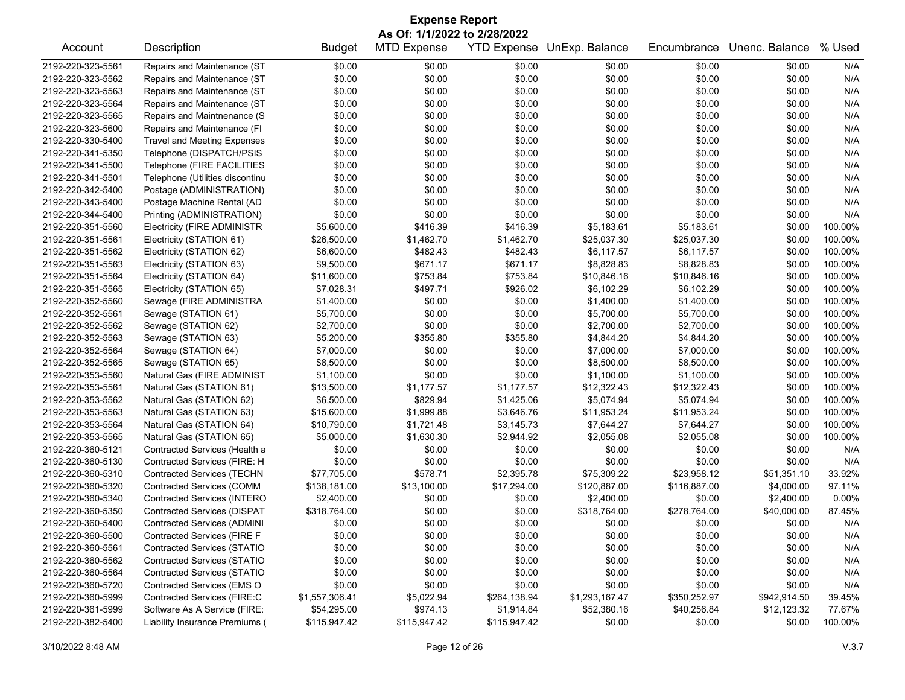| <b>Expense Report</b> |                                    |                |                              |                    |                |              |                |         |  |
|-----------------------|------------------------------------|----------------|------------------------------|--------------------|----------------|--------------|----------------|---------|--|
|                       |                                    |                | As Of: 1/1/2022 to 2/28/2022 |                    |                |              |                |         |  |
| Account               | Description                        | <b>Budget</b>  | <b>MTD Expense</b>           | <b>YTD Expense</b> | UnExp. Balance | Encumbrance  | Unenc. Balance | % Used  |  |
| 2192-220-323-5561     | Repairs and Maintenance (ST        | \$0.00         | \$0.00                       | \$0.00             | \$0.00         | \$0.00       | \$0.00         | N/A     |  |
| 2192-220-323-5562     | Repairs and Maintenance (ST        | \$0.00         | \$0.00                       | \$0.00             | \$0.00         | \$0.00       | \$0.00         | N/A     |  |
| 2192-220-323-5563     | Repairs and Maintenance (ST        | \$0.00         | \$0.00                       | \$0.00             | \$0.00         | \$0.00       | \$0.00         | N/A     |  |
| 2192-220-323-5564     | Repairs and Maintenance (ST        | \$0.00         | \$0.00                       | \$0.00             | \$0.00         | \$0.00       | \$0.00         | N/A     |  |
| 2192-220-323-5565     | Repairs and Maintnenance (S        | \$0.00         | \$0.00                       | \$0.00             | \$0.00         | \$0.00       | \$0.00         | N/A     |  |
| 2192-220-323-5600     | Repairs and Maintenance (FI        | \$0.00         | \$0.00                       | \$0.00             | \$0.00         | \$0.00       | \$0.00         | N/A     |  |
| 2192-220-330-5400     | <b>Travel and Meeting Expenses</b> | \$0.00         | \$0.00                       | \$0.00             | \$0.00         | \$0.00       | \$0.00         | N/A     |  |
| 2192-220-341-5350     | Telephone (DISPATCH/PSIS           | \$0.00         | \$0.00                       | \$0.00             | \$0.00         | \$0.00       | \$0.00         | N/A     |  |
| 2192-220-341-5500     | Telephone (FIRE FACILITIES         | \$0.00         | \$0.00                       | \$0.00             | \$0.00         | \$0.00       | \$0.00         | N/A     |  |
| 2192-220-341-5501     | Telephone (Utilities discontinu    | \$0.00         | \$0.00                       | \$0.00             | \$0.00         | \$0.00       | \$0.00         | N/A     |  |
| 2192-220-342-5400     | Postage (ADMINISTRATION)           | \$0.00         | \$0.00                       | \$0.00             | \$0.00         | \$0.00       | \$0.00         | N/A     |  |
| 2192-220-343-5400     | Postage Machine Rental (AD         | \$0.00         | \$0.00                       | \$0.00             | \$0.00         | \$0.00       | \$0.00         | N/A     |  |
| 2192-220-344-5400     | Printing (ADMINISTRATION)          | \$0.00         | \$0.00                       | \$0.00             | \$0.00         | \$0.00       | \$0.00         | N/A     |  |
| 2192-220-351-5560     | <b>Electricity (FIRE ADMINISTR</b> | \$5,600.00     | \$416.39                     | \$416.39           | \$5,183.61     | \$5,183.61   | \$0.00         | 100.00% |  |
| 2192-220-351-5561     | Electricity (STATION 61)           | \$26,500.00    | \$1,462.70                   | \$1,462.70         | \$25,037.30    | \$25,037.30  | \$0.00         | 100.00% |  |
| 2192-220-351-5562     | Electricity (STATION 62)           | \$6,600.00     | \$482.43                     | \$482.43           | \$6,117.57     | \$6,117.57   | \$0.00         | 100.00% |  |
| 2192-220-351-5563     | Electricity (STATION 63)           | \$9,500.00     | \$671.17                     | \$671.17           | \$8,828.83     | \$8,828.83   | \$0.00         | 100.00% |  |
| 2192-220-351-5564     | Electricity (STATION 64)           | \$11,600.00    | \$753.84                     | \$753.84           | \$10,846.16    | \$10,846.16  | \$0.00         | 100.00% |  |
| 2192-220-351-5565     | Electricity (STATION 65)           | \$7,028.31     | \$497.71                     | \$926.02           | \$6,102.29     | \$6,102.29   | \$0.00         | 100.00% |  |
| 2192-220-352-5560     | Sewage (FIRE ADMINISTRA            | \$1,400.00     | \$0.00                       | \$0.00             | \$1,400.00     | \$1,400.00   | \$0.00         | 100.00% |  |
| 2192-220-352-5561     | Sewage (STATION 61)                | \$5,700.00     | \$0.00                       | \$0.00             | \$5,700.00     | \$5,700.00   | \$0.00         | 100.00% |  |
| 2192-220-352-5562     | Sewage (STATION 62)                | \$2,700.00     | \$0.00                       | \$0.00             | \$2,700.00     | \$2,700.00   | \$0.00         | 100.00% |  |
| 2192-220-352-5563     | Sewage (STATION 63)                | \$5,200.00     | \$355.80                     | \$355.80           | \$4,844.20     | \$4,844.20   | \$0.00         | 100.00% |  |
| 2192-220-352-5564     | Sewage (STATION 64)                | \$7,000.00     | \$0.00                       | \$0.00             | \$7,000.00     | \$7,000.00   | \$0.00         | 100.00% |  |
| 2192-220-352-5565     | Sewage (STATION 65)                | \$8,500.00     | \$0.00                       | \$0.00             | \$8,500.00     | \$8,500.00   | \$0.00         | 100.00% |  |
| 2192-220-353-5560     | Natural Gas (FIRE ADMINIST         | \$1,100.00     | \$0.00                       | \$0.00             | \$1,100.00     | \$1,100.00   | \$0.00         | 100.00% |  |
| 2192-220-353-5561     | Natural Gas (STATION 61)           | \$13,500.00    | \$1,177.57                   | \$1,177.57         | \$12,322.43    | \$12,322.43  | \$0.00         | 100.00% |  |
| 2192-220-353-5562     | Natural Gas (STATION 62)           | \$6,500.00     | \$829.94                     | \$1,425.06         | \$5,074.94     | \$5,074.94   | \$0.00         | 100.00% |  |
| 2192-220-353-5563     | Natural Gas (STATION 63)           | \$15,600.00    | \$1,999.88                   | \$3,646.76         | \$11,953.24    | \$11,953.24  | \$0.00         | 100.00% |  |
| 2192-220-353-5564     | Natural Gas (STATION 64)           | \$10,790.00    | \$1,721.48                   | \$3,145.73         | \$7,644.27     | \$7,644.27   | \$0.00         | 100.00% |  |
| 2192-220-353-5565     | Natural Gas (STATION 65)           | \$5,000.00     | \$1,630.30                   | \$2,944.92         | \$2,055.08     | \$2,055.08   | \$0.00         | 100.00% |  |
| 2192-220-360-5121     | Contracted Services (Health a      | \$0.00         | \$0.00                       | \$0.00             | \$0.00         | \$0.00       | \$0.00         | N/A     |  |
| 2192-220-360-5130     | Contracted Services (FIRE: H       | \$0.00         | \$0.00                       | \$0.00             | \$0.00         | \$0.00       | \$0.00         | N/A     |  |
| 2192-220-360-5310     | Contracted Services (TECHN         | \$77,705.00    | \$578.71                     | \$2,395.78         | \$75,309.22    | \$23,958.12  | \$51,351.10    | 33.92%  |  |
| 2192-220-360-5320     | Contracted Services (COMM          | \$138,181.00   | \$13,100.00                  | \$17,294.00        | \$120,887.00   | \$116,887.00 | \$4,000.00     | 97.11%  |  |
| 2192-220-360-5340     | Contracted Services (INTERO        | \$2,400.00     | \$0.00                       | \$0.00             | \$2,400.00     | \$0.00       | \$2,400.00     | 0.00%   |  |
| 2192-220-360-5350     | <b>Contracted Services (DISPAT</b> | \$318,764.00   | \$0.00                       | \$0.00             | \$318,764.00   | \$278,764.00 | \$40,000.00    | 87.45%  |  |
| 2192-220-360-5400     | <b>Contracted Services (ADMINI</b> | \$0.00         | \$0.00                       | \$0.00             | \$0.00         | \$0.00       | \$0.00         | N/A     |  |
| 2192-220-360-5500     | Contracted Services (FIRE F        | \$0.00         | \$0.00                       | \$0.00             | \$0.00         | \$0.00       | \$0.00         | N/A     |  |
| 2192-220-360-5561     | <b>Contracted Services (STATIO</b> | \$0.00         | \$0.00                       | \$0.00             | \$0.00         | \$0.00       | \$0.00         | N/A     |  |
| 2192-220-360-5562     | <b>Contracted Services (STATIO</b> | \$0.00         | \$0.00                       | \$0.00             | \$0.00         | \$0.00       | \$0.00         | N/A     |  |
| 2192-220-360-5564     | <b>Contracted Services (STATIO</b> | \$0.00         | \$0.00                       | \$0.00             | \$0.00         | \$0.00       | \$0.00         | N/A     |  |
| 2192-220-360-5720     | Contracted Services (EMS O         | \$0.00         | \$0.00                       | \$0.00             | \$0.00         | \$0.00       | \$0.00         | N/A     |  |
| 2192-220-360-5999     | Contracted Services (FIRE:C        | \$1,557,306.41 | \$5,022.94                   | \$264,138.94       | \$1,293,167.47 | \$350,252.97 | \$942,914.50   | 39.45%  |  |
| 2192-220-361-5999     | Software As A Service (FIRE:       | \$54,295.00    | \$974.13                     | \$1,914.84         | \$52,380.16    | \$40,256.84  | \$12,123.32    | 77.67%  |  |
| 2192-220-382-5400     | Liability Insurance Premiums (     | \$115,947.42   | \$115,947.42                 | \$115,947.42       | \$0.00         | \$0.00       | \$0.00         | 100.00% |  |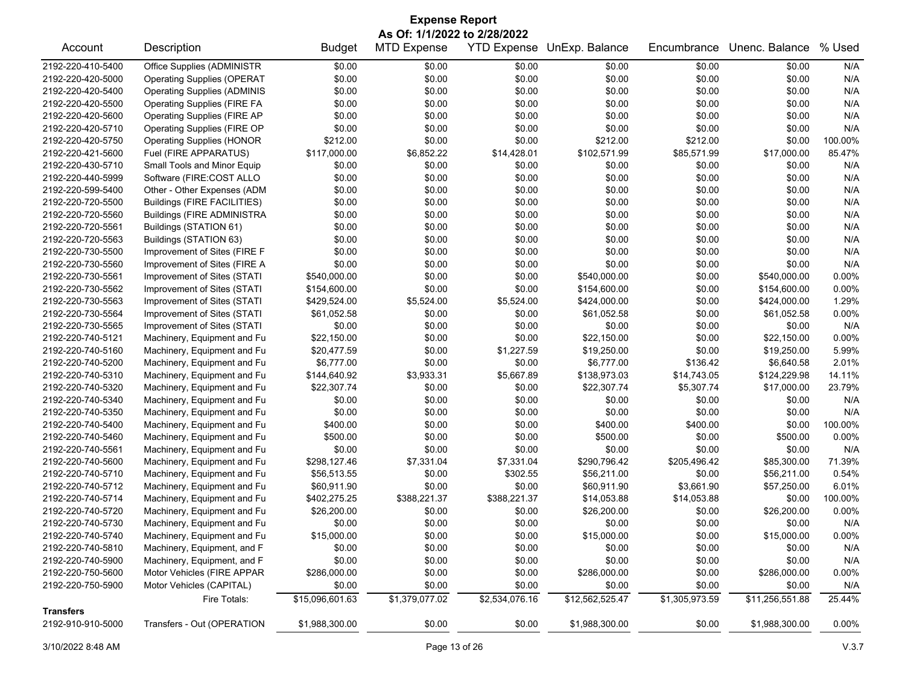| <b>Expense Report</b>                                                                                                                                 |                                    |                 |                |                |                 |                |                 |          |  |
|-------------------------------------------------------------------------------------------------------------------------------------------------------|------------------------------------|-----------------|----------------|----------------|-----------------|----------------|-----------------|----------|--|
| As Of: 1/1/2022 to 2/28/2022<br>YTD Expense UnExp. Balance<br>Unenc. Balance<br>% Used<br>Description<br><b>MTD Expense</b><br>Encumbrance<br>Account |                                    |                 |                |                |                 |                |                 |          |  |
|                                                                                                                                                       |                                    | <b>Budget</b>   |                |                |                 |                |                 |          |  |
| 2192-220-410-5400                                                                                                                                     | Office Supplies (ADMINISTR         | \$0.00          | \$0.00         | \$0.00         | \$0.00          | \$0.00         | \$0.00          | N/A      |  |
| 2192-220-420-5000                                                                                                                                     | <b>Operating Supplies (OPERAT</b>  | \$0.00          | \$0.00         | \$0.00         | \$0.00          | \$0.00         | \$0.00          | N/A      |  |
| 2192-220-420-5400                                                                                                                                     | <b>Operating Supplies (ADMINIS</b> | \$0.00          | \$0.00         | \$0.00         | \$0.00          | \$0.00         | \$0.00          | N/A      |  |
| 2192-220-420-5500                                                                                                                                     | <b>Operating Supplies (FIRE FA</b> | \$0.00          | \$0.00         | \$0.00         | \$0.00          | \$0.00         | \$0.00          | N/A      |  |
| 2192-220-420-5600                                                                                                                                     | <b>Operating Supplies (FIRE AP</b> | \$0.00          | \$0.00         | \$0.00         | \$0.00          | \$0.00         | \$0.00          | N/A      |  |
| 2192-220-420-5710                                                                                                                                     | Operating Supplies (FIRE OP        | \$0.00          | \$0.00         | \$0.00         | \$0.00          | \$0.00         | \$0.00          | N/A      |  |
| 2192-220-420-5750                                                                                                                                     | <b>Operating Supplies (HONOR</b>   | \$212.00        | \$0.00         | \$0.00         | \$212.00        | \$212.00       | \$0.00          | 100.00%  |  |
| 2192-220-421-5600                                                                                                                                     | Fuel (FIRE APPARATUS)              | \$117,000.00    | \$6,852.22     | \$14,428.01    | \$102,571.99    | \$85,571.99    | \$17,000.00     | 85.47%   |  |
| 2192-220-430-5710                                                                                                                                     | Small Tools and Minor Equip        | \$0.00          | \$0.00         | \$0.00         | \$0.00          | \$0.00         | \$0.00          | N/A      |  |
| 2192-220-440-5999                                                                                                                                     | Software (FIRE:COST ALLO           | \$0.00          | \$0.00         | \$0.00         | \$0.00          | \$0.00         | \$0.00          | N/A      |  |
| 2192-220-599-5400                                                                                                                                     | Other - Other Expenses (ADM        | \$0.00          | \$0.00         | \$0.00         | \$0.00          | \$0.00         | \$0.00          | N/A      |  |
| 2192-220-720-5500                                                                                                                                     | <b>Buildings (FIRE FACILITIES)</b> | \$0.00          | \$0.00         | \$0.00         | \$0.00          | \$0.00         | \$0.00          | N/A      |  |
| 2192-220-720-5560                                                                                                                                     | <b>Buildings (FIRE ADMINISTRA</b>  | \$0.00          | \$0.00         | \$0.00         | \$0.00          | \$0.00         | \$0.00          | N/A      |  |
| 2192-220-720-5561                                                                                                                                     | Buildings (STATION 61)             | \$0.00          | \$0.00         | \$0.00         | \$0.00          | \$0.00         | \$0.00          | N/A      |  |
| 2192-220-720-5563                                                                                                                                     | Buildings (STATION 63)             | \$0.00          | \$0.00         | \$0.00         | \$0.00          | \$0.00         | \$0.00          | N/A      |  |
| 2192-220-730-5500                                                                                                                                     | Improvement of Sites (FIRE F       | \$0.00          | \$0.00         | \$0.00         | \$0.00          | \$0.00         | \$0.00          | N/A      |  |
| 2192-220-730-5560                                                                                                                                     | Improvement of Sites (FIRE A       | \$0.00          | \$0.00         | \$0.00         | \$0.00          | \$0.00         | \$0.00          | N/A      |  |
| 2192-220-730-5561                                                                                                                                     | Improvement of Sites (STATI        | \$540,000.00    | \$0.00         | \$0.00         | \$540,000.00    | \$0.00         | \$540,000.00    | 0.00%    |  |
| 2192-220-730-5562                                                                                                                                     | Improvement of Sites (STATI        | \$154,600.00    | \$0.00         | \$0.00         | \$154,600.00    | \$0.00         | \$154,600.00    | 0.00%    |  |
| 2192-220-730-5563                                                                                                                                     | Improvement of Sites (STATI        | \$429,524.00    | \$5,524.00     | \$5,524.00     | \$424,000.00    | \$0.00         | \$424,000.00    | 1.29%    |  |
| 2192-220-730-5564                                                                                                                                     | Improvement of Sites (STATI        | \$61,052.58     | \$0.00         | \$0.00         | \$61,052.58     | \$0.00         | \$61,052.58     | 0.00%    |  |
| 2192-220-730-5565                                                                                                                                     | Improvement of Sites (STATI        | \$0.00          | \$0.00         | \$0.00         | \$0.00          | \$0.00         | \$0.00          | N/A      |  |
| 2192-220-740-5121                                                                                                                                     | Machinery, Equipment and Fu        | \$22,150.00     | \$0.00         | \$0.00         | \$22,150.00     | \$0.00         | \$22,150.00     | 0.00%    |  |
| 2192-220-740-5160                                                                                                                                     | Machinery, Equipment and Fu        | \$20,477.59     | \$0.00         | \$1,227.59     | \$19,250.00     | \$0.00         | \$19,250.00     | 5.99%    |  |
| 2192-220-740-5200                                                                                                                                     | Machinery, Equipment and Fu        | \$6,777.00      | \$0.00         | \$0.00         | \$6,777.00      | \$136.42       | \$6,640.58      | 2.01%    |  |
| 2192-220-740-5310                                                                                                                                     | Machinery, Equipment and Fu        | \$144,640.92    | \$3,933.31     | \$5,667.89     | \$138,973.03    | \$14,743.05    | \$124,229.98    | 14.11%   |  |
| 2192-220-740-5320                                                                                                                                     | Machinery, Equipment and Fu        | \$22,307.74     | \$0.00         | \$0.00         | \$22,307.74     | \$5,307.74     | \$17,000.00     | 23.79%   |  |
| 2192-220-740-5340                                                                                                                                     | Machinery, Equipment and Fu        | \$0.00          | \$0.00         | \$0.00         | \$0.00          | \$0.00         | \$0.00          | N/A      |  |
| 2192-220-740-5350                                                                                                                                     | Machinery, Equipment and Fu        | \$0.00          | \$0.00         | \$0.00         | \$0.00          | \$0.00         | \$0.00          | N/A      |  |
| 2192-220-740-5400                                                                                                                                     | Machinery, Equipment and Fu        | \$400.00        | \$0.00         | \$0.00         | \$400.00        | \$400.00       | \$0.00          | 100.00%  |  |
| 2192-220-740-5460                                                                                                                                     | Machinery, Equipment and Fu        | \$500.00        | \$0.00         | \$0.00         | \$500.00        | \$0.00         | \$500.00        | 0.00%    |  |
| 2192-220-740-5561                                                                                                                                     | Machinery, Equipment and Fu        | \$0.00          | \$0.00         | \$0.00         | \$0.00          | \$0.00         | \$0.00          | N/A      |  |
| 2192-220-740-5600                                                                                                                                     | Machinery, Equipment and Fu        | \$298,127.46    | \$7,331.04     | \$7,331.04     | \$290,796.42    | \$205,496.42   | \$85,300.00     | 71.39%   |  |
| 2192-220-740-5710                                                                                                                                     | Machinery, Equipment and Fu        | \$56,513.55     | \$0.00         | \$302.55       | \$56,211.00     | \$0.00         | \$56,211.00     | 0.54%    |  |
| 2192-220-740-5712                                                                                                                                     | Machinery, Equipment and Fu        | \$60,911.90     | \$0.00         | \$0.00         | \$60,911.90     | \$3,661.90     | \$57,250.00     | 6.01%    |  |
| 2192-220-740-5714                                                                                                                                     | Machinery, Equipment and Fu        | \$402,275.25    | \$388,221.37   | \$388,221.37   | \$14,053.88     | \$14,053.88    | \$0.00          | 100.00%  |  |
| 2192-220-740-5720                                                                                                                                     | Machinery, Equipment and Fu        | \$26,200.00     | \$0.00         | \$0.00         | \$26,200.00     | \$0.00         | \$26,200.00     | $0.00\%$ |  |
| 2192-220-740-5730                                                                                                                                     | Machinery, Equipment and Fu        | \$0.00          | \$0.00         | \$0.00         | \$0.00          | \$0.00         | \$0.00          | N/A      |  |
| 2192-220-740-5740                                                                                                                                     | Machinery, Equipment and Fu        | \$15,000.00     | \$0.00         | \$0.00         | \$15,000.00     | \$0.00         | \$15,000.00     | $0.00\%$ |  |
| 2192-220-740-5810                                                                                                                                     | Machinery, Equipment, and F        | \$0.00          | \$0.00         | \$0.00         | \$0.00          | \$0.00         | \$0.00          | N/A      |  |
| 2192-220-740-5900                                                                                                                                     | Machinery, Equipment, and F        | \$0.00          | \$0.00         | \$0.00         | \$0.00          | \$0.00         | \$0.00          | N/A      |  |
| 2192-220-750-5600                                                                                                                                     | Motor Vehicles (FIRE APPAR         | \$286,000.00    | \$0.00         | \$0.00         | \$286,000.00    | \$0.00         | \$286,000.00    | 0.00%    |  |
| 2192-220-750-5900                                                                                                                                     | Motor Vehicles (CAPITAL)           | \$0.00          | \$0.00         | \$0.00         | \$0.00          | \$0.00         | \$0.00          | N/A      |  |
|                                                                                                                                                       | Fire Totals:                       | \$15,096,601.63 | \$1,379,077.02 | \$2,534,076.16 | \$12,562,525.47 | \$1,305,973.59 | \$11,256,551.88 | 25.44%   |  |
| <b>Transfers</b>                                                                                                                                      |                                    |                 |                |                |                 |                |                 |          |  |
| 2192-910-910-5000                                                                                                                                     | Transfers - Out (OPERATION         | \$1,988,300.00  | \$0.00         | \$0.00         | \$1,988,300.00  | \$0.00         | \$1,988,300.00  | 0.00%    |  |

3/10/2022 8:48 AM Page 13 of 26 V.3.7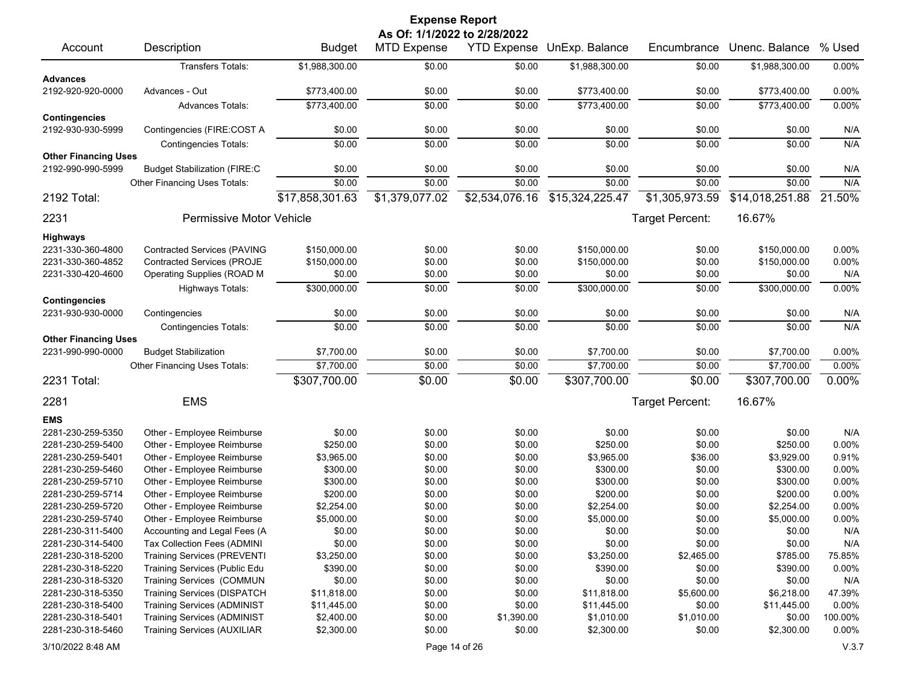|                                      |                                     |                 | <b>Expense Report</b>        |                    |                 |                 |                 |          |
|--------------------------------------|-------------------------------------|-----------------|------------------------------|--------------------|-----------------|-----------------|-----------------|----------|
|                                      |                                     |                 | As Of: 1/1/2022 to 2/28/2022 |                    |                 |                 |                 |          |
| Account                              | Description                         | <b>Budget</b>   | <b>MTD Expense</b>           | <b>YTD Expense</b> | UnExp. Balance  | Encumbrance     | Unenc. Balance  | % Used   |
|                                      | Transfers Totals:                   | \$1,988,300.00  | \$0.00                       | \$0.00             | \$1,988,300.00  | \$0.00          | \$1,988,300.00  | 0.00%    |
| <b>Advances</b><br>2192-920-920-0000 | Advances - Out                      | \$773,400.00    | \$0.00                       | \$0.00             | \$773,400.00    | \$0.00          | \$773,400.00    | 0.00%    |
|                                      |                                     |                 |                              |                    |                 |                 |                 |          |
| <b>Contingencies</b>                 | <b>Advances Totals:</b>             | \$773,400.00    | \$0.00                       | \$0.00             | \$773,400.00    | \$0.00          | \$773,400.00    | 0.00%    |
| 2192-930-930-5999                    | Contingencies (FIRE:COST A          | \$0.00          | \$0.00                       | \$0.00             | \$0.00          | \$0.00          | \$0.00          | N/A      |
|                                      | <b>Contingencies Totals:</b>        | \$0.00          | \$0.00                       | \$0.00             | \$0.00          | \$0.00          | \$0.00          | N/A      |
| <b>Other Financing Uses</b>          |                                     |                 |                              |                    |                 |                 |                 |          |
| 2192-990-990-5999                    | <b>Budget Stabilization (FIRE:C</b> | \$0.00          | \$0.00                       | \$0.00             | \$0.00          | \$0.00          | \$0.00          | N/A      |
|                                      | Other Financing Uses Totals:        | \$0.00          | \$0.00                       | \$0.00             | \$0.00          | \$0.00          | \$0.00          | N/A      |
| 2192 Total:                          |                                     | \$17,858,301.63 | \$1,379,077.02               | \$2,534,076.16     | \$15,324,225.47 | \$1,305,973.59  | \$14,018,251.88 | 21.50%   |
| 2231                                 | Permissive Motor Vehicle            |                 |                              |                    |                 | Target Percent: | 16.67%          |          |
| <b>Highways</b>                      |                                     |                 |                              |                    |                 |                 |                 |          |
| 2231-330-360-4800                    | <b>Contracted Services (PAVING</b>  | \$150,000.00    | \$0.00                       | \$0.00             | \$150,000.00    | \$0.00          | \$150,000.00    | $0.00\%$ |
| 2231-330-360-4852                    | <b>Contracted Services (PROJE</b>   | \$150,000.00    | \$0.00                       | \$0.00             | \$150,000.00    | \$0.00          | \$150,000.00    | 0.00%    |
| 2231-330-420-4600                    | Operating Supplies (ROAD M          | \$0.00          | \$0.00                       | \$0.00             | \$0.00          | \$0.00          | \$0.00          | N/A      |
|                                      | <b>Highways Totals:</b>             | \$300,000.00    | \$0.00                       | \$0.00             | \$300,000.00    | \$0.00          | \$300,000.00    | 0.00%    |
| <b>Contingencies</b>                 |                                     |                 |                              |                    |                 |                 |                 |          |
| 2231-930-930-0000                    | Contingencies                       | \$0.00          | \$0.00                       | \$0.00             | \$0.00          | \$0.00          | \$0.00          | N/A      |
|                                      | <b>Contingencies Totals:</b>        | \$0.00          | \$0.00                       | \$0.00             | \$0.00          | \$0.00          | \$0.00          | N/A      |
| <b>Other Financing Uses</b>          |                                     |                 |                              |                    |                 |                 |                 |          |
| 2231-990-990-0000                    | <b>Budget Stabilization</b>         | \$7,700.00      | \$0.00                       | \$0.00             | \$7,700.00      | \$0.00          | \$7,700.00      | 0.00%    |
|                                      | Other Financing Uses Totals:        | \$7,700.00      | \$0.00                       | \$0.00             | \$7,700.00      | \$0.00          | \$7,700.00      | 0.00%    |
| 2231 Total:                          |                                     | \$307,700.00    | \$0.00                       | \$0.00             | \$307,700.00    | \$0.00          | \$307,700.00    | 0.00%    |
|                                      |                                     |                 |                              |                    |                 |                 |                 |          |
| 2281                                 | <b>EMS</b>                          |                 |                              |                    |                 | Target Percent: | 16.67%          |          |
| <b>EMS</b>                           |                                     |                 |                              |                    |                 |                 |                 |          |
| 2281-230-259-5350                    | Other - Employee Reimburse          | \$0.00          | \$0.00                       | \$0.00             | \$0.00          | \$0.00          | \$0.00          | N/A      |
| 2281-230-259-5400                    | Other - Employee Reimburse          | \$250.00        | \$0.00                       | \$0.00             | \$250.00        | \$0.00          | \$250.00        | 0.00%    |
| 2281-230-259-5401                    | Other - Employee Reimburse          | \$3,965.00      | \$0.00                       | \$0.00             | \$3,965.00      | \$36.00         | \$3,929.00      | 0.91%    |
| 2281-230-259-5460                    | Other - Employee Reimburse          | \$300.00        | \$0.00                       | \$0.00             | \$300.00        | \$0.00          | \$300.00        | 0.00%    |
| 2281-230-259-5710                    | Other - Employee Reimburse          | \$300.00        | \$0.00                       | \$0.00             | \$300.00        | \$0.00          | \$300.00        | 0.00%    |
| 2281-230-259-5714                    | Other - Employee Reimburse          | \$200.00        | \$0.00                       | \$0.00             | \$200.00        | \$0.00          | \$200.00        | 0.00%    |
| 2281-230-259-5720                    | Other - Employee Reimburse          | \$2,254.00      | \$0.00                       | \$0.00             | \$2,254.00      | \$0.00          | \$2,254.00      | 0.00%    |
| 2281-230-259-5740                    | Other - Employee Reimburse          | \$5,000.00      | \$0.00                       | \$0.00             | \$5,000.00      | \$0.00          | \$5,000.00      | 0.00%    |
| 2281-230-311-5400                    | Accounting and Legal Fees (A        | \$0.00          | \$0.00                       | \$0.00             | \$0.00          | \$0.00          | \$0.00          | N/A      |
| 2281-230-314-5400                    | Tax Collection Fees (ADMINI         | \$0.00          | \$0.00                       | \$0.00             | \$0.00          | \$0.00          | \$0.00          | N/A      |
| 2281-230-318-5200                    | <b>Training Services (PREVENTI</b>  | \$3,250.00      | \$0.00                       | \$0.00             | \$3,250.00      | \$2,465.00      | \$785.00        | 75.85%   |
| 2281-230-318-5220                    | Training Services (Public Edu       | \$390.00        | \$0.00                       | \$0.00             | \$390.00        | \$0.00          | \$390.00        | 0.00%    |
| 2281-230-318-5320                    | Training Services (COMMUN           | \$0.00          | \$0.00                       | \$0.00             | \$0.00          | \$0.00          | \$0.00          | N/A      |
| 2281-230-318-5350                    | Training Services (DISPATCH         | \$11,818.00     | \$0.00                       | \$0.00             | \$11,818.00     | \$5,600.00      | \$6,218.00      | 47.39%   |
| 2281-230-318-5400                    | <b>Training Services (ADMINIST</b>  | \$11,445.00     | \$0.00                       | \$0.00             | \$11,445.00     | \$0.00          | \$11,445.00     | 0.00%    |
| 2281-230-318-5401                    | Training Services (ADMINIST         | \$2,400.00      | \$0.00                       | \$1,390.00         | \$1,010.00      | \$1,010.00      | \$0.00          | 100.00%  |
| 2281-230-318-5460                    | <b>Training Services (AUXILIAR</b>  | \$2,300.00      | \$0.00                       | \$0.00             | \$2,300.00      | \$0.00          | \$2,300.00      | 0.00%    |
| 3/10/2022 8:48 AM                    |                                     |                 | Page 14 of 26                |                    |                 |                 |                 | V.3.7    |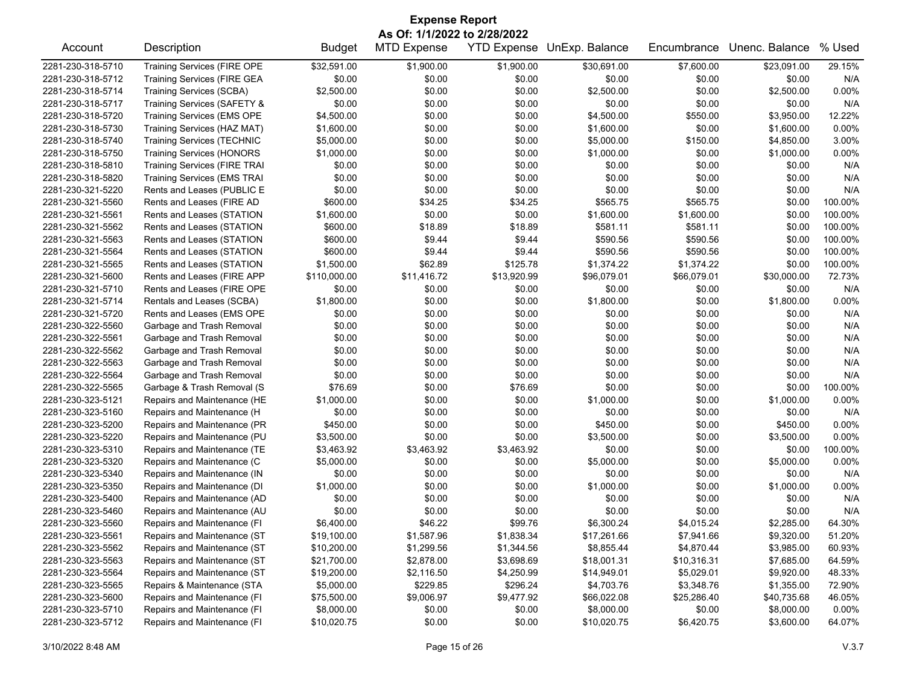|                   |                                     |                            | <b>Expense Report</b>        |                          |                            |                           |                          |                  |
|-------------------|-------------------------------------|----------------------------|------------------------------|--------------------------|----------------------------|---------------------------|--------------------------|------------------|
|                   |                                     |                            | As Of: 1/1/2022 to 2/28/2022 |                          |                            |                           |                          |                  |
| Account           | Description                         | <b>Budget</b>              | <b>MTD Expense</b>           |                          | YTD Expense UnExp. Balance | Encumbrance               | Unenc. Balance           | % Used           |
| 2281-230-318-5710 | <b>Training Services (FIRE OPE</b>  | \$32,591.00                | \$1,900.00                   | \$1,900.00               | \$30,691.00                | \$7,600.00                | \$23,091.00              | 29.15%           |
| 2281-230-318-5712 | <b>Training Services (FIRE GEA</b>  | \$0.00                     | \$0.00                       | \$0.00                   | \$0.00                     | \$0.00                    | \$0.00                   | N/A              |
| 2281-230-318-5714 | Training Services (SCBA)            | \$2,500.00                 | \$0.00                       | \$0.00                   | \$2,500.00                 | \$0.00                    | \$2,500.00               | 0.00%            |
| 2281-230-318-5717 | Training Services (SAFETY &         | \$0.00                     | \$0.00                       | \$0.00                   | \$0.00                     | \$0.00                    | \$0.00                   | N/A              |
| 2281-230-318-5720 | Training Services (EMS OPE          | \$4,500.00                 | \$0.00                       | \$0.00                   | \$4,500.00                 | \$550.00                  | \$3,950.00               | 12.22%           |
| 2281-230-318-5730 | Training Services (HAZ MAT)         | \$1,600.00                 | \$0.00                       | \$0.00                   | \$1,600.00                 | \$0.00                    | \$1,600.00               | 0.00%            |
| 2281-230-318-5740 | <b>Training Services (TECHNIC</b>   | \$5,000.00                 | \$0.00                       | \$0.00                   | \$5,000.00                 | \$150.00                  | \$4,850.00               | 3.00%            |
| 2281-230-318-5750 | <b>Training Services (HONORS</b>    | \$1,000.00                 | \$0.00                       | \$0.00                   | \$1,000.00                 | \$0.00                    | \$1,000.00               | 0.00%            |
| 2281-230-318-5810 | <b>Training Services (FIRE TRAI</b> | \$0.00                     | \$0.00                       | \$0.00                   | \$0.00                     | \$0.00                    | \$0.00                   | N/A              |
| 2281-230-318-5820 | <b>Training Services (EMS TRAI</b>  | \$0.00                     | \$0.00                       | \$0.00                   | \$0.00                     | \$0.00                    | \$0.00                   | N/A              |
| 2281-230-321-5220 | Rents and Leases (PUBLIC E          | \$0.00                     | \$0.00                       | \$0.00                   | \$0.00                     | \$0.00                    | \$0.00                   | N/A              |
| 2281-230-321-5560 | Rents and Leases (FIRE AD           | \$600.00                   | \$34.25                      | \$34.25                  | \$565.75                   | \$565.75                  | \$0.00                   | 100.00%          |
| 2281-230-321-5561 | Rents and Leases (STATION           | \$1,600.00                 | \$0.00                       | \$0.00                   | \$1,600.00                 | \$1,600.00                | \$0.00                   | 100.00%          |
| 2281-230-321-5562 | Rents and Leases (STATION           | \$600.00                   | \$18.89                      | \$18.89                  | \$581.11                   | \$581.11                  | \$0.00                   | 100.00%          |
| 2281-230-321-5563 | Rents and Leases (STATION           | \$600.00                   | \$9.44                       | \$9.44                   | \$590.56                   | \$590.56                  | \$0.00                   | 100.00%          |
| 2281-230-321-5564 | Rents and Leases (STATION           | \$600.00                   | \$9.44                       | \$9.44                   | \$590.56                   | \$590.56                  | \$0.00                   | 100.00%          |
| 2281-230-321-5565 | Rents and Leases (STATION           | \$1,500.00                 | \$62.89                      | \$125.78                 | \$1,374.22                 | \$1,374.22                | \$0.00                   | 100.00%          |
| 2281-230-321-5600 | Rents and Leases (FIRE APP          | \$110,000.00               | \$11,416.72                  | \$13,920.99              | \$96,079.01                | \$66,079.01               | \$30,000.00              | 72.73%           |
| 2281-230-321-5710 | Rents and Leases (FIRE OPE          | \$0.00                     | \$0.00                       | \$0.00                   | \$0.00                     | \$0.00                    | \$0.00                   | N/A              |
| 2281-230-321-5714 | Rentals and Leases (SCBA)           | \$1,800.00                 | \$0.00                       | \$0.00                   | \$1,800.00                 | \$0.00                    | \$1,800.00               | 0.00%            |
| 2281-230-321-5720 | Rents and Leases (EMS OPE           | \$0.00                     | \$0.00                       | \$0.00                   | \$0.00                     | \$0.00                    | \$0.00                   | N/A              |
| 2281-230-322-5560 | Garbage and Trash Removal           | \$0.00                     | \$0.00                       | \$0.00                   | \$0.00                     | \$0.00                    | \$0.00                   | N/A              |
| 2281-230-322-5561 | Garbage and Trash Removal           | \$0.00                     | \$0.00                       | \$0.00                   | \$0.00                     | \$0.00                    | \$0.00                   | N/A              |
| 2281-230-322-5562 | Garbage and Trash Removal           | \$0.00                     | \$0.00                       | \$0.00                   | \$0.00                     | \$0.00                    | \$0.00                   | N/A              |
| 2281-230-322-5563 | Garbage and Trash Removal           | \$0.00                     | \$0.00                       | \$0.00                   | \$0.00                     | \$0.00                    | \$0.00                   | N/A              |
| 2281-230-322-5564 | Garbage and Trash Removal           | \$0.00                     | \$0.00                       | \$0.00                   | \$0.00                     | \$0.00                    | \$0.00                   | N/A              |
| 2281-230-322-5565 | Garbage & Trash Removal (S          | \$76.69                    | \$0.00                       | \$76.69                  | \$0.00                     | \$0.00                    | \$0.00                   | 100.00%          |
| 2281-230-323-5121 | Repairs and Maintenance (HE         | \$1,000.00                 | \$0.00                       | \$0.00                   | \$1,000.00                 | \$0.00                    | \$1,000.00               | 0.00%            |
| 2281-230-323-5160 | Repairs and Maintenance (H          | \$0.00                     | \$0.00                       | \$0.00                   | \$0.00                     | \$0.00                    | \$0.00                   | N/A              |
| 2281-230-323-5200 | Repairs and Maintenance (PR         | \$450.00                   | \$0.00                       | \$0.00                   | \$450.00                   | \$0.00                    | \$450.00                 | 0.00%            |
| 2281-230-323-5220 | Repairs and Maintenance (PU         | \$3,500.00                 | \$0.00                       | \$0.00                   | \$3,500.00                 | \$0.00                    | \$3,500.00               | 0.00%            |
| 2281-230-323-5310 | Repairs and Maintenance (TE         | \$3,463.92                 | \$3,463.92                   | \$3,463.92               | \$0.00                     | \$0.00                    | \$0.00                   | 100.00%          |
| 2281-230-323-5320 | Repairs and Maintenance (C          | \$5,000.00                 | \$0.00                       | \$0.00                   | \$5,000.00                 | \$0.00                    | \$5,000.00               | 0.00%            |
| 2281-230-323-5340 | Repairs and Maintenance (IN         | \$0.00                     | \$0.00                       | \$0.00                   | \$0.00                     | \$0.00                    | \$0.00                   | N/A              |
| 2281-230-323-5350 | Repairs and Maintenance (DI         | \$1,000.00                 | \$0.00                       | \$0.00                   | \$1,000.00                 | \$0.00                    | \$1,000.00               | 0.00%            |
| 2281-230-323-5400 | Repairs and Maintenance (AD         | \$0.00                     | \$0.00                       | \$0.00                   | \$0.00                     | \$0.00                    | \$0.00                   | N/A              |
| 2281-230-323-5460 | Repairs and Maintenance (AU         | \$0.00                     | \$0.00                       | \$0.00                   | \$0.00                     | \$0.00                    | \$0.00                   | N/A              |
| 2281-230-323-5560 | Repairs and Maintenance (FI         | \$6,400.00                 | \$46.22                      | \$99.76                  | \$6,300.24                 | \$4,015.24                | \$2,285.00               | 64.30%           |
| 2281-230-323-5561 | Repairs and Maintenance (ST         | \$19,100.00                | \$1,587.96                   | \$1,838.34               | \$17,261.66                | \$7,941.66                | \$9,320.00               | 51.20%           |
| 2281-230-323-5562 | Repairs and Maintenance (ST         |                            |                              |                          | \$8,855.44                 |                           |                          |                  |
| 2281-230-323-5563 | Repairs and Maintenance (ST         | \$10,200.00<br>\$21,700.00 | \$1,299.56<br>\$2,878.00     | \$1,344.56<br>\$3,698.69 | \$18,001.31                | \$4,870.44<br>\$10,316.31 | \$3,985.00<br>\$7,685.00 | 60.93%<br>64.59% |
|                   |                                     |                            |                              |                          |                            |                           |                          |                  |
| 2281-230-323-5564 | Repairs and Maintenance (ST         | \$19,200.00                | \$2,116.50                   | \$4,250.99               | \$14,949.01                | \$5,029.01                | \$9,920.00               | 48.33%           |
| 2281-230-323-5565 | Repairs & Maintenance (STA          | \$5,000.00                 | \$229.85                     | \$296.24                 | \$4,703.76                 | \$3,348.76                | \$1,355.00               | 72.90%           |
| 2281-230-323-5600 | Repairs and Maintenance (FI         | \$75,500.00                | \$9,006.97                   | \$9,477.92               | \$66,022.08                | \$25,286.40               | \$40,735.68              | 46.05%           |
| 2281-230-323-5710 | Repairs and Maintenance (FI         | \$8,000.00                 | \$0.00                       | \$0.00                   | \$8,000.00                 | \$0.00                    | \$8,000.00               | 0.00%            |
| 2281-230-323-5712 | Repairs and Maintenance (FI         | \$10,020.75                | \$0.00                       | \$0.00                   | \$10,020.75                | \$6,420.75                | \$3,600.00               | 64.07%           |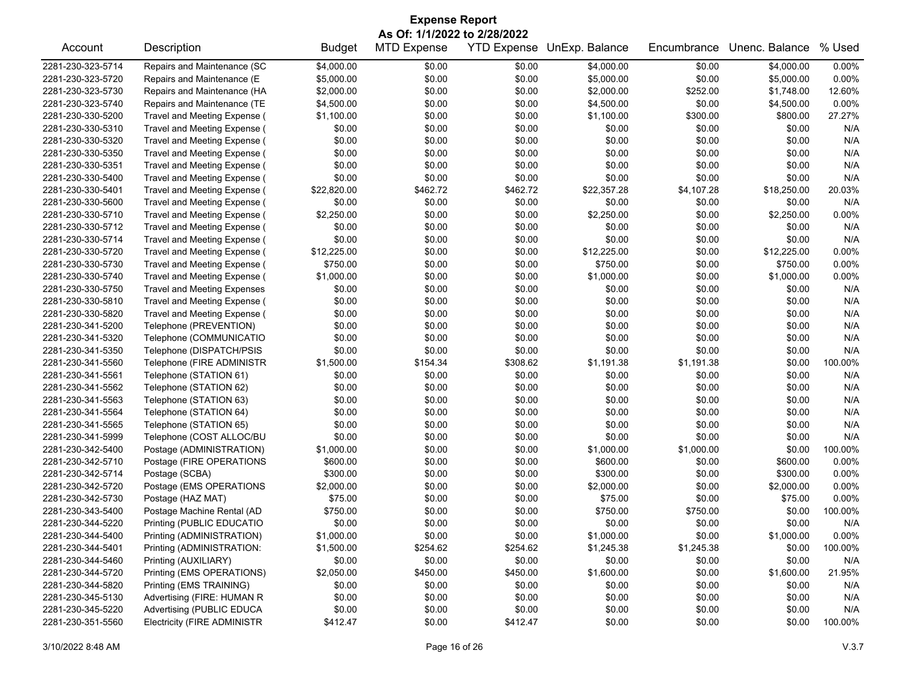| <b>Expense Report</b>                                             |                                            |               |                    |          |             |             |                |                |  |  |
|-------------------------------------------------------------------|--------------------------------------------|---------------|--------------------|----------|-------------|-------------|----------------|----------------|--|--|
| As Of: 1/1/2022 to 2/28/2022<br><b>YTD Expense UnExp. Balance</b> |                                            |               |                    |          |             |             |                |                |  |  |
| Account                                                           | Description                                | <b>Budget</b> | <b>MTD Expense</b> |          |             | Encumbrance | Unenc. Balance | % Used         |  |  |
| 2281-230-323-5714                                                 | Repairs and Maintenance (SC                | \$4,000.00    | \$0.00             | \$0.00   | \$4,000.00  | \$0.00      | \$4,000.00     | 0.00%          |  |  |
| 2281-230-323-5720                                                 | Repairs and Maintenance (E                 | \$5,000.00    | \$0.00             | \$0.00   | \$5,000.00  | \$0.00      | \$5,000.00     | 0.00%          |  |  |
| 2281-230-323-5730                                                 | Repairs and Maintenance (HA                | \$2,000.00    | \$0.00             | \$0.00   | \$2,000.00  | \$252.00    | \$1,748.00     | 12.60%         |  |  |
| 2281-230-323-5740                                                 | Repairs and Maintenance (TE                | \$4,500.00    | \$0.00             | \$0.00   | \$4,500.00  | \$0.00      | \$4,500.00     | 0.00%          |  |  |
| 2281-230-330-5200                                                 | Travel and Meeting Expense (               | \$1,100.00    | \$0.00             | \$0.00   | \$1,100.00  | \$300.00    | \$800.00       | 27.27%         |  |  |
| 2281-230-330-5310                                                 | Travel and Meeting Expense (               | \$0.00        | \$0.00             | \$0.00   | \$0.00      | \$0.00      | \$0.00         | N/A            |  |  |
| 2281-230-330-5320                                                 | Travel and Meeting Expense (               | \$0.00        | \$0.00             | \$0.00   | \$0.00      | \$0.00      | \$0.00         | N/A            |  |  |
| 2281-230-330-5350                                                 | Travel and Meeting Expense (               | \$0.00        | \$0.00             | \$0.00   | \$0.00      | \$0.00      | \$0.00         | N/A            |  |  |
| 2281-230-330-5351                                                 | Travel and Meeting Expense (               | \$0.00        | \$0.00             | \$0.00   | \$0.00      | \$0.00      | \$0.00         | N/A            |  |  |
| 2281-230-330-5400                                                 | Travel and Meeting Expense (               | \$0.00        | \$0.00             | \$0.00   | \$0.00      | \$0.00      | \$0.00         | N/A            |  |  |
| 2281-230-330-5401                                                 | Travel and Meeting Expense (               | \$22,820.00   | \$462.72           | \$462.72 | \$22,357.28 | \$4,107.28  | \$18,250.00    | 20.03%         |  |  |
| 2281-230-330-5600                                                 | Travel and Meeting Expense (               | \$0.00        | \$0.00             | \$0.00   | \$0.00      | \$0.00      | \$0.00         | N/A            |  |  |
| 2281-230-330-5710                                                 | Travel and Meeting Expense (               | \$2,250.00    | \$0.00             | \$0.00   | \$2,250.00  | \$0.00      | \$2,250.00     | 0.00%          |  |  |
| 2281-230-330-5712                                                 | Travel and Meeting Expense (               | \$0.00        | \$0.00             | \$0.00   | \$0.00      | \$0.00      | \$0.00         | N/A            |  |  |
| 2281-230-330-5714                                                 | Travel and Meeting Expense (               | \$0.00        | \$0.00             | \$0.00   | \$0.00      | \$0.00      | \$0.00         | N/A            |  |  |
| 2281-230-330-5720                                                 | Travel and Meeting Expense (               | \$12,225.00   | \$0.00             | \$0.00   | \$12,225.00 | \$0.00      | \$12,225.00    | 0.00%          |  |  |
| 2281-230-330-5730                                                 | Travel and Meeting Expense (               | \$750.00      | \$0.00             | \$0.00   | \$750.00    | \$0.00      | \$750.00       | 0.00%          |  |  |
| 2281-230-330-5740                                                 | Travel and Meeting Expense (               | \$1,000.00    | \$0.00             | \$0.00   | \$1,000.00  | \$0.00      | \$1,000.00     | 0.00%          |  |  |
| 2281-230-330-5750                                                 | <b>Travel and Meeting Expenses</b>         | \$0.00        | \$0.00             | \$0.00   | \$0.00      | \$0.00      | \$0.00         | N/A            |  |  |
| 2281-230-330-5810                                                 | Travel and Meeting Expense (               | \$0.00        | \$0.00             | \$0.00   | \$0.00      | \$0.00      | \$0.00         | N/A            |  |  |
| 2281-230-330-5820                                                 | Travel and Meeting Expense (               | \$0.00        | \$0.00             | \$0.00   | \$0.00      | \$0.00      | \$0.00         | N/A            |  |  |
| 2281-230-341-5200                                                 | Telephone (PREVENTION)                     | \$0.00        | \$0.00             | \$0.00   | \$0.00      | \$0.00      | \$0.00         | N/A            |  |  |
| 2281-230-341-5320                                                 | Telephone (COMMUNICATIO                    | \$0.00        | \$0.00             | \$0.00   | \$0.00      | \$0.00      | \$0.00         | N/A            |  |  |
| 2281-230-341-5350                                                 | Telephone (DISPATCH/PSIS                   | \$0.00        | \$0.00             | \$0.00   | \$0.00      | \$0.00      | \$0.00         | N/A            |  |  |
| 2281-230-341-5560                                                 | Telephone (FIRE ADMINISTR                  | \$1,500.00    | \$154.34           | \$308.62 | \$1,191.38  | \$1,191.38  | \$0.00         | 100.00%        |  |  |
| 2281-230-341-5561                                                 | Telephone (STATION 61)                     | \$0.00        | \$0.00             | \$0.00   | \$0.00      | \$0.00      | \$0.00         | N/A            |  |  |
| 2281-230-341-5562                                                 | Telephone (STATION 62)                     | \$0.00        | \$0.00             | \$0.00   | \$0.00      | \$0.00      | \$0.00         | N/A            |  |  |
| 2281-230-341-5563                                                 | Telephone (STATION 63)                     | \$0.00        | \$0.00             | \$0.00   | \$0.00      | \$0.00      | \$0.00         | N/A            |  |  |
| 2281-230-341-5564                                                 | Telephone (STATION 64)                     | \$0.00        | \$0.00             | \$0.00   | \$0.00      | \$0.00      | \$0.00         | N/A            |  |  |
| 2281-230-341-5565                                                 | Telephone (STATION 65)                     | \$0.00        | \$0.00             | \$0.00   | \$0.00      | \$0.00      | \$0.00         | N/A            |  |  |
| 2281-230-341-5999                                                 | Telephone (COST ALLOC/BU                   | \$0.00        | \$0.00             | \$0.00   | \$0.00      | \$0.00      | \$0.00         | N/A            |  |  |
| 2281-230-342-5400                                                 | Postage (ADMINISTRATION)                   | \$1,000.00    | \$0.00             | \$0.00   | \$1,000.00  | \$1,000.00  | \$0.00         | 100.00%        |  |  |
| 2281-230-342-5710                                                 |                                            | \$600.00      | \$0.00             | \$0.00   | \$600.00    | \$0.00      | \$600.00       | 0.00%          |  |  |
| 2281-230-342-5714                                                 | Postage (FIRE OPERATIONS<br>Postage (SCBA) | \$300.00      | \$0.00             | \$0.00   | \$300.00    | \$0.00      | \$300.00       | 0.00%          |  |  |
|                                                                   |                                            |               |                    |          |             |             |                |                |  |  |
| 2281-230-342-5720                                                 | Postage (EMS OPERATIONS                    | \$2,000.00    | \$0.00             | \$0.00   | \$2,000.00  | \$0.00      | \$2,000.00     | 0.00%<br>0.00% |  |  |
| 2281-230-342-5730                                                 | Postage (HAZ MAT)                          | \$75.00       | \$0.00             | \$0.00   | \$75.00     | \$0.00      | \$75.00        |                |  |  |
| 2281-230-343-5400                                                 | Postage Machine Rental (AD                 | \$750.00      | \$0.00             | \$0.00   | \$750.00    | \$750.00    | \$0.00         | 100.00%        |  |  |
| 2281-230-344-5220                                                 | Printing (PUBLIC EDUCATIO                  | \$0.00        | \$0.00             | \$0.00   | \$0.00      | \$0.00      | \$0.00         | N/A            |  |  |
| 2281-230-344-5400                                                 | Printing (ADMINISTRATION)                  | \$1,000.00    | \$0.00             | \$0.00   | \$1,000.00  | \$0.00      | \$1,000.00     | 0.00%          |  |  |
| 2281-230-344-5401                                                 | Printing (ADMINISTRATION:                  | \$1,500.00    | \$254.62           | \$254.62 | \$1,245.38  | \$1,245.38  | \$0.00         | 100.00%        |  |  |
| 2281-230-344-5460                                                 | Printing (AUXILIARY)                       | \$0.00        | \$0.00             | \$0.00   | \$0.00      | \$0.00      | \$0.00         | N/A            |  |  |
| 2281-230-344-5720                                                 | Printing (EMS OPERATIONS)                  | \$2,050.00    | \$450.00           | \$450.00 | \$1,600.00  | \$0.00      | \$1,600.00     | 21.95%         |  |  |
| 2281-230-344-5820                                                 | Printing (EMS TRAINING)                    | \$0.00        | \$0.00             | \$0.00   | \$0.00      | \$0.00      | \$0.00         | N/A            |  |  |
| 2281-230-345-5130                                                 | Advertising (FIRE: HUMAN R                 | \$0.00        | \$0.00             | \$0.00   | \$0.00      | \$0.00      | \$0.00         | N/A            |  |  |
| 2281-230-345-5220                                                 | Advertising (PUBLIC EDUCA                  | \$0.00        | \$0.00             | \$0.00   | \$0.00      | \$0.00      | \$0.00         | N/A            |  |  |
| 2281-230-351-5560                                                 | <b>Electricity (FIRE ADMINISTR</b>         | \$412.47      | \$0.00             | \$412.47 | \$0.00      | \$0.00      | \$0.00         | 100.00%        |  |  |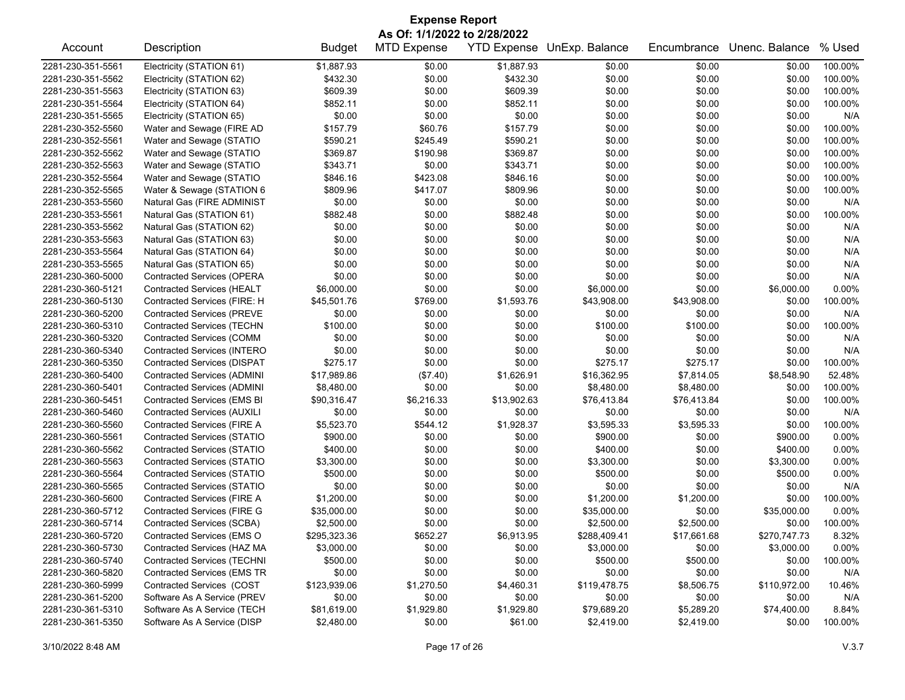| As Of: 1/1/2022 to 2/28/2022<br>YTD Expense UnExp. Balance<br>Unenc. Balance<br>Account<br>Description<br><b>Budget</b><br><b>MTD Expense</b><br>Encumbrance<br>\$1,887.93<br>\$1,887.93<br>2281-230-351-5561<br>Electricity (STATION 61)<br>\$0.00<br>\$0.00<br>\$0.00<br>\$0.00<br>\$0.00<br>2281-230-351-5562<br>Electricity (STATION 62)<br>\$432.30<br>\$432.30<br>\$0.00<br>\$0.00<br>\$0.00<br>Electricity (STATION 63)<br>\$609.39<br>\$0.00<br>\$609.39<br>\$0.00<br>\$0.00<br>2281-230-351-5563<br>\$0.00<br>Electricity (STATION 64)<br>\$852.11<br>\$0.00<br>\$852.11<br>\$0.00<br>\$0.00<br>2281-230-351-5564<br>\$0.00<br>Electricity (STATION 65)<br>\$0.00<br>\$0.00<br>\$0.00<br>2281-230-351-5565<br>\$0.00<br>\$0.00<br>\$0.00<br>\$157.79<br>\$60.76<br>\$157.79<br>Water and Sewage (FIRE AD<br>\$0.00<br>\$0.00<br>\$0.00<br>2281-230-352-5560<br>2281-230-352-5561<br>Water and Sewage (STATIO<br>\$590.21<br>\$245.49<br>\$590.21<br>\$0.00<br>\$0.00<br>\$0.00<br>\$369.87<br>\$0.00<br>2281-230-352-5562<br>Water and Sewage (STATIO<br>\$190.98<br>\$369.87<br>\$0.00<br>\$0.00 | % Used<br>100.00%<br>100.00%<br>100.00%<br>100.00%<br>N/A<br>100.00%<br>100.00%<br>100.00%<br>100.00%<br>100.00%<br>100.00%<br>N/A<br>100.00%<br>N/A |
|------------------------------------------------------------------------------------------------------------------------------------------------------------------------------------------------------------------------------------------------------------------------------------------------------------------------------------------------------------------------------------------------------------------------------------------------------------------------------------------------------------------------------------------------------------------------------------------------------------------------------------------------------------------------------------------------------------------------------------------------------------------------------------------------------------------------------------------------------------------------------------------------------------------------------------------------------------------------------------------------------------------------------------------------------------------------------------------------------------|------------------------------------------------------------------------------------------------------------------------------------------------------|
|                                                                                                                                                                                                                                                                                                                                                                                                                                                                                                                                                                                                                                                                                                                                                                                                                                                                                                                                                                                                                                                                                                            |                                                                                                                                                      |
|                                                                                                                                                                                                                                                                                                                                                                                                                                                                                                                                                                                                                                                                                                                                                                                                                                                                                                                                                                                                                                                                                                            |                                                                                                                                                      |
|                                                                                                                                                                                                                                                                                                                                                                                                                                                                                                                                                                                                                                                                                                                                                                                                                                                                                                                                                                                                                                                                                                            |                                                                                                                                                      |
|                                                                                                                                                                                                                                                                                                                                                                                                                                                                                                                                                                                                                                                                                                                                                                                                                                                                                                                                                                                                                                                                                                            |                                                                                                                                                      |
|                                                                                                                                                                                                                                                                                                                                                                                                                                                                                                                                                                                                                                                                                                                                                                                                                                                                                                                                                                                                                                                                                                            |                                                                                                                                                      |
|                                                                                                                                                                                                                                                                                                                                                                                                                                                                                                                                                                                                                                                                                                                                                                                                                                                                                                                                                                                                                                                                                                            |                                                                                                                                                      |
|                                                                                                                                                                                                                                                                                                                                                                                                                                                                                                                                                                                                                                                                                                                                                                                                                                                                                                                                                                                                                                                                                                            |                                                                                                                                                      |
|                                                                                                                                                                                                                                                                                                                                                                                                                                                                                                                                                                                                                                                                                                                                                                                                                                                                                                                                                                                                                                                                                                            |                                                                                                                                                      |
|                                                                                                                                                                                                                                                                                                                                                                                                                                                                                                                                                                                                                                                                                                                                                                                                                                                                                                                                                                                                                                                                                                            |                                                                                                                                                      |
|                                                                                                                                                                                                                                                                                                                                                                                                                                                                                                                                                                                                                                                                                                                                                                                                                                                                                                                                                                                                                                                                                                            |                                                                                                                                                      |
| Water and Sewage (STATIO<br>\$343.71<br>\$0.00<br>\$343.71<br>\$0.00<br>\$0.00<br>\$0.00<br>2281-230-352-5563                                                                                                                                                                                                                                                                                                                                                                                                                                                                                                                                                                                                                                                                                                                                                                                                                                                                                                                                                                                              |                                                                                                                                                      |
| \$846.16<br>\$423.08<br>\$846.16<br>2281-230-352-5564<br>Water and Sewage (STATIO<br>\$0.00<br>\$0.00<br>\$0.00                                                                                                                                                                                                                                                                                                                                                                                                                                                                                                                                                                                                                                                                                                                                                                                                                                                                                                                                                                                            |                                                                                                                                                      |
| 2281-230-352-5565<br>Water & Sewage (STATION 6<br>\$809.96<br>\$417.07<br>\$809.96<br>\$0.00<br>\$0.00<br>\$0.00                                                                                                                                                                                                                                                                                                                                                                                                                                                                                                                                                                                                                                                                                                                                                                                                                                                                                                                                                                                           |                                                                                                                                                      |
| 2281-230-353-5560<br>Natural Gas (FIRE ADMINIST<br>\$0.00<br>\$0.00<br>\$0.00<br>\$0.00<br>\$0.00<br>\$0.00                                                                                                                                                                                                                                                                                                                                                                                                                                                                                                                                                                                                                                                                                                                                                                                                                                                                                                                                                                                                |                                                                                                                                                      |
| \$882.48<br>\$0.00<br>\$882.48<br>\$0.00<br>2281-230-353-5561<br>Natural Gas (STATION 61)<br>\$0.00<br>\$0.00                                                                                                                                                                                                                                                                                                                                                                                                                                                                                                                                                                                                                                                                                                                                                                                                                                                                                                                                                                                              |                                                                                                                                                      |
| 2281-230-353-5562<br>\$0.00<br>\$0.00<br>\$0.00<br>\$0.00<br>Natural Gas (STATION 62)<br>\$0.00<br>\$0.00                                                                                                                                                                                                                                                                                                                                                                                                                                                                                                                                                                                                                                                                                                                                                                                                                                                                                                                                                                                                  |                                                                                                                                                      |
| \$0.00<br>\$0.00<br>\$0.00<br>2281-230-353-5563<br>Natural Gas (STATION 63)<br>\$0.00<br>\$0.00<br>\$0.00                                                                                                                                                                                                                                                                                                                                                                                                                                                                                                                                                                                                                                                                                                                                                                                                                                                                                                                                                                                                  | N/A                                                                                                                                                  |
| \$0.00<br>\$0.00<br>\$0.00<br>\$0.00<br>\$0.00<br>\$0.00<br>2281-230-353-5564<br>Natural Gas (STATION 64)                                                                                                                                                                                                                                                                                                                                                                                                                                                                                                                                                                                                                                                                                                                                                                                                                                                                                                                                                                                                  | N/A                                                                                                                                                  |
| 2281-230-353-5565<br>Natural Gas (STATION 65)<br>\$0.00<br>\$0.00<br>\$0.00<br>\$0.00<br>\$0.00<br>\$0.00                                                                                                                                                                                                                                                                                                                                                                                                                                                                                                                                                                                                                                                                                                                                                                                                                                                                                                                                                                                                  | N/A                                                                                                                                                  |
| \$0.00<br>\$0.00<br>\$0.00<br>\$0.00<br>2281-230-360-5000<br><b>Contracted Services (OPERA</b><br>\$0.00<br>\$0.00                                                                                                                                                                                                                                                                                                                                                                                                                                                                                                                                                                                                                                                                                                                                                                                                                                                                                                                                                                                         | N/A                                                                                                                                                  |
| <b>Contracted Services (HEALT</b><br>\$6,000.00<br>\$0.00<br>\$0.00<br>\$6,000.00<br>\$0.00<br>\$6,000.00<br>2281-230-360-5121                                                                                                                                                                                                                                                                                                                                                                                                                                                                                                                                                                                                                                                                                                                                                                                                                                                                                                                                                                             | 0.00%                                                                                                                                                |
| 2281-230-360-5130<br>Contracted Services (FIRE: H<br>\$45,501.76<br>\$769.00<br>\$1,593.76<br>\$43,908.00<br>\$43,908.00<br>\$0.00                                                                                                                                                                                                                                                                                                                                                                                                                                                                                                                                                                                                                                                                                                                                                                                                                                                                                                                                                                         | 100.00%                                                                                                                                              |
| \$0.00<br><b>Contracted Services (PREVE</b><br>\$0.00<br>\$0.00<br>\$0.00<br>\$0.00<br>\$0.00<br>2281-230-360-5200                                                                                                                                                                                                                                                                                                                                                                                                                                                                                                                                                                                                                                                                                                                                                                                                                                                                                                                                                                                         | N/A                                                                                                                                                  |
| 2281-230-360-5310<br><b>Contracted Services (TECHN</b><br>\$100.00<br>\$0.00<br>\$0.00<br>\$100.00<br>\$100.00<br>\$0.00                                                                                                                                                                                                                                                                                                                                                                                                                                                                                                                                                                                                                                                                                                                                                                                                                                                                                                                                                                                   | 100.00%                                                                                                                                              |
| \$0.00<br>\$0.00<br>\$0.00<br>2281-230-360-5320<br>Contracted Services (COMM<br>\$0.00<br>\$0.00<br>\$0.00                                                                                                                                                                                                                                                                                                                                                                                                                                                                                                                                                                                                                                                                                                                                                                                                                                                                                                                                                                                                 | N/A                                                                                                                                                  |
| 2281-230-360-5340<br>Contracted Services (INTERO<br>\$0.00<br>\$0.00<br>\$0.00<br>\$0.00<br>\$0.00<br>\$0.00                                                                                                                                                                                                                                                                                                                                                                                                                                                                                                                                                                                                                                                                                                                                                                                                                                                                                                                                                                                               | N/A                                                                                                                                                  |
| \$275.17<br>\$0.00<br>\$0.00<br>\$275.17<br>\$275.17<br>2281-230-360-5350<br><b>Contracted Services (DISPAT</b><br>\$0.00                                                                                                                                                                                                                                                                                                                                                                                                                                                                                                                                                                                                                                                                                                                                                                                                                                                                                                                                                                                  | 100.00%                                                                                                                                              |
| \$16,362.95<br>\$7,814.05<br><b>Contracted Services (ADMINI</b><br>\$17,989.86<br>(\$7.40)<br>\$1,626.91<br>\$8,548.90<br>2281-230-360-5400                                                                                                                                                                                                                                                                                                                                                                                                                                                                                                                                                                                                                                                                                                                                                                                                                                                                                                                                                                | 52.48%                                                                                                                                               |
| 2281-230-360-5401<br>Contracted Services (ADMINI<br>\$8,480.00<br>\$0.00<br>\$0.00<br>\$8,480.00<br>\$8,480.00<br>\$0.00                                                                                                                                                                                                                                                                                                                                                                                                                                                                                                                                                                                                                                                                                                                                                                                                                                                                                                                                                                                   | 100.00%                                                                                                                                              |
| \$0.00<br>2281-230-360-5451<br><b>Contracted Services (EMS BI</b><br>\$90,316.47<br>\$6,216.33<br>\$13,902.63<br>\$76,413.84<br>\$76,413.84                                                                                                                                                                                                                                                                                                                                                                                                                                                                                                                                                                                                                                                                                                                                                                                                                                                                                                                                                                | 100.00%                                                                                                                                              |
| <b>Contracted Services (AUXILI</b><br>\$0.00<br>\$0.00<br>\$0.00<br>\$0.00<br>\$0.00<br>2281-230-360-5460<br>\$0.00                                                                                                                                                                                                                                                                                                                                                                                                                                                                                                                                                                                                                                                                                                                                                                                                                                                                                                                                                                                        | N/A                                                                                                                                                  |
| 2281-230-360-5560<br>Contracted Services (FIRE A<br>\$5,523.70<br>\$544.12<br>\$1,928.37<br>\$3,595.33<br>\$3,595.33<br>\$0.00                                                                                                                                                                                                                                                                                                                                                                                                                                                                                                                                                                                                                                                                                                                                                                                                                                                                                                                                                                             | 100.00%                                                                                                                                              |
| 2281-230-360-5561<br>Contracted Services (STATIO<br>\$900.00<br>\$0.00<br>\$0.00<br>\$900.00<br>\$0.00<br>\$900.00                                                                                                                                                                                                                                                                                                                                                                                                                                                                                                                                                                                                                                                                                                                                                                                                                                                                                                                                                                                         | 0.00%                                                                                                                                                |
| 2281-230-360-5562<br>Contracted Services (STATIO<br>\$400.00<br>\$0.00<br>\$0.00<br>\$400.00<br>\$0.00<br>\$400.00                                                                                                                                                                                                                                                                                                                                                                                                                                                                                                                                                                                                                                                                                                                                                                                                                                                                                                                                                                                         | 0.00%                                                                                                                                                |
| \$0.00<br>2281-230-360-5563<br><b>Contracted Services (STATIO</b><br>\$3,300.00<br>\$0.00<br>\$3,300.00<br>\$0.00<br>\$3,300.00                                                                                                                                                                                                                                                                                                                                                                                                                                                                                                                                                                                                                                                                                                                                                                                                                                                                                                                                                                            | 0.00%                                                                                                                                                |
| 2281-230-360-5564<br>Contracted Services (STATIO<br>\$500.00<br>\$0.00<br>\$0.00<br>\$500.00<br>\$0.00<br>\$500.00                                                                                                                                                                                                                                                                                                                                                                                                                                                                                                                                                                                                                                                                                                                                                                                                                                                                                                                                                                                         | 0.00%                                                                                                                                                |
| \$0.00<br>\$0.00<br>2281-230-360-5565<br><b>Contracted Services (STATIO</b><br>\$0.00<br>\$0.00<br>\$0.00<br>\$0.00                                                                                                                                                                                                                                                                                                                                                                                                                                                                                                                                                                                                                                                                                                                                                                                                                                                                                                                                                                                        | N/A                                                                                                                                                  |
| Contracted Services (FIRE A<br>\$1,200.00<br>\$0.00<br>\$0.00<br>\$1,200.00<br>\$1,200.00<br>\$0.00<br>2281-230-360-5600                                                                                                                                                                                                                                                                                                                                                                                                                                                                                                                                                                                                                                                                                                                                                                                                                                                                                                                                                                                   | 100.00%                                                                                                                                              |
| 2281-230-360-5712<br><b>Contracted Services (FIRE G</b><br>\$35,000.00<br>\$0.00<br>\$0.00<br>\$35,000.00<br>\$0.00<br>\$35,000.00                                                                                                                                                                                                                                                                                                                                                                                                                                                                                                                                                                                                                                                                                                                                                                                                                                                                                                                                                                         | 0.00%                                                                                                                                                |
| \$0.00<br>\$0.00<br>\$0.00<br>2281-230-360-5714<br>Contracted Services (SCBA)<br>\$2,500.00<br>\$2,500.00<br>\$2,500.00                                                                                                                                                                                                                                                                                                                                                                                                                                                                                                                                                                                                                                                                                                                                                                                                                                                                                                                                                                                    | 100.00%                                                                                                                                              |
| \$295,323.36<br>\$652.27<br>2281-230-360-5720<br>Contracted Services (EMS O<br>\$6,913.95<br>\$288,409.41<br>\$17,661.68<br>\$270,747.73                                                                                                                                                                                                                                                                                                                                                                                                                                                                                                                                                                                                                                                                                                                                                                                                                                                                                                                                                                   | 8.32%                                                                                                                                                |
| \$0.00<br>\$0.00<br>2281-230-360-5730<br>Contracted Services (HAZ MA<br>\$3,000.00<br>\$3,000.00<br>\$0.00<br>\$3,000.00                                                                                                                                                                                                                                                                                                                                                                                                                                                                                                                                                                                                                                                                                                                                                                                                                                                                                                                                                                                   | 0.00%                                                                                                                                                |
| \$0.00<br>\$0.00<br>2281-230-360-5740<br><b>Contracted Services (TECHNI</b><br>\$500.00<br>\$500.00<br>\$500.00<br>\$0.00                                                                                                                                                                                                                                                                                                                                                                                                                                                                                                                                                                                                                                                                                                                                                                                                                                                                                                                                                                                  | 100.00%                                                                                                                                              |
| 2281-230-360-5820<br><b>Contracted Services (EMS TR</b><br>\$0.00<br>\$0.00<br>\$0.00<br>\$0.00<br>\$0.00<br>\$0.00                                                                                                                                                                                                                                                                                                                                                                                                                                                                                                                                                                                                                                                                                                                                                                                                                                                                                                                                                                                        | N/A                                                                                                                                                  |
| Contracted Services (COST<br>2281-230-360-5999<br>\$123,939.06<br>\$1,270.50<br>\$4,460.31<br>\$119,478.75<br>\$8,506.75<br>\$110,972.00                                                                                                                                                                                                                                                                                                                                                                                                                                                                                                                                                                                                                                                                                                                                                                                                                                                                                                                                                                   | 10.46%                                                                                                                                               |
| Software As A Service (PREV<br>\$0.00<br>2281-230-361-5200<br>\$0.00<br>\$0.00<br>\$0.00<br>\$0.00<br>\$0.00                                                                                                                                                                                                                                                                                                                                                                                                                                                                                                                                                                                                                                                                                                                                                                                                                                                                                                                                                                                               | N/A                                                                                                                                                  |
| Software As A Service (TECH<br>2281-230-361-5310<br>\$81,619.00<br>\$1,929.80<br>\$1,929.80<br>\$79,689.20<br>\$5,289.20<br>\$74,400.00                                                                                                                                                                                                                                                                                                                                                                                                                                                                                                                                                                                                                                                                                                                                                                                                                                                                                                                                                                    | 8.84%                                                                                                                                                |
| Software As A Service (DISP<br>2281-230-361-5350<br>\$2,480.00<br>\$0.00<br>\$61.00<br>\$2,419.00<br>\$2,419.00<br>\$0.00                                                                                                                                                                                                                                                                                                                                                                                                                                                                                                                                                                                                                                                                                                                                                                                                                                                                                                                                                                                  | 100.00%                                                                                                                                              |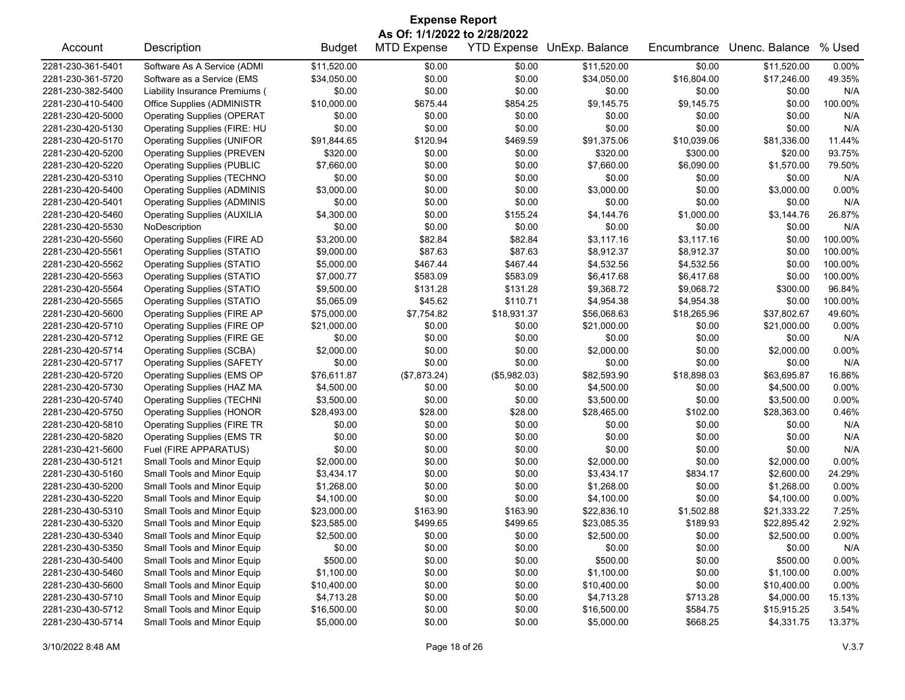| <b>Expense Report</b><br>As Of: 1/1/2022 to 2/28/2022 |                                    |               |                    |              |                            |             |                |         |  |
|-------------------------------------------------------|------------------------------------|---------------|--------------------|--------------|----------------------------|-------------|----------------|---------|--|
| Account                                               | Description                        | <b>Budget</b> | <b>MTD Expense</b> |              | YTD Expense UnExp. Balance | Encumbrance | Unenc. Balance | % Used  |  |
| 2281-230-361-5401                                     | Software As A Service (ADMI        | \$11,520.00   | \$0.00             | \$0.00       | \$11,520.00                | \$0.00      | \$11,520.00    | 0.00%   |  |
| 2281-230-361-5720                                     | Software as a Service (EMS         | \$34,050.00   | \$0.00             | \$0.00       | \$34,050.00                | \$16,804.00 | \$17,246.00    | 49.35%  |  |
| 2281-230-382-5400                                     | Liability Insurance Premiums (     | \$0.00        | \$0.00             | \$0.00       | \$0.00                     | \$0.00      | \$0.00         | N/A     |  |
| 2281-230-410-5400                                     | Office Supplies (ADMINISTR         | \$10,000.00   | \$675.44           | \$854.25     | \$9,145.75                 | \$9,145.75  | \$0.00         | 100.00% |  |
| 2281-230-420-5000                                     | <b>Operating Supplies (OPERAT</b>  | \$0.00        | \$0.00             | \$0.00       | \$0.00                     | \$0.00      | \$0.00         | N/A     |  |
| 2281-230-420-5130                                     | Operating Supplies (FIRE: HU       | \$0.00        | \$0.00             | \$0.00       | \$0.00                     | \$0.00      | \$0.00         | N/A     |  |
| 2281-230-420-5170                                     | <b>Operating Supplies (UNIFOR</b>  | \$91,844.65   | \$120.94           | \$469.59     | \$91,375.06                | \$10,039.06 | \$81,336.00    | 11.44%  |  |
| 2281-230-420-5200                                     | <b>Operating Supplies (PREVEN</b>  | \$320.00      | \$0.00             | \$0.00       | \$320.00                   | \$300.00    | \$20.00        | 93.75%  |  |
| 2281-230-420-5220                                     | <b>Operating Supplies (PUBLIC</b>  | \$7,660.00    | \$0.00             | \$0.00       | \$7,660.00                 | \$6,090.00  | \$1,570.00     | 79.50%  |  |
| 2281-230-420-5310                                     | <b>Operating Supplies (TECHNO</b>  | \$0.00        | \$0.00             | \$0.00       | \$0.00                     | \$0.00      | \$0.00         | N/A     |  |
| 2281-230-420-5400                                     | <b>Operating Supplies (ADMINIS</b> | \$3,000.00    | \$0.00             | \$0.00       | \$3,000.00                 | \$0.00      | \$3,000.00     | 0.00%   |  |
| 2281-230-420-5401                                     | <b>Operating Supplies (ADMINIS</b> | \$0.00        | \$0.00             | \$0.00       | \$0.00                     | \$0.00      | \$0.00         | N/A     |  |
| 2281-230-420-5460                                     | <b>Operating Supplies (AUXILIA</b> | \$4,300.00    | \$0.00             | \$155.24     | \$4,144.76                 | \$1,000.00  | \$3,144.76     | 26.87%  |  |
| 2281-230-420-5530                                     | NoDescription                      | \$0.00        | \$0.00             | \$0.00       | \$0.00                     | \$0.00      | \$0.00         | N/A     |  |
| 2281-230-420-5560                                     | <b>Operating Supplies (FIRE AD</b> | \$3,200.00    | \$82.84            | \$82.84      | \$3,117.16                 | \$3,117.16  | \$0.00         | 100.00% |  |
| 2281-230-420-5561                                     | <b>Operating Supplies (STATIO</b>  | \$9,000.00    | \$87.63            | \$87.63      | \$8,912.37                 | \$8,912.37  | \$0.00         | 100.00% |  |
| 2281-230-420-5562                                     | <b>Operating Supplies (STATIO</b>  | \$5,000.00    | \$467.44           | \$467.44     | \$4,532.56                 | \$4,532.56  | \$0.00         | 100.00% |  |
| 2281-230-420-5563                                     | <b>Operating Supplies (STATIO</b>  | \$7,000.77    | \$583.09           | \$583.09     | \$6,417.68                 | \$6,417.68  | \$0.00         | 100.00% |  |
| 2281-230-420-5564                                     | <b>Operating Supplies (STATIO</b>  | \$9,500.00    | \$131.28           | \$131.28     | \$9,368.72                 | \$9,068.72  | \$300.00       | 96.84%  |  |
| 2281-230-420-5565                                     | <b>Operating Supplies (STATIO</b>  | \$5.065.09    | \$45.62            | \$110.71     | \$4,954.38                 | \$4,954.38  | \$0.00         | 100.00% |  |
| 2281-230-420-5600                                     | <b>Operating Supplies (FIRE AP</b> | \$75,000.00   | \$7,754.82         | \$18,931.37  | \$56,068.63                | \$18,265.96 | \$37,802.67    | 49.60%  |  |
| 2281-230-420-5710                                     | Operating Supplies (FIRE OP        | \$21,000.00   | \$0.00             | \$0.00       | \$21,000.00                | \$0.00      | \$21,000.00    | 0.00%   |  |
| 2281-230-420-5712                                     | <b>Operating Supplies (FIRE GE</b> | \$0.00        | \$0.00             | \$0.00       | \$0.00                     | \$0.00      | \$0.00         | N/A     |  |
| 2281-230-420-5714                                     | <b>Operating Supplies (SCBA)</b>   | \$2,000.00    | \$0.00             | \$0.00       | \$2,000.00                 | \$0.00      | \$2,000.00     | 0.00%   |  |
| 2281-230-420-5717                                     | <b>Operating Supplies (SAFETY</b>  | \$0.00        | \$0.00             | \$0.00       | \$0.00                     | \$0.00      | \$0.00         | N/A     |  |
| 2281-230-420-5720                                     | Operating Supplies (EMS OP         | \$76,611.87   | (\$7,873.24)       | (\$5,982.03) | \$82,593.90                | \$18,898.03 | \$63,695.87    | 16.86%  |  |
| 2281-230-420-5730                                     | Operating Supplies (HAZ MA         | \$4,500.00    | \$0.00             | \$0.00       | \$4,500.00                 | \$0.00      | \$4,500.00     | 0.00%   |  |
| 2281-230-420-5740                                     | <b>Operating Supplies (TECHNI</b>  | \$3,500.00    | \$0.00             | \$0.00       | \$3,500.00                 | \$0.00      | \$3,500.00     | 0.00%   |  |
| 2281-230-420-5750                                     | <b>Operating Supplies (HONOR</b>   | \$28,493.00   | \$28.00            | \$28.00      | \$28,465.00                | \$102.00    | \$28,363.00    | 0.46%   |  |
| 2281-230-420-5810                                     | <b>Operating Supplies (FIRE TR</b> | \$0.00        | \$0.00             | \$0.00       | \$0.00                     | \$0.00      | \$0.00         | N/A     |  |
| 2281-230-420-5820                                     | <b>Operating Supplies (EMS TR</b>  | \$0.00        | \$0.00             | \$0.00       | \$0.00                     | \$0.00      | \$0.00         | N/A     |  |
| 2281-230-421-5600                                     | Fuel (FIRE APPARATUS)              | \$0.00        | \$0.00             | \$0.00       | \$0.00                     | \$0.00      | \$0.00         | N/A     |  |
| 2281-230-430-5121                                     | Small Tools and Minor Equip        | \$2,000.00    | \$0.00             | \$0.00       | \$2,000.00                 | \$0.00      | \$2,000.00     | 0.00%   |  |
| 2281-230-430-5160                                     | Small Tools and Minor Equip        | \$3,434.17    | \$0.00             | \$0.00       | \$3,434.17                 | \$834.17    | \$2,600.00     | 24.29%  |  |
| 2281-230-430-5200                                     | Small Tools and Minor Equip        | \$1,268.00    | \$0.00             | \$0.00       | \$1,268.00                 | \$0.00      | \$1,268.00     | 0.00%   |  |
| 2281-230-430-5220                                     | Small Tools and Minor Equip        | \$4,100.00    | \$0.00             | \$0.00       | \$4,100.00                 | \$0.00      | \$4,100.00     | 0.00%   |  |
| 2281-230-430-5310                                     | Small Tools and Minor Equip        | \$23,000.00   | \$163.90           | \$163.90     | \$22,836.10                | \$1,502.88  | \$21,333.22    | 7.25%   |  |
| 2281-230-430-5320                                     | Small Tools and Minor Equip        | \$23,585.00   | \$499.65           | \$499.65     | \$23,085.35                | \$189.93    | \$22,895.42    | 2.92%   |  |
| 2281-230-430-5340                                     | Small Tools and Minor Equip        | \$2,500.00    | \$0.00             | \$0.00       | \$2,500.00                 | \$0.00      | \$2,500.00     | 0.00%   |  |
| 2281-230-430-5350                                     | Small Tools and Minor Equip        | \$0.00        | \$0.00             | \$0.00       | \$0.00                     | \$0.00      | \$0.00         | N/A     |  |
| 2281-230-430-5400                                     | Small Tools and Minor Equip        | \$500.00      | \$0.00             | \$0.00       | \$500.00                   | \$0.00      | \$500.00       | 0.00%   |  |
| 2281-230-430-5460                                     | Small Tools and Minor Equip        | \$1,100.00    | \$0.00             | \$0.00       | \$1,100.00                 | \$0.00      | \$1,100.00     | 0.00%   |  |
| 2281-230-430-5600                                     | Small Tools and Minor Equip        | \$10,400.00   | \$0.00             | \$0.00       | \$10,400.00                | \$0.00      | \$10,400.00    | 0.00%   |  |
| 2281-230-430-5710                                     | Small Tools and Minor Equip        | \$4,713.28    | \$0.00             | \$0.00       | \$4,713.28                 | \$713.28    | \$4,000.00     | 15.13%  |  |
| 2281-230-430-5712                                     | Small Tools and Minor Equip        | \$16,500.00   | \$0.00             | \$0.00       | \$16,500.00                | \$584.75    | \$15,915.25    | 3.54%   |  |
| 2281-230-430-5714                                     | Small Tools and Minor Equip        | \$5,000.00    | \$0.00             | \$0.00       | \$5,000.00                 | \$668.25    | \$4,331.75     | 13.37%  |  |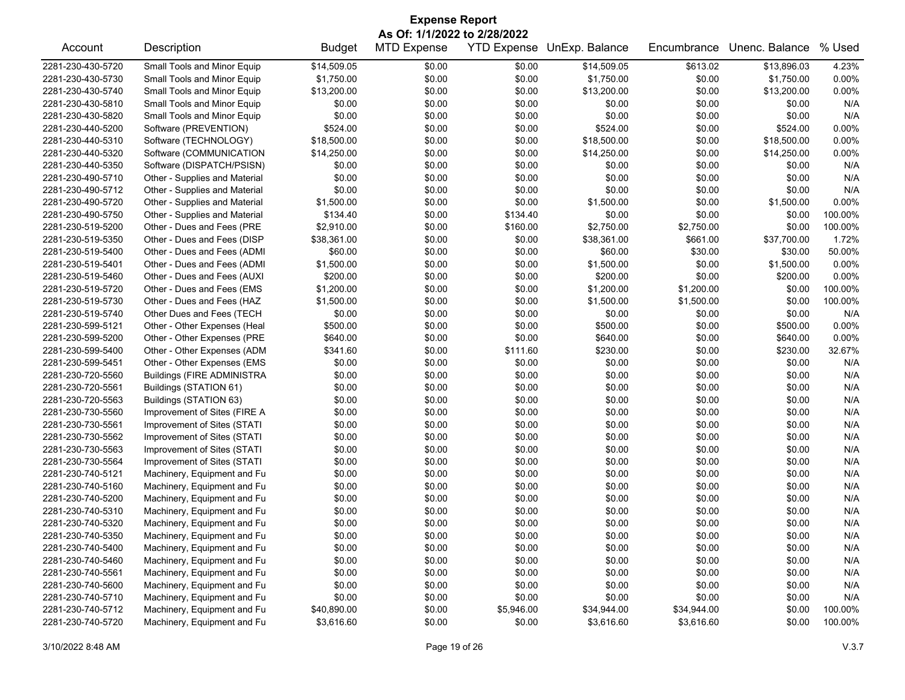|                   |                                   |               | <b>Expense Report</b>        |            |                            |             |                |         |
|-------------------|-----------------------------------|---------------|------------------------------|------------|----------------------------|-------------|----------------|---------|
|                   |                                   |               | As Of: 1/1/2022 to 2/28/2022 |            |                            |             |                |         |
| Account           | Description                       | <b>Budget</b> | <b>MTD Expense</b>           |            | YTD Expense UnExp. Balance | Encumbrance | Unenc. Balance | % Used  |
| 2281-230-430-5720 | Small Tools and Minor Equip       | \$14,509.05   | \$0.00                       | \$0.00     | \$14,509.05                | \$613.02    | \$13,896.03    | 4.23%   |
| 2281-230-430-5730 | Small Tools and Minor Equip       | \$1,750.00    | \$0.00                       | \$0.00     | \$1,750.00                 | \$0.00      | \$1,750.00     | 0.00%   |
| 2281-230-430-5740 | Small Tools and Minor Equip       | \$13,200.00   | \$0.00                       | \$0.00     | \$13,200.00                | \$0.00      | \$13,200.00    | 0.00%   |
| 2281-230-430-5810 | Small Tools and Minor Equip       | \$0.00        | \$0.00                       | \$0.00     | \$0.00                     | \$0.00      | \$0.00         | N/A     |
| 2281-230-430-5820 | Small Tools and Minor Equip       | \$0.00        | \$0.00                       | \$0.00     | \$0.00                     | \$0.00      | \$0.00         | N/A     |
| 2281-230-440-5200 | Software (PREVENTION)             | \$524.00      | \$0.00                       | \$0.00     | \$524.00                   | \$0.00      | \$524.00       | 0.00%   |
| 2281-230-440-5310 | Software (TECHNOLOGY)             | \$18,500.00   | \$0.00                       | \$0.00     | \$18,500.00                | \$0.00      | \$18,500.00    | 0.00%   |
| 2281-230-440-5320 | Software (COMMUNICATION           | \$14,250.00   | \$0.00                       | \$0.00     | \$14,250.00                | \$0.00      | \$14,250.00    | 0.00%   |
| 2281-230-440-5350 | Software (DISPATCH/PSISN)         | \$0.00        | \$0.00                       | \$0.00     | \$0.00                     | \$0.00      | \$0.00         | N/A     |
| 2281-230-490-5710 | Other - Supplies and Material     | \$0.00        | \$0.00                       | \$0.00     | \$0.00                     | \$0.00      | \$0.00         | N/A     |
| 2281-230-490-5712 | Other - Supplies and Material     | \$0.00        | \$0.00                       | \$0.00     | \$0.00                     | \$0.00      | \$0.00         | N/A     |
| 2281-230-490-5720 | Other - Supplies and Material     | \$1,500.00    | \$0.00                       | \$0.00     | \$1,500.00                 | \$0.00      | \$1,500.00     | 0.00%   |
| 2281-230-490-5750 | Other - Supplies and Material     | \$134.40      | \$0.00                       | \$134.40   | \$0.00                     | \$0.00      | \$0.00         | 100.00% |
| 2281-230-519-5200 | Other - Dues and Fees (PRE        | \$2,910.00    | \$0.00                       | \$160.00   | \$2,750.00                 | \$2,750.00  | \$0.00         | 100.00% |
| 2281-230-519-5350 | Other - Dues and Fees (DISP       | \$38,361.00   | \$0.00                       | \$0.00     | \$38,361.00                | \$661.00    | \$37,700.00    | 1.72%   |
| 2281-230-519-5400 | Other - Dues and Fees (ADMI       | \$60.00       | \$0.00                       | \$0.00     | \$60.00                    | \$30.00     | \$30.00        | 50.00%  |
| 2281-230-519-5401 | Other - Dues and Fees (ADMI       | \$1,500.00    | \$0.00                       | \$0.00     | \$1,500.00                 | \$0.00      | \$1,500.00     | 0.00%   |
| 2281-230-519-5460 | Other - Dues and Fees (AUXI       | \$200.00      | \$0.00                       | \$0.00     | \$200.00                   | \$0.00      | \$200.00       | 0.00%   |
| 2281-230-519-5720 | Other - Dues and Fees (EMS        | \$1,200.00    | \$0.00                       | \$0.00     | \$1,200.00                 | \$1,200.00  | \$0.00         | 100.00% |
| 2281-230-519-5730 | Other - Dues and Fees (HAZ        | \$1,500.00    | \$0.00                       | \$0.00     | \$1,500.00                 | \$1,500.00  | \$0.00         | 100.00% |
| 2281-230-519-5740 | Other Dues and Fees (TECH         | \$0.00        | \$0.00                       | \$0.00     | \$0.00                     | \$0.00      | \$0.00         | N/A     |
| 2281-230-599-5121 | Other - Other Expenses (Heal      | \$500.00      | \$0.00                       | \$0.00     | \$500.00                   | \$0.00      | \$500.00       | 0.00%   |
| 2281-230-599-5200 | Other - Other Expenses (PRE       | \$640.00      | \$0.00                       | \$0.00     | \$640.00                   | \$0.00      | \$640.00       | 0.00%   |
| 2281-230-599-5400 | Other - Other Expenses (ADM       | \$341.60      | \$0.00                       | \$111.60   | \$230.00                   | \$0.00      | \$230.00       | 32.67%  |
| 2281-230-599-5451 | Other - Other Expenses (EMS       | \$0.00        | \$0.00                       | \$0.00     | \$0.00                     | \$0.00      | \$0.00         | N/A     |
| 2281-230-720-5560 | <b>Buildings (FIRE ADMINISTRA</b> | \$0.00        | \$0.00                       | \$0.00     | \$0.00                     | \$0.00      | \$0.00         | N/A     |
| 2281-230-720-5561 | Buildings (STATION 61)            | \$0.00        | \$0.00                       | \$0.00     | \$0.00                     | \$0.00      | \$0.00         | N/A     |
| 2281-230-720-5563 | Buildings (STATION 63)            | \$0.00        | \$0.00                       | \$0.00     | \$0.00                     | \$0.00      | \$0.00         | N/A     |
| 2281-230-730-5560 | Improvement of Sites (FIRE A      | \$0.00        | \$0.00                       | \$0.00     | \$0.00                     | \$0.00      | \$0.00         | N/A     |
| 2281-230-730-5561 | Improvement of Sites (STATI       | \$0.00        | \$0.00                       | \$0.00     | \$0.00                     | \$0.00      | \$0.00         | N/A     |
| 2281-230-730-5562 | Improvement of Sites (STATI       | \$0.00        | \$0.00                       | \$0.00     | \$0.00                     | \$0.00      | \$0.00         | N/A     |
| 2281-230-730-5563 | Improvement of Sites (STATI       | \$0.00        | \$0.00                       | \$0.00     | \$0.00                     | \$0.00      | \$0.00         | N/A     |
| 2281-230-730-5564 | Improvement of Sites (STATI       | \$0.00        | \$0.00                       | \$0.00     | \$0.00                     | \$0.00      | \$0.00         | N/A     |
| 2281-230-740-5121 | Machinery, Equipment and Fu       | \$0.00        | \$0.00                       | \$0.00     | \$0.00                     | \$0.00      | \$0.00         | N/A     |
| 2281-230-740-5160 | Machinery, Equipment and Fu       | \$0.00        | \$0.00                       | \$0.00     | \$0.00                     | \$0.00      | \$0.00         | N/A     |
| 2281-230-740-5200 | Machinery, Equipment and Fu       | \$0.00        | \$0.00                       | \$0.00     | \$0.00                     | \$0.00      | \$0.00         | N/A     |
| 2281-230-740-5310 | Machinery, Equipment and Fu       | \$0.00        | \$0.00                       | \$0.00     | \$0.00                     | \$0.00      | \$0.00         | N/A     |
| 2281-230-740-5320 | Machinery, Equipment and Fu       | \$0.00        | \$0.00                       | \$0.00     | \$0.00                     | \$0.00      | \$0.00         | N/A     |
| 2281-230-740-5350 | Machinery, Equipment and Fu       | \$0.00        | \$0.00                       | \$0.00     | \$0.00                     | \$0.00      | \$0.00         | N/A     |
| 2281-230-740-5400 | Machinery, Equipment and Fu       | \$0.00        | \$0.00                       | \$0.00     | \$0.00                     | \$0.00      | \$0.00         | N/A     |
| 2281-230-740-5460 | Machinery, Equipment and Fu       | \$0.00        | \$0.00                       | \$0.00     | \$0.00                     | \$0.00      | \$0.00         | N/A     |
| 2281-230-740-5561 | Machinery, Equipment and Fu       | \$0.00        | \$0.00                       | \$0.00     | \$0.00                     | \$0.00      | \$0.00         | N/A     |
| 2281-230-740-5600 | Machinery, Equipment and Fu       | \$0.00        | \$0.00                       | \$0.00     | \$0.00                     | \$0.00      | \$0.00         | N/A     |
| 2281-230-740-5710 | Machinery, Equipment and Fu       | \$0.00        | \$0.00                       | \$0.00     | \$0.00                     | \$0.00      | \$0.00         | N/A     |
| 2281-230-740-5712 | Machinery, Equipment and Fu       | \$40,890.00   | \$0.00                       | \$5,946.00 | \$34,944.00                | \$34,944.00 | \$0.00         | 100.00% |
| 2281-230-740-5720 | Machinery, Equipment and Fu       | \$3,616.60    | \$0.00                       | \$0.00     | \$3,616.60                 | \$3,616.60  | \$0.00         | 100.00% |
|                   |                                   |               |                              |            |                            |             |                |         |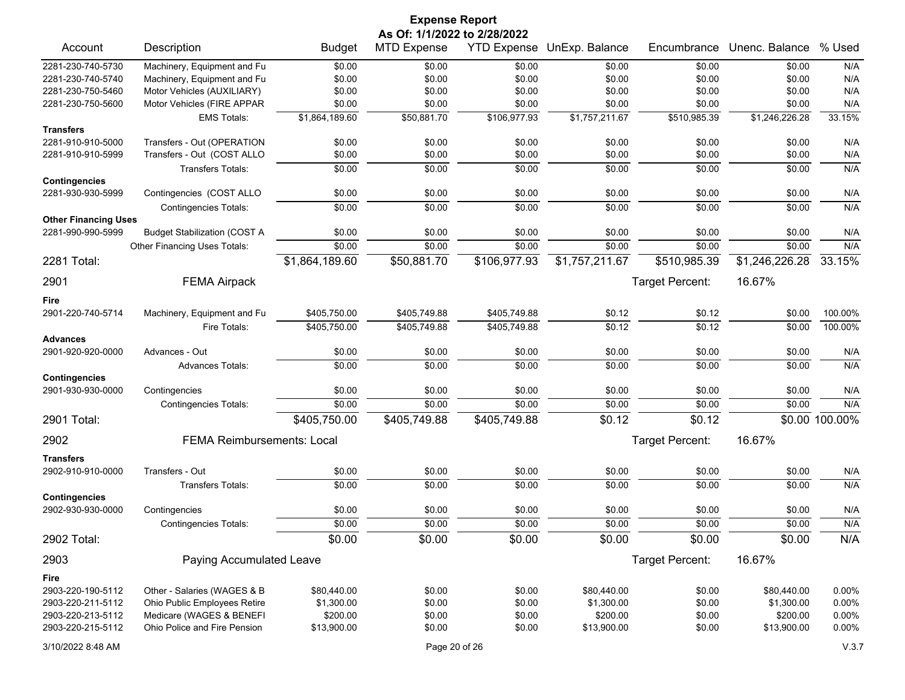|                                           |                                     |                | <b>Expense Report</b>                              |                    |                |                 |                |                |
|-------------------------------------------|-------------------------------------|----------------|----------------------------------------------------|--------------------|----------------|-----------------|----------------|----------------|
| Account                                   | Description                         | <b>Budget</b>  | As Of: 1/1/2022 to 2/28/2022<br><b>MTD Expense</b> | <b>YTD Expense</b> | UnExp. Balance | Encumbrance     | Unenc. Balance | % Used         |
| 2281-230-740-5730                         | Machinery, Equipment and Fu         | \$0.00         | \$0.00                                             | \$0.00             | \$0.00         | \$0.00          | \$0.00         | N/A            |
| 2281-230-740-5740                         | Machinery, Equipment and Fu         | \$0.00         | \$0.00                                             | \$0.00             | \$0.00         | \$0.00          | \$0.00         | N/A            |
| 2281-230-750-5460                         | Motor Vehicles (AUXILIARY)          | \$0.00         | \$0.00                                             | \$0.00             | \$0.00         | \$0.00          | \$0.00         | N/A            |
| 2281-230-750-5600                         | Motor Vehicles (FIRE APPAR          | \$0.00         | \$0.00                                             | \$0.00             | \$0.00         | \$0.00          | \$0.00         | N/A            |
|                                           | <b>EMS Totals:</b>                  | \$1,864,189.60 | \$50,881.70                                        | \$106,977.93       | \$1,757,211.67 | \$510,985.39    | \$1,246,226.28 | 33.15%         |
| <b>Transfers</b>                          |                                     |                |                                                    |                    |                |                 |                |                |
| 2281-910-910-5000                         | Transfers - Out (OPERATION          | \$0.00         | \$0.00                                             | \$0.00             | \$0.00         | \$0.00          | \$0.00         | N/A            |
| 2281-910-910-5999                         | Transfers - Out (COST ALLO          | \$0.00         | \$0.00                                             | \$0.00             | \$0.00         | \$0.00          | \$0.00         | N/A            |
|                                           | <b>Transfers Totals:</b>            | \$0.00         | \$0.00                                             | \$0.00             | \$0.00         | \$0.00          | \$0.00         | N/A            |
| <b>Contingencies</b><br>2281-930-930-5999 | Contingencies (COST ALLO            | \$0.00         | \$0.00                                             | \$0.00             | \$0.00         | \$0.00          | \$0.00         | N/A            |
|                                           | <b>Contingencies Totals:</b>        | \$0.00         | \$0.00                                             | \$0.00             | \$0.00         | \$0.00          | \$0.00         | N/A            |
| <b>Other Financing Uses</b>               |                                     |                |                                                    |                    |                |                 |                |                |
| 2281-990-990-5999                         | <b>Budget Stabilization (COST A</b> | \$0.00         | \$0.00                                             | \$0.00             | \$0.00         | \$0.00          | \$0.00         | N/A            |
|                                           | Other Financing Uses Totals:        | \$0.00         | \$0.00                                             | \$0.00             | \$0.00         | \$0.00          | \$0.00         | N/A            |
| 2281 Total:                               |                                     | \$1,864,189.60 | \$50,881.70                                        | \$106,977.93       | \$1,757,211.67 | \$510,985.39    | \$1,246,226.28 | 33.15%         |
| 2901                                      | <b>FEMA Airpack</b>                 |                |                                                    |                    |                | Target Percent: | 16.67%         |                |
| Fire                                      |                                     |                |                                                    |                    |                |                 |                |                |
| 2901-220-740-5714                         | Machinery, Equipment and Fu         | \$405,750.00   | \$405,749.88                                       | \$405,749.88       | \$0.12         | \$0.12          | \$0.00         | 100.00%        |
|                                           | Fire Totals:                        | \$405,750.00   | \$405,749.88                                       | \$405,749.88       | \$0.12         | \$0.12          | 30.00          | 100.00%        |
| <b>Advances</b>                           |                                     |                |                                                    |                    |                |                 |                |                |
| 2901-920-920-0000                         | Advances - Out                      | \$0.00         | \$0.00                                             | \$0.00             | \$0.00         | \$0.00          | \$0.00         | N/A            |
|                                           | Advances Totals:                    | \$0.00         | \$0.00                                             | \$0.00             | \$0.00         | \$0.00          | \$0.00         | N/A            |
| <b>Contingencies</b>                      |                                     |                |                                                    |                    |                |                 |                |                |
| 2901-930-930-0000                         | Contingencies                       | \$0.00         | \$0.00                                             | \$0.00             | \$0.00         | \$0.00          | \$0.00         | N/A            |
|                                           | <b>Contingencies Totals:</b>        | \$0.00         | \$0.00                                             | \$0.00             | \$0.00         | \$0.00          | \$0.00         | N/A            |
| 2901 Total:                               |                                     | \$405,750.00   | \$405,749.88                                       | \$405,749.88       | \$0.12         | \$0.12          |                | \$0.00 100.00% |
| 2902                                      | <b>FEMA Reimbursements: Local</b>   |                |                                                    |                    |                | Target Percent: | 16.67%         |                |
| <b>Transfers</b>                          |                                     |                |                                                    |                    |                |                 |                |                |
| 2902-910-910-0000                         | Transfers - Out                     | \$0.00         | \$0.00                                             | \$0.00             | \$0.00         | \$0.00          | \$0.00         | N/A            |
|                                           | <b>Transfers Totals:</b>            | \$0.00         | \$0.00                                             | \$0.00             | \$0.00         | \$0.00          | \$0.00         | N/A            |
| <b>Contingencies</b>                      |                                     |                |                                                    |                    |                |                 |                |                |
| 2902-930-930-0000                         | Contingencies                       | \$0.00         | \$0.00                                             | \$0.00             | \$0.00         | \$0.00          | \$0.00         | N/A            |
|                                           | <b>Contingencies Totals:</b>        | \$0.00         | \$0.00                                             | \$0.00             | \$0.00         | \$0.00          | \$0.00         | N/A            |
| 2902 Total:                               |                                     | \$0.00         | \$0.00                                             | \$0.00             | \$0.00         | \$0.00          | \$0.00         | N/A            |
| 2903                                      | Paying Accumulated Leave            |                |                                                    |                    |                | Target Percent: | 16.67%         |                |
| Fire                                      |                                     |                |                                                    |                    |                |                 |                |                |
| 2903-220-190-5112                         | Other - Salaries (WAGES & B         | \$80,440.00    | \$0.00                                             | \$0.00             | \$80,440.00    | \$0.00          | \$80,440.00    | 0.00%          |
| 2903-220-211-5112                         | Ohio Public Employees Retire        | \$1,300.00     | \$0.00                                             | \$0.00             | \$1,300.00     | \$0.00          | \$1,300.00     | 0.00%          |
| 2903-220-213-5112                         | Medicare (WAGES & BENEFI            | \$200.00       | \$0.00                                             | \$0.00             | \$200.00       | \$0.00          | \$200.00       | 0.00%          |
| 2903-220-215-5112                         | Ohio Police and Fire Pension        | \$13,900.00    | \$0.00                                             | \$0.00             | \$13,900.00    | \$0.00          | \$13,900.00    | $0.00\%$       |
| 3/10/2022 8:48 AM                         |                                     |                | Page 20 of 26                                      |                    |                |                 |                | V.3.7          |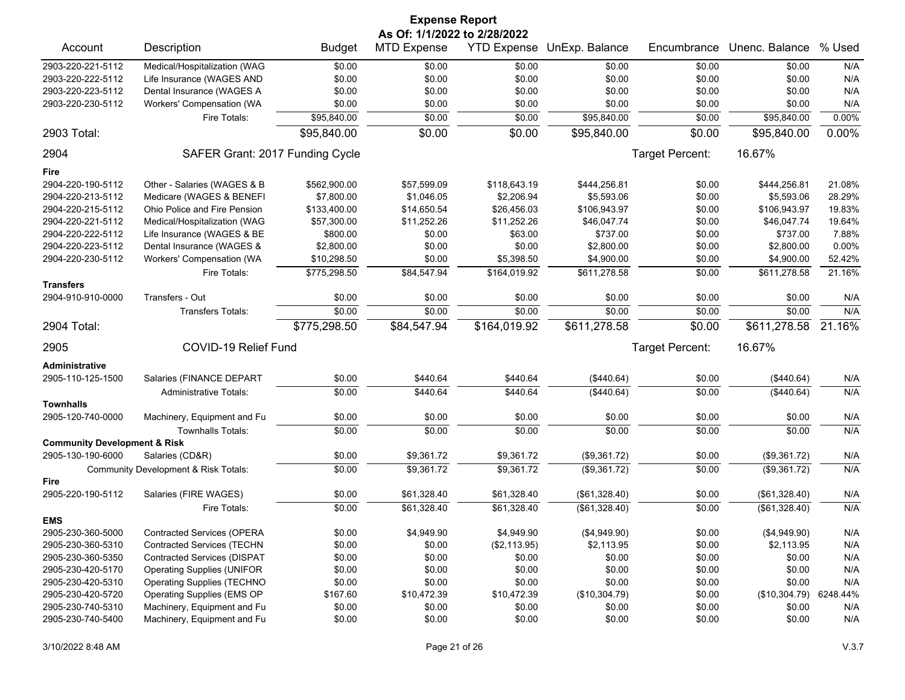|                                                              |                                                                 |               | <b>Expense Report</b>        |              |                            |                  |                |            |
|--------------------------------------------------------------|-----------------------------------------------------------------|---------------|------------------------------|--------------|----------------------------|------------------|----------------|------------|
|                                                              |                                                                 |               | As Of: 1/1/2022 to 2/28/2022 |              |                            |                  |                |            |
| Account                                                      | Description                                                     | <b>Budget</b> | <b>MTD Expense</b>           |              | YTD Expense UnExp. Balance | Encumbrance      | Unenc. Balance | % Used     |
| 2903-220-221-5112                                            | Medical/Hospitalization (WAG                                    | \$0.00        | \$0.00                       | \$0.00       | \$0.00                     | \$0.00           | \$0.00         | N/A        |
| 2903-220-222-5112                                            | Life Insurance (WAGES AND                                       | \$0.00        | \$0.00                       | \$0.00       | \$0.00                     | \$0.00           | \$0.00         | N/A        |
| 2903-220-223-5112                                            | Dental Insurance (WAGES A                                       | \$0.00        | \$0.00                       | \$0.00       | \$0.00                     | \$0.00           | \$0.00         | N/A        |
| 2903-220-230-5112                                            | Workers' Compensation (WA                                       | \$0.00        | \$0.00                       | \$0.00       | \$0.00                     | \$0.00           | \$0.00         | N/A        |
|                                                              | Fire Totals:                                                    | \$95,840.00   | \$0.00                       | \$0.00       | \$95,840.00                | \$0.00           | \$95,840.00    | 0.00%      |
| 2903 Total:                                                  |                                                                 | \$95,840.00   | \$0.00                       | \$0.00       | \$95,840.00                | \$0.00           | \$95,840.00    | $0.00\%$   |
| 2904                                                         | SAFER Grant: 2017 Funding Cycle                                 |               |                              |              |                            | Target Percent:  | 16.67%         |            |
| Fire                                                         |                                                                 |               |                              |              |                            |                  |                |            |
| 2904-220-190-5112                                            | Other - Salaries (WAGES & B                                     | \$562,900.00  | \$57,599.09                  | \$118,643.19 | \$444,256.81               | \$0.00           | \$444,256.81   | 21.08%     |
| 2904-220-213-5112                                            | Medicare (WAGES & BENEFI                                        | \$7,800.00    | \$1,046.05                   | \$2,206.94   | \$5,593.06                 | \$0.00           | \$5,593.06     | 28.29%     |
| 2904-220-215-5112                                            | Ohio Police and Fire Pension                                    | \$133,400.00  | \$14,650.54                  | \$26,456.03  | \$106,943.97               | \$0.00           | \$106,943.97   | 19.83%     |
| 2904-220-221-5112                                            | Medical/Hospitalization (WAG                                    | \$57,300.00   | \$11,252.26                  | \$11,252.26  | \$46,047.74                | \$0.00           | \$46,047.74    | 19.64%     |
| 2904-220-222-5112                                            | Life Insurance (WAGES & BE                                      | \$800.00      | \$0.00                       | \$63.00      | \$737.00                   | \$0.00           | \$737.00       | 7.88%      |
| 2904-220-223-5112                                            | Dental Insurance (WAGES &                                       | \$2,800.00    | \$0.00                       | \$0.00       | \$2,800.00                 | \$0.00           | \$2,800.00     | 0.00%      |
| 2904-220-230-5112                                            | Workers' Compensation (WA                                       | \$10,298.50   | \$0.00                       | \$5,398.50   | \$4,900.00                 | \$0.00           | \$4,900.00     | 52.42%     |
|                                                              | Fire Totals:                                                    | \$775,298.50  | \$84,547.94                  | \$164,019.92 | \$611,278.58               | \$0.00           | \$611,278.58   | 21.16%     |
| <b>Transfers</b>                                             |                                                                 |               |                              |              |                            |                  |                |            |
| 2904-910-910-0000                                            | Transfers - Out                                                 | \$0.00        | \$0.00                       | \$0.00       | \$0.00                     | \$0.00           | \$0.00         | N/A        |
|                                                              | Transfers Totals:                                               | \$0.00        | \$0.00                       | \$0.00       | \$0.00                     | \$0.00           | \$0.00         | N/A        |
| 2904 Total:                                                  |                                                                 | \$775,298.50  | \$84,547.94                  | \$164,019.92 | \$611,278.58               | \$0.00           | \$611,278.58   | 21.16%     |
| 2905                                                         | COVID-19 Relief Fund                                            |               |                              |              |                            | Target Percent:  | 16.67%         |            |
|                                                              |                                                                 |               |                              |              |                            |                  |                |            |
|                                                              |                                                                 |               |                              |              |                            |                  |                |            |
| <b>Administrative</b>                                        |                                                                 |               |                              |              |                            |                  |                |            |
| 2905-110-125-1500                                            | Salaries (FINANCE DEPART                                        | \$0.00        | \$440.64                     | \$440.64     | (\$440.64)                 | \$0.00           | (\$440.64)     | N/A        |
|                                                              | <b>Administrative Totals:</b>                                   | \$0.00        | \$440.64                     | \$440.64     | (\$440.64)                 | \$0.00           | (\$440.64)     | N/A        |
| <b>Townhalls</b><br>2905-120-740-0000                        |                                                                 | \$0.00        | \$0.00                       | \$0.00       | \$0.00                     | \$0.00           | \$0.00         |            |
|                                                              | Machinery, Equipment and Fu                                     |               |                              |              |                            |                  |                | N/A        |
|                                                              | <b>Townhalls Totals:</b>                                        | \$0.00        | \$0.00                       | \$0.00       | \$0.00                     | \$0.00           | \$0.00         | N/A        |
| <b>Community Development &amp; Risk</b><br>2905-130-190-6000 | Salaries (CD&R)                                                 |               | \$9,361.72                   |              |                            |                  |                |            |
|                                                              |                                                                 | \$0.00        |                              | \$9,361.72   | (\$9,361.72)               | \$0.00           | (\$9,361.72)   | N/A        |
| Fire                                                         | Community Development & Risk Totals:                            | \$0.00        | \$9,361.72                   | \$9,361.72   | (\$9,361.72)               | \$0.00           | (\$9,361.72)   | N/A        |
| 2905-220-190-5112                                            | Salaries (FIRE WAGES)                                           | \$0.00        | \$61,328.40                  | \$61,328.40  |                            | \$0.00           |                | N/A        |
|                                                              | Fire Totals:                                                    |               |                              |              | (\$61,328.40)              |                  | (\$61,328.40)  |            |
| <b>EMS</b>                                                   |                                                                 | \$0.00        | \$61,328.40                  | \$61,328.40  | (\$61,328.40)              | \$0.00           | (\$61,328.40)  | N/A        |
| 2905-230-360-5000                                            |                                                                 | \$0.00        |                              | \$4,949.90   |                            |                  | (\$4,949.90)   |            |
| 2905-230-360-5310                                            | Contracted Services (OPERA<br><b>Contracted Services (TECHN</b> | \$0.00        | \$4,949.90<br>\$0.00         | (\$2,113.95) | (\$4,949.90)<br>\$2,113.95 | \$0.00<br>\$0.00 | \$2,113.95     | N/A<br>N/A |
| 2905-230-360-5350                                            | <b>Contracted Services (DISPAT</b>                              | \$0.00        | \$0.00                       | \$0.00       | \$0.00                     | \$0.00           | \$0.00         | N/A        |
| 2905-230-420-5170                                            | <b>Operating Supplies (UNIFOR</b>                               | \$0.00        | \$0.00                       | \$0.00       | \$0.00                     | \$0.00           | \$0.00         | N/A        |
| 2905-230-420-5310                                            | <b>Operating Supplies (TECHNO</b>                               | \$0.00        | \$0.00                       | \$0.00       | \$0.00                     | \$0.00           | \$0.00         | N/A        |
| 2905-230-420-5720                                            | Operating Supplies (EMS OP                                      | \$167.60      | \$10,472.39                  | \$10,472.39  | (\$10,304.79)              | \$0.00           | (\$10,304.79)  | 6248.44%   |
| 2905-230-740-5310                                            | Machinery, Equipment and Fu                                     | \$0.00        | \$0.00                       | \$0.00       | \$0.00                     | \$0.00           | \$0.00         | N/A        |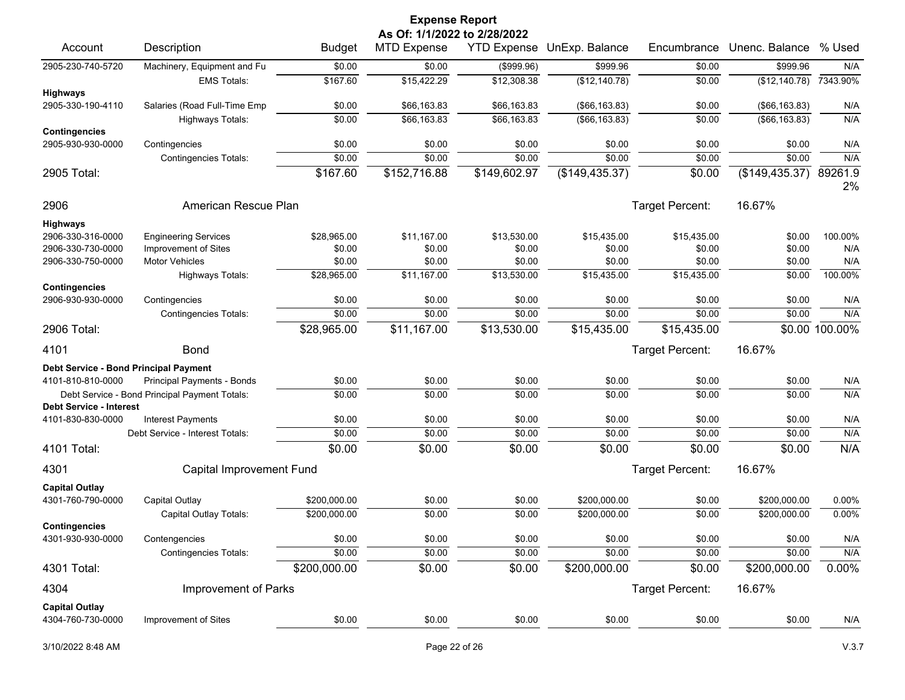|                                                     |                                                         |                  | <b>Expense Report</b><br>As Of: 1/1/2022 to 2/28/2022 |                            |                                  |                  |                                  |                |
|-----------------------------------------------------|---------------------------------------------------------|------------------|-------------------------------------------------------|----------------------------|----------------------------------|------------------|----------------------------------|----------------|
| Account                                             | Description                                             | <b>Budget</b>    | <b>MTD Expense</b>                                    | <b>YTD Expense</b>         | UnExp. Balance                   | Encumbrance      | Unenc. Balance                   | % Used         |
| 2905-230-740-5720                                   | Machinery, Equipment and Fu                             | \$0.00           | \$0.00                                                | (\$999.96)                 | \$999.96                         | \$0.00           | \$999.96                         | N/A            |
|                                                     | <b>EMS Totals:</b>                                      | \$167.60         | \$15,422.29                                           | \$12,308.38                | (\$12,140.78)                    | \$0.00           | (\$12,140.78)                    | 7343.90%       |
| <b>Highways</b>                                     |                                                         |                  |                                                       |                            |                                  |                  |                                  |                |
| 2905-330-190-4110                                   | Salaries (Road Full-Time Emp<br><b>Highways Totals:</b> | \$0.00<br>\$0.00 | \$66,163.83<br>\$66,163.83                            | \$66,163.83<br>\$66,163.83 | (\$66, 163.83)<br>(\$66, 163.83) | \$0.00<br>\$0.00 | (\$66, 163.83)<br>(\$66, 163.83) | N/A<br>N/A     |
| <b>Contingencies</b>                                |                                                         |                  |                                                       |                            |                                  |                  |                                  |                |
| 2905-930-930-0000                                   | Contingencies                                           | \$0.00           | \$0.00                                                | \$0.00                     | \$0.00                           | \$0.00           | \$0.00                           | N/A            |
|                                                     | <b>Contingencies Totals:</b>                            | \$0.00           | \$0.00                                                | \$0.00                     | \$0.00                           | \$0.00           | \$0.00                           | N/A            |
| 2905 Total:                                         |                                                         | \$167.60         | \$152,716.88                                          | \$149,602.97               | (\$149,435.37)                   | \$0.00           | (\$149, 435.37)                  | 89261.9<br>2%  |
| 2906                                                | American Rescue Plan                                    |                  |                                                       |                            |                                  | Target Percent:  | 16.67%                           |                |
| <b>Highways</b>                                     |                                                         |                  |                                                       |                            |                                  |                  |                                  |                |
| 2906-330-316-0000                                   | <b>Engineering Services</b>                             | \$28,965.00      | \$11,167.00                                           | \$13,530.00                | \$15,435.00                      | \$15,435.00      | \$0.00                           | 100.00%        |
| 2906-330-730-0000<br>2906-330-750-0000              | Improvement of Sites<br><b>Motor Vehicles</b>           | \$0.00<br>\$0.00 | \$0.00<br>\$0.00                                      | \$0.00<br>\$0.00           | \$0.00<br>\$0.00                 | \$0.00<br>\$0.00 | \$0.00<br>\$0.00                 | N/A<br>N/A     |
|                                                     | Highways Totals:                                        | \$28,965.00      | \$11,167.00                                           | \$13,530.00                | \$15,435.00                      | \$15,435.00      | \$0.00                           | 100.00%        |
| <b>Contingencies</b>                                |                                                         |                  |                                                       |                            |                                  |                  |                                  |                |
| 2906-930-930-0000                                   | Contingencies                                           | \$0.00           | \$0.00                                                | \$0.00                     | \$0.00                           | \$0.00           | \$0.00                           | N/A            |
|                                                     | <b>Contingencies Totals:</b>                            | \$0.00           | \$0.00                                                | \$0.00                     | \$0.00                           | \$0.00           | \$0.00                           | N/A            |
| 2906 Total:                                         |                                                         | \$28,965.00      | \$11,167.00                                           | \$13,530.00                | \$15,435.00                      | \$15,435.00      |                                  | \$0.00 100.00% |
| 4101                                                | <b>Bond</b>                                             |                  |                                                       |                            |                                  | Target Percent:  | 16.67%                           |                |
| Debt Service - Bond Principal Payment               |                                                         |                  |                                                       |                            |                                  |                  |                                  |                |
| 4101-810-810-0000                                   | Principal Payments - Bonds                              | \$0.00           | \$0.00                                                | \$0.00                     | \$0.00                           | \$0.00           | \$0.00                           | N/A            |
|                                                     | Debt Service - Bond Principal Payment Totals:           | \$0.00           | \$0.00                                                | \$0.00                     | \$0.00                           | \$0.00           | \$0.00                           | N/A            |
| <b>Debt Service - Interest</b><br>4101-830-830-0000 | Interest Payments                                       | \$0.00           | \$0.00                                                | \$0.00                     | \$0.00                           | \$0.00           | \$0.00                           | N/A            |
|                                                     | Debt Service - Interest Totals:                         | \$0.00           | \$0.00                                                | \$0.00                     | \$0.00                           | \$0.00           | \$0.00                           | N/A            |
| 4101 Total:                                         |                                                         | \$0.00           | \$0.00                                                | \$0.00                     | \$0.00                           | \$0.00           | \$0.00                           | N/A            |
| 4301                                                | Capital Improvement Fund                                |                  |                                                       |                            |                                  | Target Percent:  | 16.67%                           |                |
| <b>Capital Outlay</b>                               |                                                         |                  |                                                       |                            |                                  |                  |                                  |                |
| 4301-760-790-0000                                   | Capital Outlay                                          | \$200,000.00     | \$0.00                                                | \$0.00                     | \$200.000.00                     | \$0.00           | \$200,000.00                     | 0.00%          |
|                                                     | Capital Outlay Totals:                                  | \$200,000.00     | \$0.00                                                | \$0.00                     | \$200,000.00                     | \$0.00           | \$200,000.00                     | 0.00%          |
| <b>Contingencies</b>                                |                                                         |                  |                                                       |                            |                                  |                  |                                  |                |
| 4301-930-930-0000                                   | Contengencies                                           | \$0.00           | \$0.00                                                | \$0.00                     | \$0.00                           | \$0.00           | \$0.00                           | N/A            |
|                                                     | <b>Contingencies Totals:</b>                            | \$0.00           | \$0.00                                                | \$0.00                     | \$0.00                           | \$0.00           | \$0.00                           | N/A            |
| 4301 Total:                                         |                                                         | \$200,000.00     | \$0.00                                                | \$0.00                     | \$200,000.00                     | \$0.00           | \$200,000.00                     | 0.00%          |
| 4304                                                | Improvement of Parks                                    |                  |                                                       |                            |                                  | Target Percent:  | 16.67%                           |                |
| <b>Capital Outlay</b>                               |                                                         |                  |                                                       |                            |                                  |                  |                                  |                |
| 4304-760-730-0000                                   | Improvement of Sites                                    | \$0.00           | \$0.00                                                | \$0.00                     | \$0.00                           | \$0.00           | \$0.00                           | N/A            |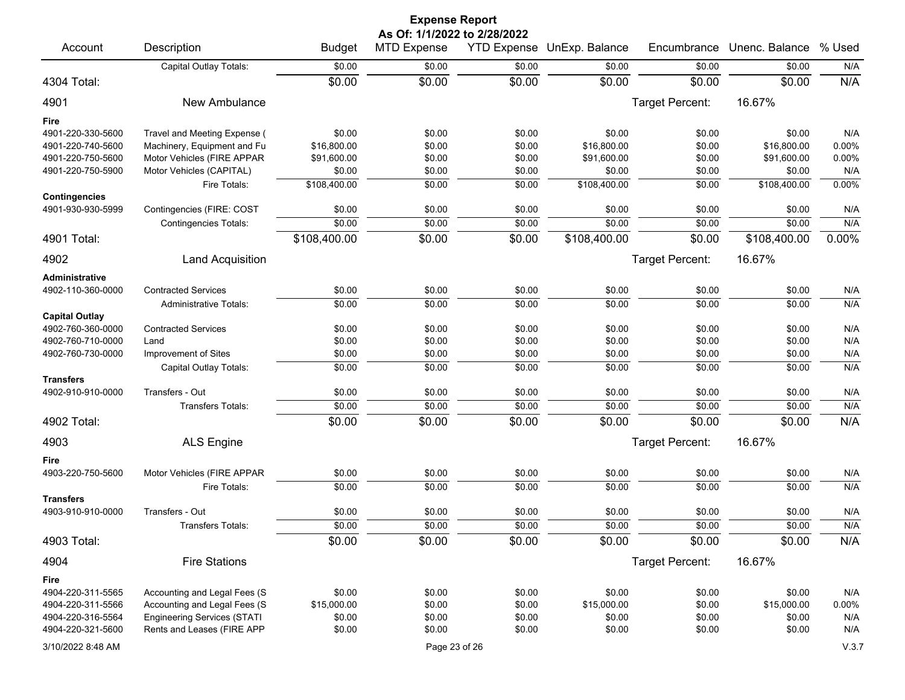|                                           |                                    |               | <b>Expense Report</b>        |        |                            |                 |                |        |
|-------------------------------------------|------------------------------------|---------------|------------------------------|--------|----------------------------|-----------------|----------------|--------|
|                                           |                                    |               | As Of: 1/1/2022 to 2/28/2022 |        |                            |                 |                |        |
| Account                                   | Description                        | <b>Budget</b> | <b>MTD Expense</b>           |        | YTD Expense UnExp. Balance | Encumbrance     | Unenc. Balance | % Used |
|                                           | Capital Outlay Totals:             | \$0.00        | \$0.00                       | \$0.00 | \$0.00                     | \$0.00          | \$0.00         | N/A    |
| 4304 Total:                               |                                    | \$0.00        | \$0.00                       | \$0.00 | \$0.00                     | \$0.00          | \$0.00         | N/A    |
| 4901                                      | New Ambulance                      |               |                              |        |                            | Target Percent: | 16.67%         |        |
| Fire                                      |                                    |               |                              |        |                            |                 |                |        |
| 4901-220-330-5600                         | Travel and Meeting Expense (       | \$0.00        | \$0.00                       | \$0.00 | \$0.00                     | \$0.00          | \$0.00         | N/A    |
| 4901-220-740-5600                         | Machinery, Equipment and Fu        | \$16,800.00   | \$0.00                       | \$0.00 | \$16,800.00                | \$0.00          | \$16,800.00    | 0.00%  |
| 4901-220-750-5600                         | Motor Vehicles (FIRE APPAR         | \$91,600.00   | \$0.00                       | \$0.00 | \$91,600.00                | \$0.00          | \$91,600.00    | 0.00%  |
| 4901-220-750-5900                         | Motor Vehicles (CAPITAL)           | \$0.00        | \$0.00                       | \$0.00 | \$0.00                     | \$0.00          | \$0.00         | N/A    |
|                                           | Fire Totals:                       | \$108,400.00  | \$0.00                       | \$0.00 | \$108,400.00               | \$0.00          | \$108,400.00   | 0.00%  |
| <b>Contingencies</b><br>4901-930-930-5999 | Contingencies (FIRE: COST          | \$0.00        | \$0.00                       | \$0.00 | \$0.00                     | \$0.00          | \$0.00         | N/A    |
|                                           | <b>Contingencies Totals:</b>       | \$0.00        | \$0.00                       | \$0.00 | \$0.00                     | \$0.00          | \$0.00         | N/A    |
| 4901 Total:                               |                                    | \$108,400.00  | \$0.00                       | \$0.00 | \$108,400.00               | \$0.00          | \$108,400.00   | 0.00%  |
| 4902                                      | <b>Land Acquisition</b>            |               |                              |        |                            | Target Percent: | 16.67%         |        |
| Administrative                            |                                    |               |                              |        |                            |                 |                |        |
| 4902-110-360-0000                         | <b>Contracted Services</b>         | \$0.00        | \$0.00                       | \$0.00 | \$0.00                     | \$0.00          | \$0.00         | N/A    |
|                                           | <b>Administrative Totals:</b>      | \$0.00        | \$0.00                       | \$0.00 | \$0.00                     | \$0.00          | \$0.00         | N/A    |
| <b>Capital Outlay</b>                     |                                    |               |                              |        |                            |                 |                |        |
| 4902-760-360-0000                         | <b>Contracted Services</b>         | \$0.00        | \$0.00                       | \$0.00 | \$0.00                     | \$0.00          | \$0.00         | N/A    |
| 4902-760-710-0000                         | Land                               | \$0.00        | \$0.00                       | \$0.00 | \$0.00                     | \$0.00          | \$0.00         | N/A    |
| 4902-760-730-0000                         | Improvement of Sites               | \$0.00        | \$0.00                       | \$0.00 | \$0.00                     | \$0.00          | \$0.00         | N/A    |
|                                           | Capital Outlay Totals:             | \$0.00        | \$0.00                       | \$0.00 | \$0.00                     | \$0.00          | \$0.00         | N/A    |
| <b>Transfers</b>                          |                                    |               |                              |        |                            |                 |                |        |
| 4902-910-910-0000                         | Transfers - Out                    | \$0.00        | \$0.00                       | \$0.00 | \$0.00                     | \$0.00          | \$0.00         | N/A    |
|                                           | Transfers Totals:                  | \$0.00        | \$0.00                       | \$0.00 | \$0.00                     | \$0.00          | \$0.00         | N/A    |
| 4902 Total:                               |                                    | \$0.00        | \$0.00                       | \$0.00 | \$0.00                     | \$0.00          | \$0.00         | N/A    |
| 4903                                      | <b>ALS Engine</b>                  |               |                              |        |                            | Target Percent: | 16.67%         |        |
| Fire                                      |                                    |               |                              |        |                            |                 |                |        |
| 4903-220-750-5600                         | Motor Vehicles (FIRE APPAR         | \$0.00        | \$0.00                       | \$0.00 | \$0.00                     | \$0.00          | \$0.00         | N/A    |
|                                           | Fire Totals:                       | \$0.00        | \$0.00                       | \$0.00 | \$0.00                     | \$0.00          | \$0.00         | N/A    |
| <b>Transfers</b>                          |                                    |               |                              |        |                            |                 |                |        |
| 4903-910-910-0000                         | Transfers - Out                    | \$0.00        | \$0.00                       | \$0.00 | \$0.00                     | \$0.00          | \$0.00         | N/A    |
|                                           | Transfers Totals:                  | \$0.00        | \$0.00                       | \$0.00 | \$0.00                     | \$0.00          | \$0.00         | N/A    |
| 4903 Total:                               |                                    | \$0.00        | \$0.00                       | \$0.00 | \$0.00                     | \$0.00          | \$0.00         | N/A    |
| 4904                                      | <b>Fire Stations</b>               |               |                              |        |                            | Target Percent: | 16.67%         |        |
| Fire                                      |                                    |               |                              |        |                            |                 |                |        |
| 4904-220-311-5565                         | Accounting and Legal Fees (S       | \$0.00        | \$0.00                       | \$0.00 | \$0.00                     | \$0.00          | \$0.00         | N/A    |
| 4904-220-311-5566                         | Accounting and Legal Fees (S       | \$15,000.00   | \$0.00                       | \$0.00 | \$15,000.00                | \$0.00          | \$15,000.00    | 0.00%  |
| 4904-220-316-5564                         | <b>Engineering Services (STATI</b> | \$0.00        | \$0.00                       | \$0.00 | \$0.00                     | \$0.00          | \$0.00         | N/A    |
| 4904-220-321-5600                         | Rents and Leases (FIRE APP         | \$0.00        | \$0.00                       | \$0.00 | \$0.00                     | \$0.00          | \$0.00         | N/A    |
| 3/10/2022 8:48 AM                         |                                    |               | Page 23 of 26                |        |                            |                 |                | V.3.7  |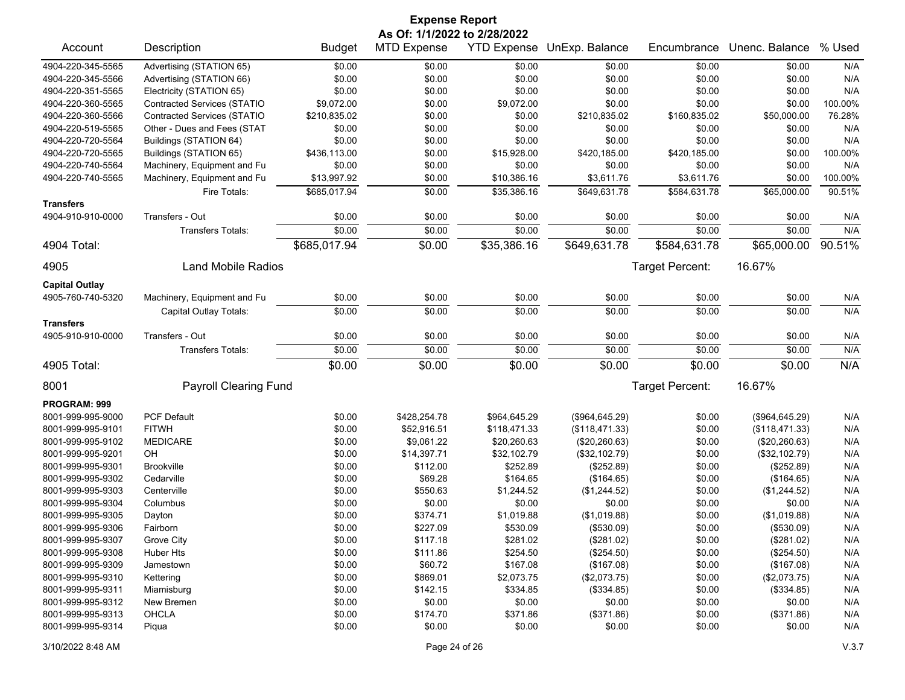|                       |                                    |               | <b>Expense Report</b>        |                    |                |                 |                |           |
|-----------------------|------------------------------------|---------------|------------------------------|--------------------|----------------|-----------------|----------------|-----------|
|                       |                                    |               | As Of: 1/1/2022 to 2/28/2022 |                    |                |                 |                |           |
| Account               | Description                        | <b>Budget</b> | <b>MTD Expense</b>           | <b>YTD Expense</b> | UnExp. Balance | Encumbrance     | Unenc. Balance | % Used    |
| 4904-220-345-5565     | Advertising (STATION 65)           | \$0.00        | \$0.00                       | \$0.00             | \$0.00         | \$0.00          | \$0.00         | N/A       |
| 4904-220-345-5566     | Advertising (STATION 66)           | \$0.00        | \$0.00                       | \$0.00             | \$0.00         | \$0.00          | \$0.00         | N/A       |
| 4904-220-351-5565     | Electricity (STATION 65)           | \$0.00        | \$0.00                       | \$0.00             | \$0.00         | \$0.00          | \$0.00         | N/A       |
| 4904-220-360-5565     | <b>Contracted Services (STATIO</b> | \$9,072.00    | \$0.00                       | \$9,072.00         | \$0.00         | \$0.00          | \$0.00         | 100.00%   |
| 4904-220-360-5566     | <b>Contracted Services (STATIO</b> | \$210,835.02  | \$0.00                       | \$0.00             | \$210,835.02   | \$160,835.02    | \$50,000.00    | 76.28%    |
| 4904-220-519-5565     | Other - Dues and Fees (STAT        | \$0.00        | \$0.00                       | \$0.00             | \$0.00         | \$0.00          | \$0.00         | N/A       |
| 4904-220-720-5564     | Buildings (STATION 64)             | \$0.00        | \$0.00                       | \$0.00             | \$0.00         | \$0.00          | \$0.00         | N/A       |
| 4904-220-720-5565     | Buildings (STATION 65)             | \$436,113.00  | \$0.00                       | \$15,928.00        | \$420,185.00   | \$420,185.00    | \$0.00         | 100.00%   |
| 4904-220-740-5564     | Machinery, Equipment and Fu        | \$0.00        | \$0.00                       | \$0.00             | \$0.00         | \$0.00          | \$0.00         | N/A       |
| 4904-220-740-5565     | Machinery, Equipment and Fu        | \$13,997.92   | \$0.00                       | \$10,386.16        | \$3,611.76     | \$3,611.76      | \$0.00         | 100.00%   |
|                       | Fire Totals:                       | \$685,017.94  | \$0.00                       | \$35,386.16        | \$649,631.78   | \$584,631.78    | \$65,000.00    | 90.51%    |
| <b>Transfers</b>      |                                    |               |                              |                    |                |                 |                |           |
| 4904-910-910-0000     | Transfers - Out                    | \$0.00        | \$0.00                       | \$0.00             | \$0.00         | \$0.00          | \$0.00         | N/A       |
|                       | <b>Transfers Totals:</b>           | \$0.00        | \$0.00                       | \$0.00             | \$0.00         | \$0.00          | \$0.00         | N/A       |
| 4904 Total:           |                                    | \$685,017.94  | \$0.00                       | \$35,386.16        | \$649,631.78   | \$584,631.78    | \$65,000.00    | $90.51\%$ |
| 4905                  | <b>Land Mobile Radios</b>          |               |                              |                    |                | Target Percent: | 16.67%         |           |
| <b>Capital Outlay</b> |                                    |               |                              |                    |                |                 |                |           |
| 4905-760-740-5320     | Machinery, Equipment and Fu        | \$0.00        | \$0.00                       | \$0.00             | \$0.00         | \$0.00          | \$0.00         | N/A       |
|                       | Capital Outlay Totals:             | \$0.00        | \$0.00                       | \$0.00             | \$0.00         | \$0.00          | \$0.00         | N/A       |
| <b>Transfers</b>      |                                    |               |                              |                    |                |                 |                |           |
| 4905-910-910-0000     | Transfers - Out                    | \$0.00        | \$0.00                       | \$0.00             | \$0.00         | \$0.00          | \$0.00         | N/A       |
|                       | <b>Transfers Totals:</b>           | \$0.00        | \$0.00                       | \$0.00             | \$0.00         | \$0.00          | \$0.00         | N/A       |
| 4905 Total:           |                                    | \$0.00        | \$0.00                       | \$0.00             | \$0.00         | \$0.00          | \$0.00         | N/A       |
| 8001                  | <b>Payroll Clearing Fund</b>       |               |                              |                    |                | Target Percent: | 16.67%         |           |
| PROGRAM: 999          |                                    |               |                              |                    |                |                 |                |           |
| 8001-999-995-9000     | <b>PCF Default</b>                 | \$0.00        | \$428,254.78                 | \$964,645.29       | (\$964,645.29) | \$0.00          | (\$964,645.29) | N/A       |
| 8001-999-995-9101     | <b>FITWH</b>                       | \$0.00        | \$52,916.51                  | \$118,471.33       | (\$118,471.33) | \$0.00          | (\$118,471.33) | N/A       |
| 8001-999-995-9102     | <b>MEDICARE</b>                    | \$0.00        | \$9,061.22                   | \$20,260.63        | (\$20,260.63)  | \$0.00          | (\$20,260.63)  | N/A       |
| 8001-999-995-9201     | OH                                 | \$0.00        | \$14,397.71                  | \$32,102.79        | (\$32,102.79)  | \$0.00          | (\$32,102.79)  | N/A       |
| 8001-999-995-9301     | <b>Brookville</b>                  | \$0.00        | \$112.00                     | \$252.89           | (\$252.89)     | \$0.00          | (\$252.89)     | N/A       |
| 8001-999-995-9302     | Cedarville                         | \$0.00        | \$69.28                      | \$164.65           | (\$164.65)     | \$0.00          | (\$164.65)     | N/A       |
| 8001-999-995-9303     | Centerville                        | \$0.00        | \$550.63                     | \$1,244.52         | (\$1,244.52)   | \$0.00          | (\$1,244.52)   | N/A       |
| 8001-999-995-9304     | Columbus                           | \$0.00        | \$0.00                       | \$0.00             | \$0.00         | \$0.00          | \$0.00         | N/A       |
| 8001-999-995-9305     | Dayton                             | \$0.00        | \$374.71                     | \$1,019.88         | (\$1,019.88)   | \$0.00          | (\$1,019.88)   | N/A       |
| 8001-999-995-9306     | Fairborn                           | \$0.00        | \$227.09                     | \$530.09           | (\$530.09)     | \$0.00          | (\$530.09)     | N/A       |
| 8001-999-995-9307     | Grove City                         | \$0.00        | \$117.18                     | \$281.02           | (\$281.02)     | \$0.00          | (\$281.02)     | N/A       |
| 8001-999-995-9308     | Huber Hts                          | \$0.00        | \$111.86                     | \$254.50           | $(\$254.50)$   | \$0.00          | (\$254.50)     | N/A       |
| 8001-999-995-9309     | Jamestown                          | \$0.00        | \$60.72                      | \$167.08           | (\$167.08)     | \$0.00          | (\$167.08)     | N/A       |
| 8001-999-995-9310     | Kettering                          | \$0.00        | \$869.01                     | \$2,073.75         | (\$2,073.75)   | \$0.00          | (\$2,073.75)   | N/A       |
| 8001-999-995-9311     | Miamisburg                         | \$0.00        | \$142.15                     | \$334.85           | (\$334.85)     | \$0.00          | (\$334.85)     | N/A       |
| 8001-999-995-9312     | New Bremen                         | \$0.00        | \$0.00                       | \$0.00             | \$0.00         | \$0.00          | \$0.00         | N/A       |
| 8001-999-995-9313     | <b>OHCLA</b>                       | \$0.00        | \$174.70                     | \$371.86           | (\$371.86)     | \$0.00          | (\$371.86)     | N/A       |
| 8001-999-995-9314     | Piqua                              | \$0.00        | \$0.00                       | \$0.00             | \$0.00         | \$0.00          | \$0.00         | N/A       |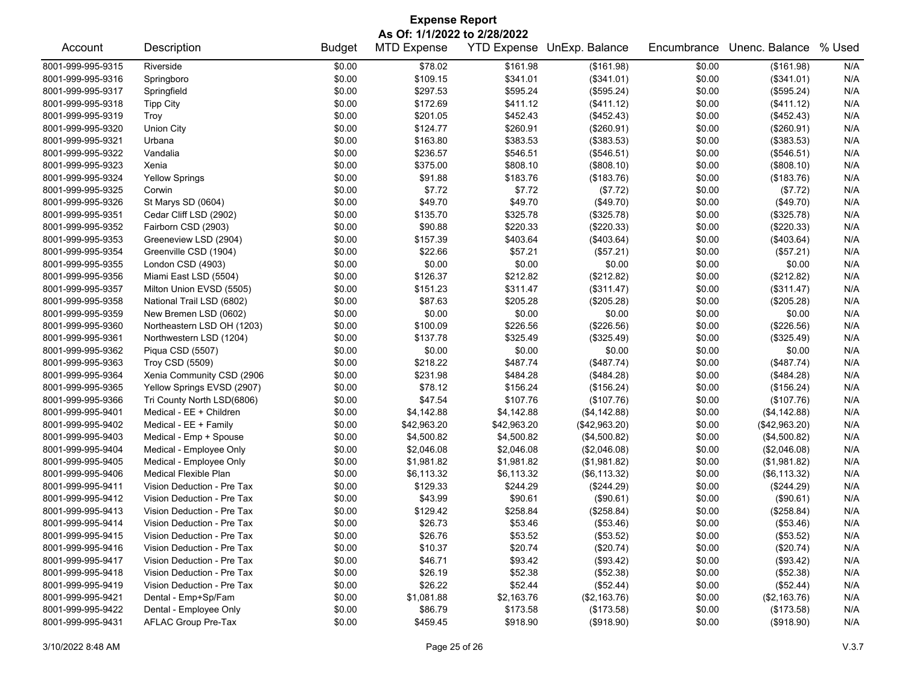| <b>Expense Report</b>        |                              |               |                    |             |                            |             |                |        |  |  |  |  |
|------------------------------|------------------------------|---------------|--------------------|-------------|----------------------------|-------------|----------------|--------|--|--|--|--|
| As Of: 1/1/2022 to 2/28/2022 |                              |               |                    |             |                            |             |                |        |  |  |  |  |
| Account                      | Description                  | <b>Budget</b> | <b>MTD Expense</b> |             | YTD Expense UnExp. Balance | Encumbrance | Unenc. Balance | % Used |  |  |  |  |
| 8001-999-995-9315            | Riverside                    | \$0.00        | \$78.02            | \$161.98    | (\$161.98)                 | \$0.00      | (\$161.98)     | N/A    |  |  |  |  |
| 8001-999-995-9316            | Springboro                   | \$0.00        | \$109.15           | \$341.01    | (\$341.01)                 | \$0.00      | (\$341.01)     | N/A    |  |  |  |  |
| 8001-999-995-9317            | Springfield                  | \$0.00        | \$297.53           | \$595.24    | (\$595.24)                 | \$0.00      | (\$595.24)     | N/A    |  |  |  |  |
| 8001-999-995-9318            | <b>Tipp City</b>             | \$0.00        | \$172.69           | \$411.12    | (\$411.12)                 | \$0.00      | (\$411.12)     | N/A    |  |  |  |  |
| 8001-999-995-9319            | Troy                         | \$0.00        | \$201.05           | \$452.43    | (\$452.43)                 | \$0.00      | (\$452.43)     | N/A    |  |  |  |  |
| 8001-999-995-9320            | <b>Union City</b>            | \$0.00        | \$124.77           | \$260.91    | (\$260.91)                 | \$0.00      | (\$260.91)     | N/A    |  |  |  |  |
| 8001-999-995-9321            | Urbana                       | \$0.00        | \$163.80           | \$383.53    | (\$383.53)                 | \$0.00      | (\$383.53)     | N/A    |  |  |  |  |
| 8001-999-995-9322            | Vandalia                     | \$0.00        | \$236.57           | \$546.51    | (\$546.51)                 | \$0.00      | (\$546.51)     | N/A    |  |  |  |  |
| 8001-999-995-9323            | Xenia                        | \$0.00        | \$375.00           | \$808.10    | (\$808.10)                 | \$0.00      | (\$808.10)     | N/A    |  |  |  |  |
| 8001-999-995-9324            | <b>Yellow Springs</b>        | \$0.00        | \$91.88            | \$183.76    | (\$183.76)                 | \$0.00      | (\$183.76)     | N/A    |  |  |  |  |
| 8001-999-995-9325            | Corwin                       | \$0.00        | \$7.72             | \$7.72      | (\$7.72)                   | \$0.00      | (\$7.72)       | N/A    |  |  |  |  |
| 8001-999-995-9326            | St Marys SD (0604)           | \$0.00        | \$49.70            | \$49.70     | (\$49.70)                  | \$0.00      | (\$49.70)      | N/A    |  |  |  |  |
| 8001-999-995-9351            | Cedar Cliff LSD (2902)       | \$0.00        | \$135.70           | \$325.78    | (\$325.78)                 | \$0.00      | (\$325.78)     | N/A    |  |  |  |  |
| 8001-999-995-9352            | Fairborn CSD (2903)          | \$0.00        | \$90.88            | \$220.33    | (\$220.33)                 | \$0.00      | (\$220.33)     | N/A    |  |  |  |  |
| 8001-999-995-9353            | Greeneview LSD (2904)        | \$0.00        | \$157.39           | \$403.64    | (\$403.64)                 | \$0.00      | (\$403.64)     | N/A    |  |  |  |  |
| 8001-999-995-9354            | Greenville CSD (1904)        | \$0.00        | \$22.66            | \$57.21     | (\$57.21)                  | \$0.00      | (\$57.21)      | N/A    |  |  |  |  |
| 8001-999-995-9355            | London CSD (4903)            | \$0.00        | \$0.00             | \$0.00      | \$0.00                     | \$0.00      | \$0.00         | N/A    |  |  |  |  |
| 8001-999-995-9356            | Miami East LSD (5504)        | \$0.00        | \$126.37           | \$212.82    | (\$212.82)                 | \$0.00      | (\$212.82)     | N/A    |  |  |  |  |
| 8001-999-995-9357            | Milton Union EVSD (5505)     | \$0.00        | \$151.23           | \$311.47    | (\$311.47)                 | \$0.00      | (\$311.47)     | N/A    |  |  |  |  |
| 8001-999-995-9358            | National Trail LSD (6802)    | \$0.00        | \$87.63            | \$205.28    | (\$205.28)                 | \$0.00      | (\$205.28)     | N/A    |  |  |  |  |
| 8001-999-995-9359            | New Bremen LSD (0602)        | \$0.00        | \$0.00             | \$0.00      | \$0.00                     | \$0.00      | \$0.00         | N/A    |  |  |  |  |
| 8001-999-995-9360            | Northeastern LSD OH (1203)   | \$0.00        | \$100.09           | \$226.56    | (\$226.56)                 | \$0.00      | (\$226.56)     | N/A    |  |  |  |  |
| 8001-999-995-9361            | Northwestern LSD (1204)      | \$0.00        | \$137.78           | \$325.49    | (\$325.49)                 | \$0.00      | (\$325.49)     | N/A    |  |  |  |  |
| 8001-999-995-9362            | Piqua CSD (5507)             | \$0.00        | \$0.00             | \$0.00      | \$0.00                     | \$0.00      | \$0.00         | N/A    |  |  |  |  |
| 8001-999-995-9363            | <b>Troy CSD (5509)</b>       | \$0.00        | \$218.22           | \$487.74    | (\$487.74)                 | \$0.00      | (\$487.74)     | N/A    |  |  |  |  |
| 8001-999-995-9364            | Xenia Community CSD (2906    | \$0.00        | \$231.98           | \$484.28    | (\$484.28)                 | \$0.00      | (\$484.28)     | N/A    |  |  |  |  |
| 8001-999-995-9365            | Yellow Springs EVSD (2907)   | \$0.00        | \$78.12            | \$156.24    | (\$156.24)                 | \$0.00      | (\$156.24)     | N/A    |  |  |  |  |
| 8001-999-995-9366            | Tri County North LSD(6806)   | \$0.00        | \$47.54            | \$107.76    | (\$107.76)                 | \$0.00      | (\$107.76)     | N/A    |  |  |  |  |
| 8001-999-995-9401            | Medical - EE + Children      | \$0.00        | \$4,142.88         | \$4,142.88  | (\$4,142.88)               | \$0.00      | (\$4, 142.88)  | N/A    |  |  |  |  |
| 8001-999-995-9402            | Medical - EE + Family        | \$0.00        | \$42,963.20        | \$42,963.20 | (\$42,963.20)              | \$0.00      | (\$42,963.20)  | N/A    |  |  |  |  |
| 8001-999-995-9403            | Medical - Emp + Spouse       | \$0.00        | \$4,500.82         | \$4,500.82  | (\$4,500.82)               | \$0.00      | (\$4,500.82)   | N/A    |  |  |  |  |
| 8001-999-995-9404            | Medical - Employee Only      | \$0.00        | \$2,046.08         | \$2,046.08  | (\$2,046.08)               | \$0.00      | (\$2,046.08)   | N/A    |  |  |  |  |
| 8001-999-995-9405            | Medical - Employee Only      | \$0.00        | \$1,981.82         | \$1,981.82  | (\$1,981.82)               | \$0.00      | (\$1,981.82)   | N/A    |  |  |  |  |
| 8001-999-995-9406            | <b>Medical Flexible Plan</b> | \$0.00        | \$6,113.32         | \$6,113.32  | (\$6,113.32)               | \$0.00      | (\$6, 113.32)  | N/A    |  |  |  |  |
| 8001-999-995-9411            | Vision Deduction - Pre Tax   | \$0.00        | \$129.33           | \$244.29    | (\$244.29)                 | \$0.00      | (\$244.29)     | N/A    |  |  |  |  |
| 8001-999-995-9412            | Vision Deduction - Pre Tax   | \$0.00        | \$43.99            | \$90.61     | (\$90.61)                  | \$0.00      | (\$90.61)      | N/A    |  |  |  |  |
| 8001-999-995-9413            | Vision Deduction - Pre Tax   | \$0.00        | \$129.42           | \$258.84    | (\$258.84)                 | \$0.00      | (\$258.84)     | N/A    |  |  |  |  |
| 8001-999-995-9414            | Vision Deduction - Pre Tax   | \$0.00        | \$26.73            | \$53.46     | (\$53.46)                  | \$0.00      | (\$53.46)      | N/A    |  |  |  |  |
| 8001-999-995-9415            | Vision Deduction - Pre Tax   | \$0.00        | \$26.76            | \$53.52     | (\$53.52)                  | \$0.00      | (\$53.52)      | N/A    |  |  |  |  |
| 8001-999-995-9416            | Vision Deduction - Pre Tax   | \$0.00        | \$10.37            | \$20.74     | (\$20.74)                  | \$0.00      | (\$20.74)      | N/A    |  |  |  |  |
| 8001-999-995-9417            | Vision Deduction - Pre Tax   | \$0.00        | \$46.71            | \$93.42     | (\$93.42)                  | \$0.00      | (\$93.42)      | N/A    |  |  |  |  |
| 8001-999-995-9418            | Vision Deduction - Pre Tax   | \$0.00        | \$26.19            | \$52.38     | (\$52.38)                  | \$0.00      | (\$52.38)      | N/A    |  |  |  |  |
| 8001-999-995-9419            | Vision Deduction - Pre Tax   | \$0.00        | \$26.22            | \$52.44     | (\$52.44)                  | \$0.00      | (\$52.44)      | N/A    |  |  |  |  |
| 8001-999-995-9421            | Dental - Emp+Sp/Fam          | \$0.00        | \$1,081.88         | \$2,163.76  | (\$2,163.76)               | \$0.00      | (\$2,163.76)   | N/A    |  |  |  |  |
| 8001-999-995-9422            | Dental - Employee Only       | \$0.00        | \$86.79            | \$173.58    | (\$173.58)                 | \$0.00      | (\$173.58)     | N/A    |  |  |  |  |
| 8001-999-995-9431            | AFLAC Group Pre-Tax          | \$0.00        | \$459.45           | \$918.90    | (\$918.90)                 | \$0.00      | (\$918.90)     | N/A    |  |  |  |  |